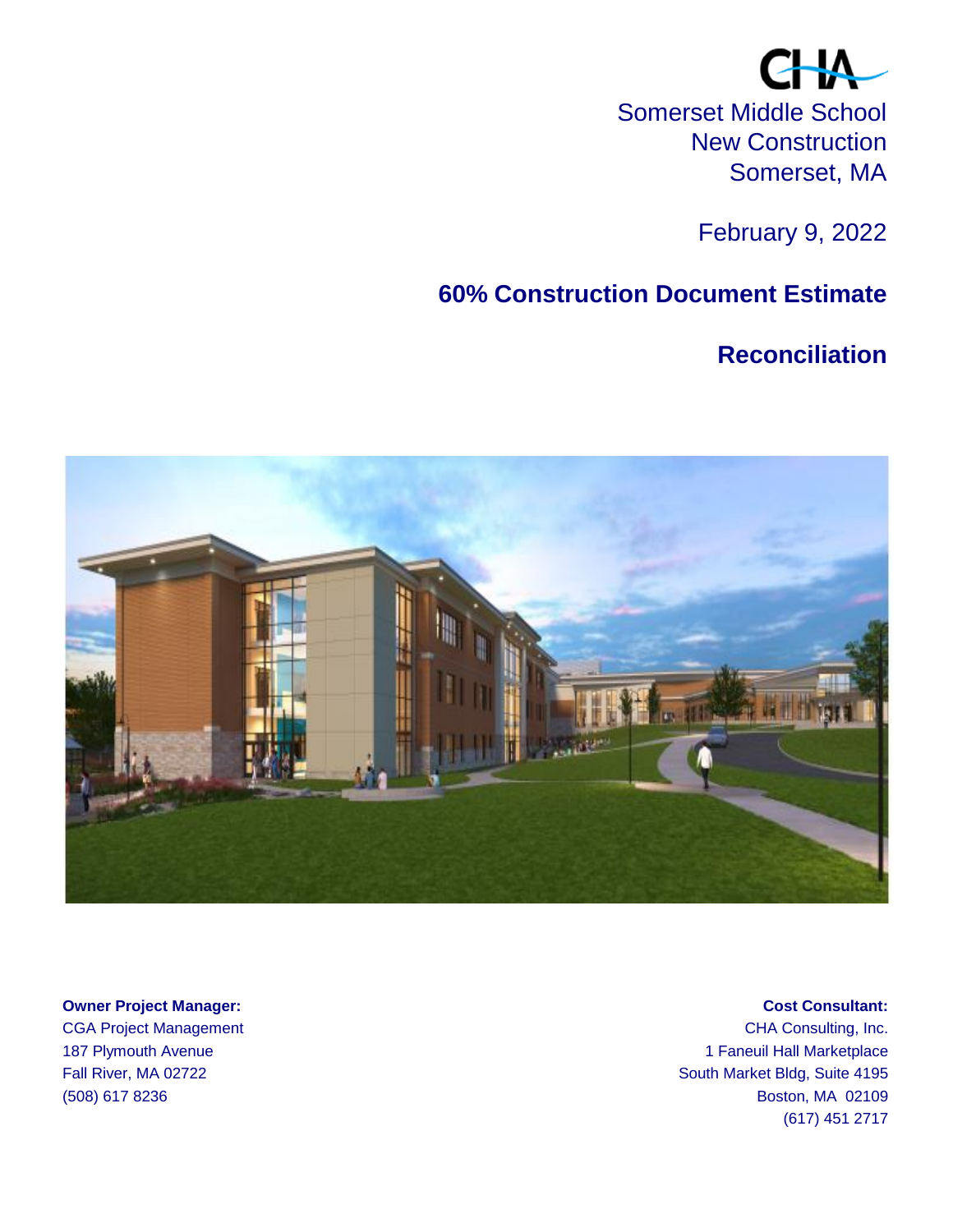

February 9, 2022

# **60% Construction Document Estimate**

# **Reconciliation**



#### **Owner Project Manager: Cost Consultant: Cost Consultant:**

CGA Project Management CGA Project Management CGA Project Management

187 Plymouth Avenue 2012 12:30 and 2012 12:30 and 2012 12:30 and 2012 12:30 and 2012 12:30 and 2012 12:30 and 2013 12:30 and 2013 12:30 and 2013 12:30 and 2013 12:30 and 2013 12:30 and 2013 12:30 and 2013 12:30 and 2013 12 Fall River, MA 02722 **South Market Bldg, Suite 4195** (508) 617 8236 Boston, MA 02109 (617) 451 2717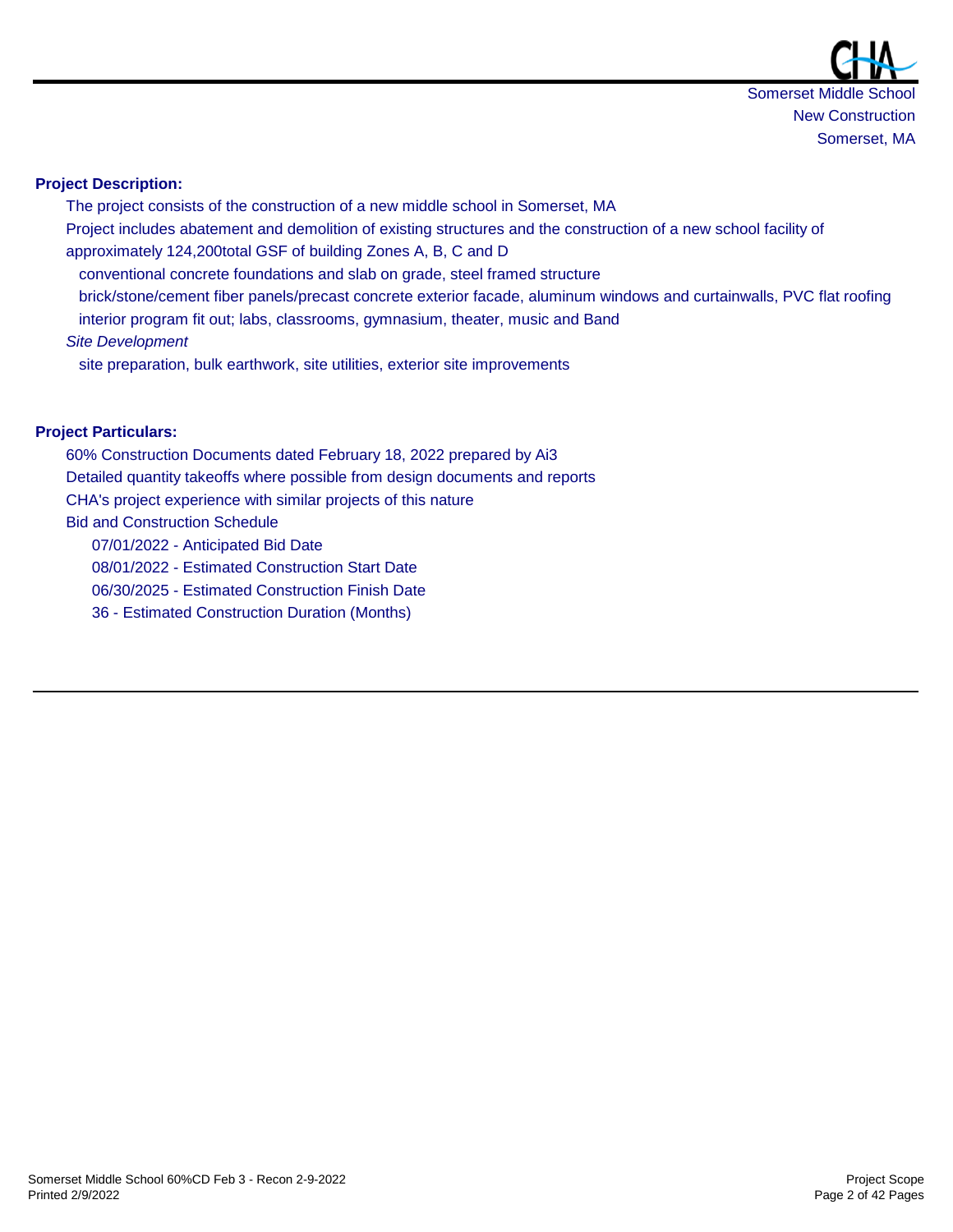#### **Project Description:**

The project consists of the construction of a new middle school in Somerset, MA Project includes abatement and demolition of existing structures and the construction of a new school facility of approximately 124,200total GSF of building Zones A, B, C and D conventional concrete foundations and slab on grade, steel framed structure brick/stone/cement fiber panels/precast concrete exterior facade, aluminum windows and curtainwalls, PVC flat roofing interior program fit out; labs, classrooms, gymnasium, theater, music and Band *Site Development* site preparation, bulk earthwork, site utilities, exterior site improvements

#### **Project Particulars:**

60% Construction Documents dated February 18, 2022 prepared by Ai3 Detailed quantity takeoffs where possible from design documents and reports CHA's project experience with similar projects of this nature Bid and Construction Schedule 07/01/2022 - Anticipated Bid Date 08/01/2022 - Estimated Construction Start Date 06/30/2025 - Estimated Construction Finish Date 36 - Estimated Construction Duration (Months)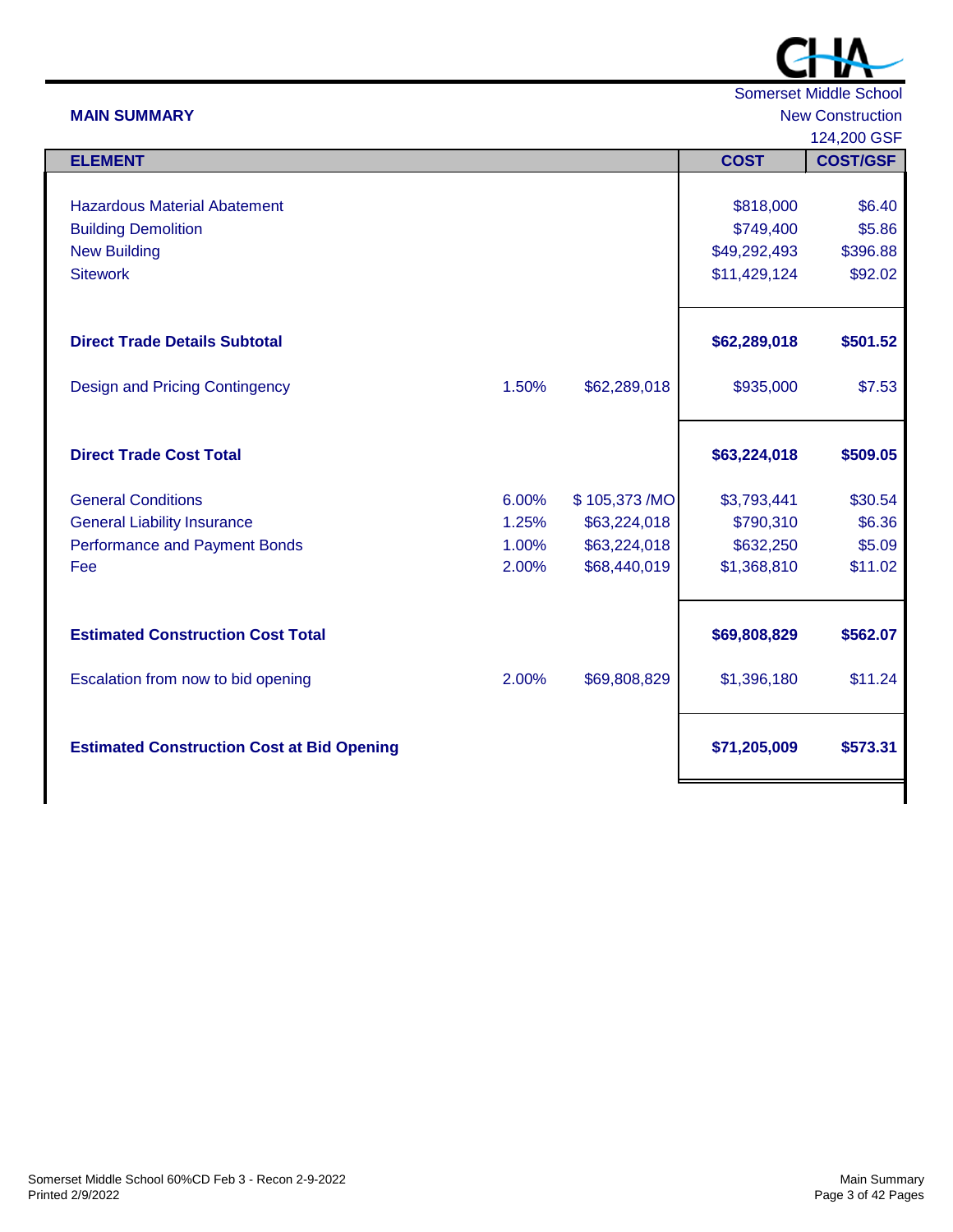

# **MAIN SUMMARY** New Construction

124,200 GSF

|                                                   |       |              |              | 124,200 GSF     |
|---------------------------------------------------|-------|--------------|--------------|-----------------|
| <b>ELEMENT</b>                                    |       |              | <b>COST</b>  | <b>COST/GSF</b> |
|                                                   |       |              |              |                 |
| <b>Hazardous Material Abatement</b>               |       |              | \$818,000    | \$6.40          |
| <b>Building Demolition</b>                        |       |              | \$749,400    | \$5.86          |
| <b>New Building</b>                               |       |              | \$49,292,493 | \$396.88        |
| <b>Sitework</b>                                   |       |              | \$11,429,124 | \$92.02         |
|                                                   |       |              |              |                 |
| <b>Direct Trade Details Subtotal</b>              |       |              | \$62,289,018 | \$501.52        |
| <b>Design and Pricing Contingency</b>             | 1.50% | \$62,289,018 | \$935,000    | \$7.53          |
| <b>Direct Trade Cost Total</b>                    |       |              | \$63,224,018 | \$509.05        |
| <b>General Conditions</b>                         | 6.00% | \$105,373/MO | \$3,793,441  | \$30.54         |
| <b>General Liability Insurance</b>                | 1.25% | \$63,224,018 | \$790,310    | \$6.36          |
| <b>Performance and Payment Bonds</b>              | 1.00% | \$63,224,018 | \$632,250    | \$5.09          |
| Fee                                               | 2.00% | \$68,440,019 | \$1,368,810  | \$11.02         |
|                                                   |       |              |              |                 |
| <b>Estimated Construction Cost Total</b>          |       |              | \$69,808,829 | \$562.07        |
| Escalation from now to bid opening                | 2.00% | \$69,808,829 | \$1,396,180  | \$11.24         |
| <b>Estimated Construction Cost at Bid Opening</b> |       |              | \$71,205,009 | \$573.31        |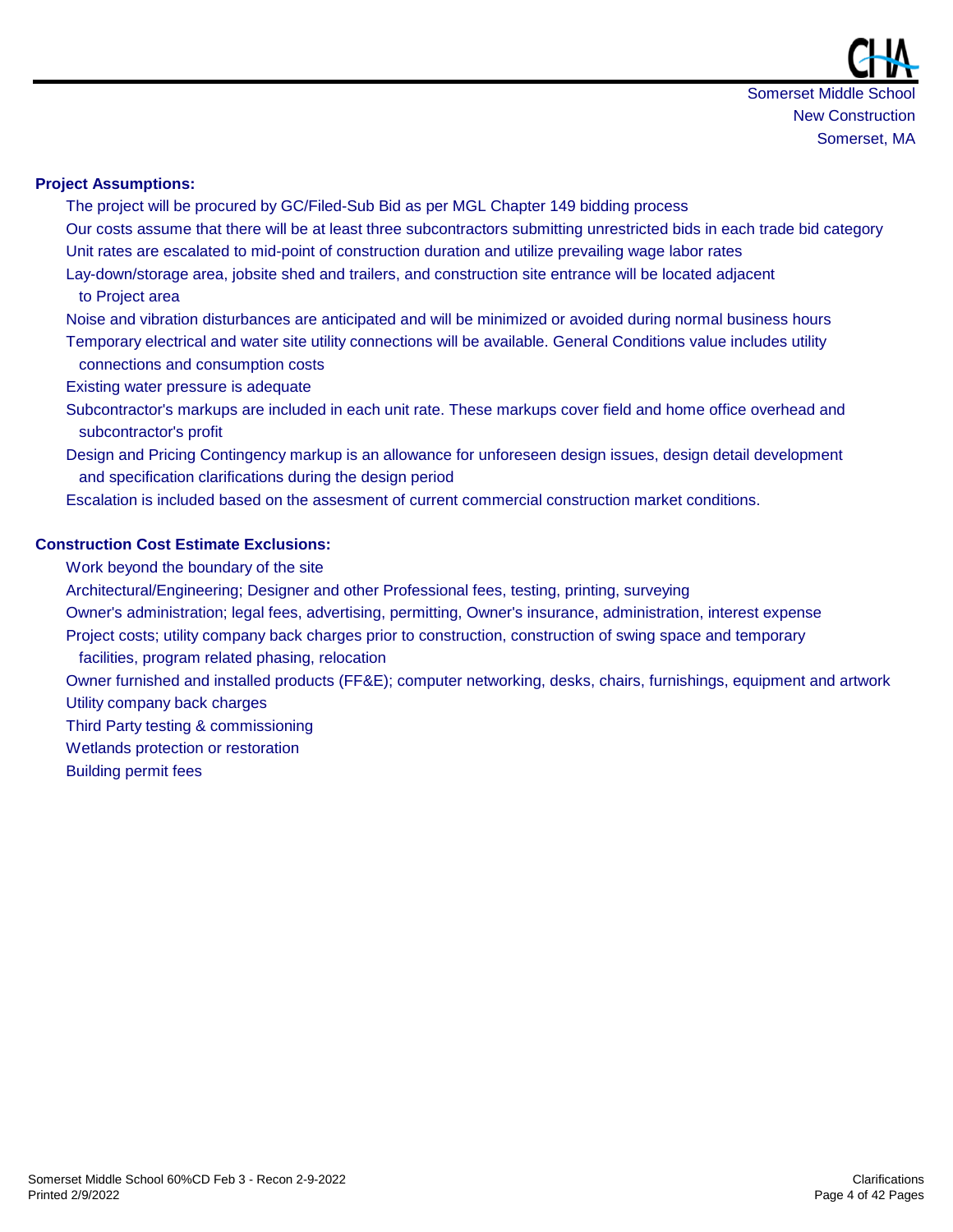#### **Project Assumptions:**

The project will be procured by GC/Filed-Sub Bid as per MGL Chapter 149 bidding process

Our costs assume that there will be at least three subcontractors submitting unrestricted bids in each trade bid category Unit rates are escalated to mid-point of construction duration and utilize prevailing wage labor rates

Lay-down/storage area, jobsite shed and trailers, and construction site entrance will be located adjacent

#### to Project area

Noise and vibration disturbances are anticipated and will be minimized or avoided during normal business hours Temporary electrical and water site utility connections will be available. General Conditions value includes utility connections and consumption costs

- Existing water pressure is adequate
- Subcontractor's markups are included in each unit rate. These markups cover field and home office overhead and subcontractor's profit
- Design and Pricing Contingency markup is an allowance for unforeseen design issues, design detail development and specification clarifications during the design period

Escalation is included based on the assesment of current commercial construction market conditions.

#### **Construction Cost Estimate Exclusions:**

Work beyond the boundary of the site

Architectural/Engineering; Designer and other Professional fees, testing, printing, surveying

Owner's administration; legal fees, advertising, permitting, Owner's insurance, administration, interest expense Project costs; utility company back charges prior to construction, construction of swing space and temporary

facilities, program related phasing, relocation

Owner furnished and installed products (FF&E); computer networking, desks, chairs, furnishings, equipment and artwork Utility company back charges

Third Party testing & commissioning

Wetlands protection or restoration

Building permit fees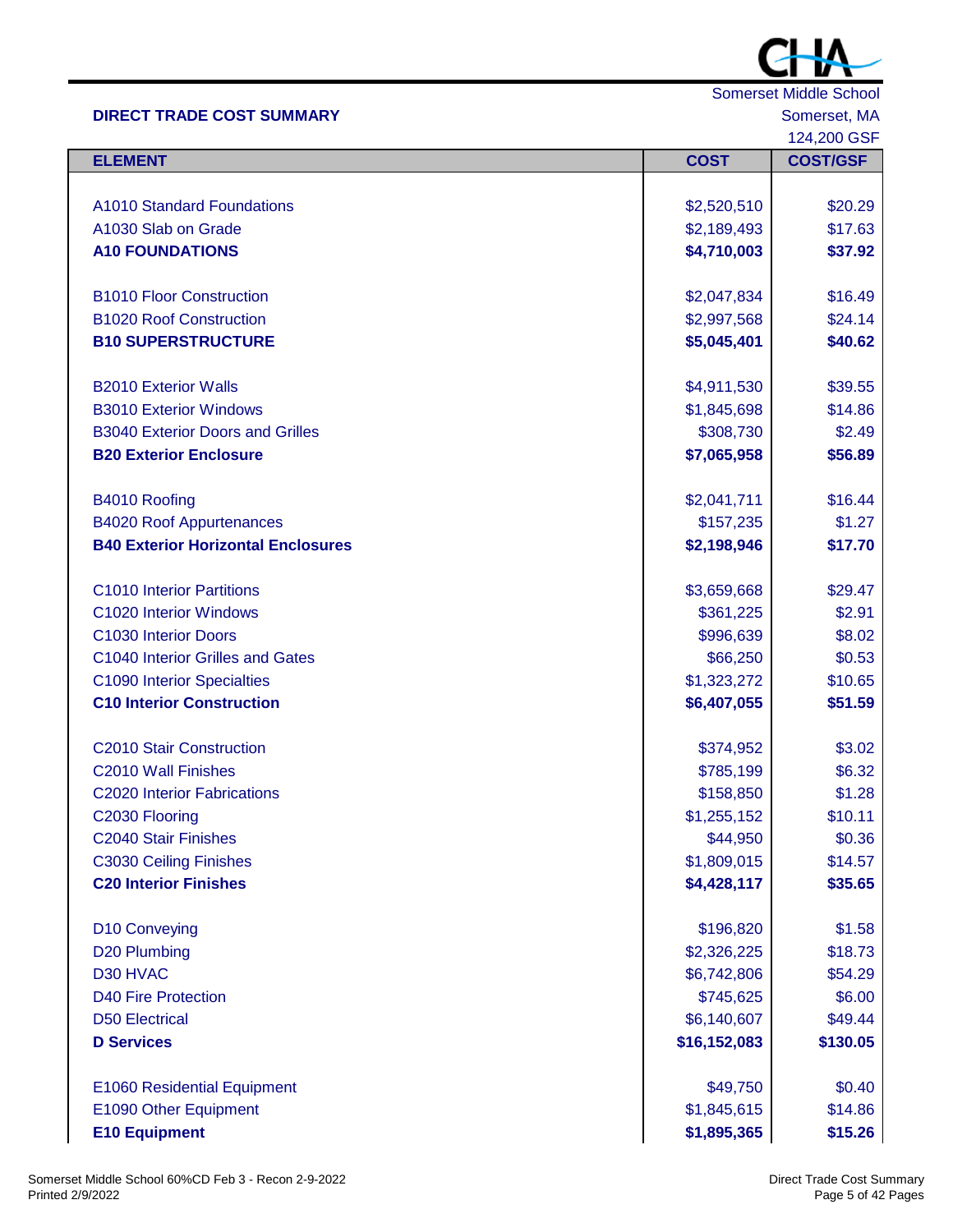

#### **DIRECT TRADE COST SUMMARY** Somerset, MA

124,200 GSF

|                                           |              | וטט טטאדאו      |
|-------------------------------------------|--------------|-----------------|
| <b>ELEMENT</b>                            | <b>COST</b>  | <b>COST/GSF</b> |
|                                           |              |                 |
| <b>A1010 Standard Foundations</b>         | \$2,520,510  | \$20.29         |
| A1030 Slab on Grade                       | \$2,189,493  | \$17.63         |
| <b>A10 FOUNDATIONS</b>                    | \$4,710,003  | \$37.92         |
|                                           |              |                 |
| <b>B1010 Floor Construction</b>           | \$2,047,834  | \$16.49         |
| <b>B1020 Roof Construction</b>            | \$2,997,568  | \$24.14         |
| <b>B10 SUPERSTRUCTURE</b>                 | \$5,045,401  | \$40.62         |
|                                           |              |                 |
| <b>B2010 Exterior Walls</b>               | \$4,911,530  | \$39.55         |
| <b>B3010 Exterior Windows</b>             | \$1,845,698  | \$14.86         |
| <b>B3040 Exterior Doors and Grilles</b>   | \$308,730    | \$2.49          |
| <b>B20 Exterior Enclosure</b>             | \$7,065,958  | \$56.89         |
|                                           |              |                 |
| B4010 Roofing                             | \$2,041,711  | \$16.44         |
| <b>B4020 Roof Appurtenances</b>           | \$157,235    | \$1.27          |
| <b>B40 Exterior Horizontal Enclosures</b> | \$2,198,946  | \$17.70         |
|                                           |              |                 |
| <b>C1010 Interior Partitions</b>          | \$3,659,668  | \$29.47         |
| C1020 Interior Windows                    | \$361,225    | \$2.91          |
| C1030 Interior Doors                      | \$996,639    | \$8.02          |
| C1040 Interior Grilles and Gates          | \$66,250     | \$0.53          |
| C1090 Interior Specialties                | \$1,323,272  | \$10.65         |
| <b>C10 Interior Construction</b>          | \$6,407,055  | \$51.59         |
|                                           |              |                 |
| <b>C2010 Stair Construction</b>           | \$374,952    | \$3.02          |
| C2010 Wall Finishes                       | \$785,199    | \$6.32          |
| C2020 Interior Fabrications               | \$158,850    | \$1.28          |
| C2030 Flooring                            | \$1,255,152  | \$10.11         |
| C2040 Stair Finishes                      | \$44,950     | \$0.36          |
| C3030 Ceiling Finishes                    | \$1,809,015  | \$14.57         |
| <b>C20 Interior Finishes</b>              | \$4,428,117  | \$35.65         |
|                                           |              |                 |
| D10 Conveying                             | \$196,820    | \$1.58          |
| D20 Plumbing                              | \$2,326,225  | \$18.73         |
| D30 HVAC                                  | \$6,742,806  | \$54.29         |
| <b>D40 Fire Protection</b>                | \$745,625    | \$6.00          |
| <b>D50 Electrical</b>                     | \$6,140,607  | \$49.44         |
| <b>D</b> Services                         | \$16,152,083 | \$130.05        |
|                                           |              |                 |
| E1060 Residential Equipment               | \$49,750     | \$0.40          |
| E1090 Other Equipment                     | \$1,845,615  | \$14.86         |
| <b>E10 Equipment</b>                      | \$1,895,365  | \$15.26         |
|                                           |              |                 |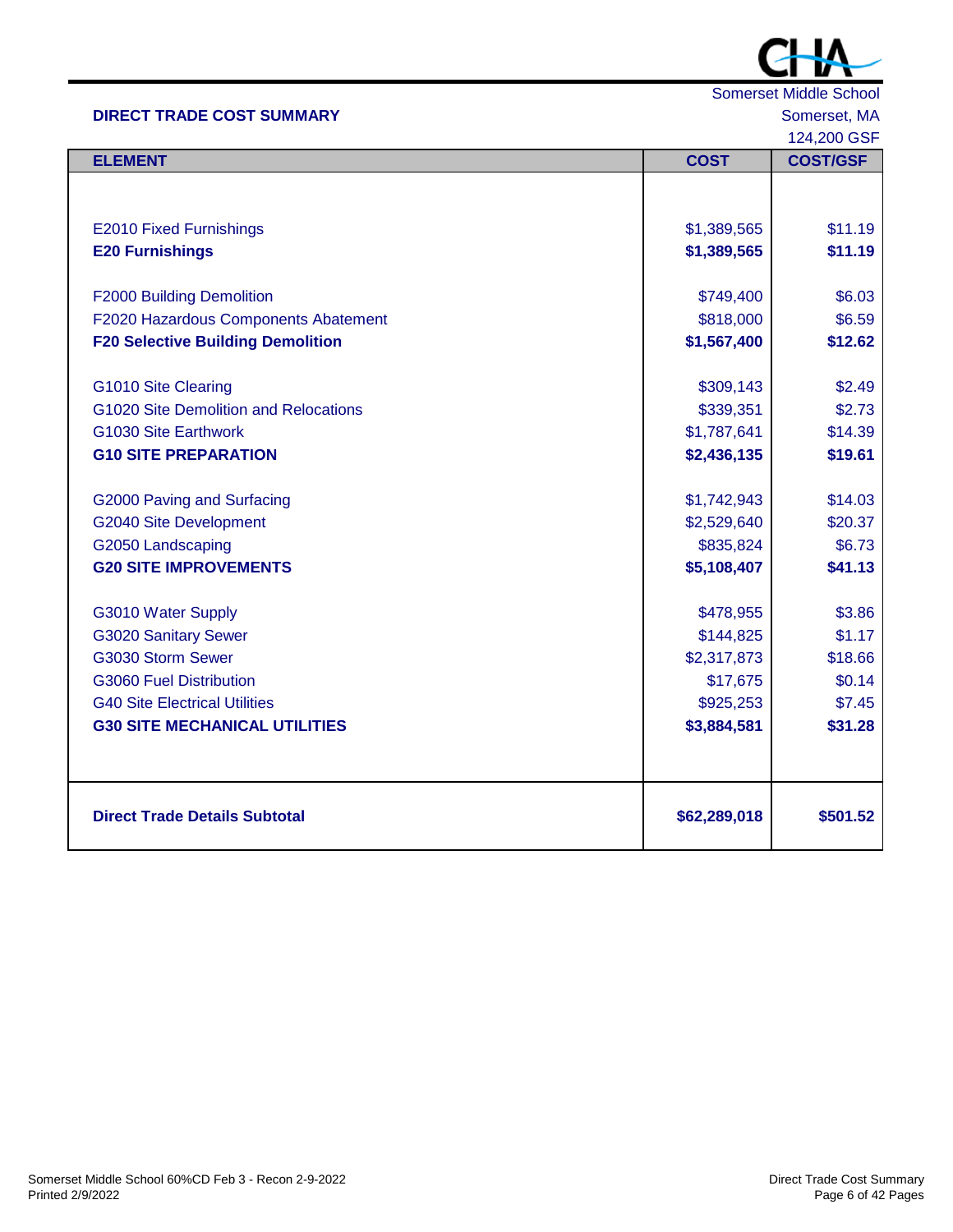

# **DIRECT TRADE COST SUMMARY** Somerset, MA

124,200 GSF

| <b>ELEMENT</b>                           | <b>COST</b>  | זטט טטא, <del>ו</del> צו<br><b>COST/GSF</b> |
|------------------------------------------|--------------|---------------------------------------------|
|                                          |              |                                             |
|                                          |              |                                             |
| <b>E2010 Fixed Furnishings</b>           | \$1,389,565  | \$11.19                                     |
| <b>E20 Furnishings</b>                   | \$1,389,565  | \$11.19                                     |
|                                          |              |                                             |
| F2000 Building Demolition                | \$749,400    | \$6.03                                      |
| F2020 Hazardous Components Abatement     | \$818,000    | \$6.59                                      |
| <b>F20 Selective Building Demolition</b> | \$1,567,400  | \$12.62                                     |
|                                          |              |                                             |
| G1010 Site Clearing                      | \$309,143    | \$2.49                                      |
| G1020 Site Demolition and Relocations    | \$339,351    | \$2.73                                      |
| G1030 Site Earthwork                     | \$1,787,641  | \$14.39                                     |
| <b>G10 SITE PREPARATION</b>              | \$2,436,135  | \$19.61                                     |
|                                          |              |                                             |
| G2000 Paving and Surfacing               | \$1,742,943  | \$14.03                                     |
| G2040 Site Development                   | \$2,529,640  | \$20.37                                     |
| G2050 Landscaping                        | \$835,824    | \$6.73                                      |
| <b>G20 SITE IMPROVEMENTS</b>             | \$5,108,407  | \$41.13                                     |
|                                          |              |                                             |
| G3010 Water Supply                       | \$478,955    | \$3.86                                      |
| <b>G3020 Sanitary Sewer</b>              | \$144,825    | \$1.17                                      |
| G3030 Storm Sewer                        | \$2,317,873  | \$18.66                                     |
| <b>G3060 Fuel Distribution</b>           | \$17,675     | \$0.14                                      |
| <b>G40 Site Electrical Utilities</b>     | \$925,253    | \$7.45                                      |
| <b>G30 SITE MECHANICAL UTILITIES</b>     | \$3,884,581  | \$31.28                                     |
|                                          |              |                                             |
| <b>Direct Trade Details Subtotal</b>     | \$62,289,018 | \$501.52                                    |
|                                          |              |                                             |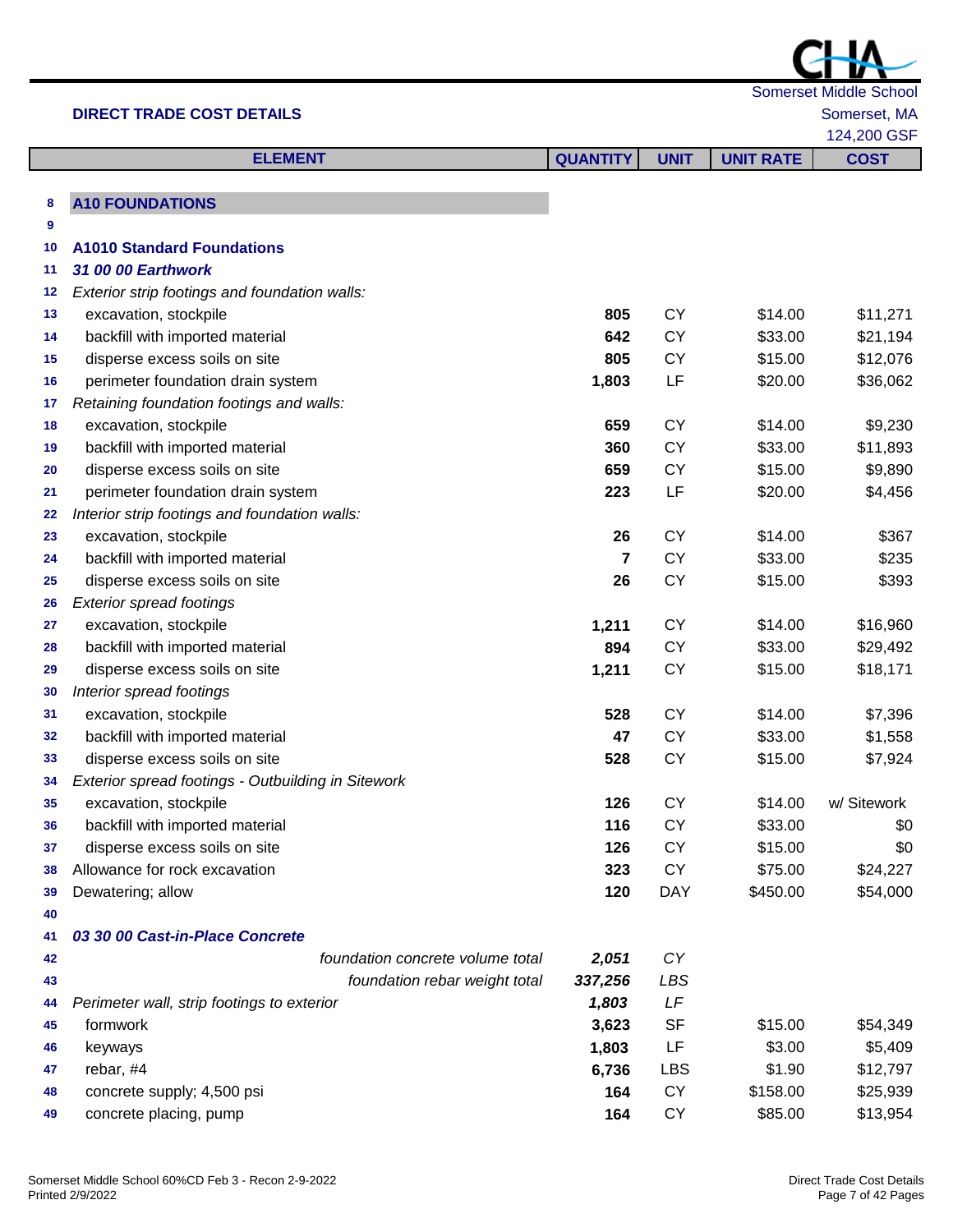|    | <b>DIRECT TRADE COST DETAILS</b>                   |                         |             |                  | Somerset, MA |
|----|----------------------------------------------------|-------------------------|-------------|------------------|--------------|
|    |                                                    |                         |             |                  | 124,200 GSF  |
|    | <b>ELEMENT</b>                                     | <b>QUANTITY</b>         | <b>UNIT</b> | <b>UNIT RATE</b> | <b>COST</b>  |
|    |                                                    |                         |             |                  |              |
| 8  | <b>A10 FOUNDATIONS</b>                             |                         |             |                  |              |
| 9  |                                                    |                         |             |                  |              |
| 10 | <b>A1010 Standard Foundations</b>                  |                         |             |                  |              |
| 11 | 31 00 00 Earthwork                                 |                         |             |                  |              |
| 12 | Exterior strip footings and foundation walls:      |                         |             |                  |              |
| 13 | excavation, stockpile                              | 805                     | <b>CY</b>   | \$14.00          | \$11,271     |
| 14 | backfill with imported material                    | 642                     | <b>CY</b>   | \$33.00          | \$21,194     |
| 15 | disperse excess soils on site                      | 805                     | <b>CY</b>   | \$15.00          | \$12,076     |
| 16 | perimeter foundation drain system                  | 1,803                   | LF          | \$20.00          | \$36,062     |
| 17 | Retaining foundation footings and walls:           |                         |             |                  |              |
| 18 | excavation, stockpile                              | 659                     | <b>CY</b>   | \$14.00          | \$9,230      |
| 19 | backfill with imported material                    | 360                     | <b>CY</b>   | \$33.00          | \$11,893     |
| 20 | disperse excess soils on site                      | 659                     | <b>CY</b>   | \$15.00          | \$9,890      |
| 21 | perimeter foundation drain system                  | 223                     | LF          | \$20.00          | \$4,456      |
| 22 | Interior strip footings and foundation walls:      |                         |             |                  |              |
| 23 | excavation, stockpile                              | 26                      | <b>CY</b>   | \$14.00          | \$367        |
| 24 | backfill with imported material                    | $\overline{\mathbf{7}}$ | <b>CY</b>   | \$33.00          | \$235        |
| 25 | disperse excess soils on site                      | 26                      | <b>CY</b>   | \$15.00          | \$393        |
| 26 | <b>Exterior spread footings</b>                    |                         |             |                  |              |
| 27 | excavation, stockpile                              | 1,211                   | <b>CY</b>   | \$14.00          | \$16,960     |
| 28 | backfill with imported material                    | 894                     | <b>CY</b>   | \$33.00          | \$29,492     |
| 29 | disperse excess soils on site                      | 1,211                   | <b>CY</b>   | \$15.00          | \$18,171     |
| 30 | Interior spread footings                           |                         |             |                  |              |
| 31 | excavation, stockpile                              | 528                     | <b>CY</b>   | \$14.00          | \$7,396      |
| 32 | backfill with imported material                    | 47                      | <b>CY</b>   | \$33.00          | \$1,558      |
| 33 | disperse excess soils on site                      | 528                     | <b>CY</b>   | \$15.00          | \$7,924      |
| 34 | Exterior spread footings - Outbuilding in Sitework |                         |             |                  |              |
| 35 | excavation, stockpile                              | 126                     | CY          | \$14.00          | w/ Sitework  |
| 36 | backfill with imported material                    | 116                     | <b>CY</b>   | \$33.00          | \$0          |
| 37 | disperse excess soils on site                      | 126                     | <b>CY</b>   | \$15.00          | \$0          |
| 38 | Allowance for rock excavation                      | 323                     | <b>CY</b>   | \$75.00          | \$24,227     |
| 39 | Dewatering; allow                                  | 120                     | <b>DAY</b>  | \$450.00         | \$54,000     |
| 40 |                                                    |                         |             |                  |              |
| 41 | 03 30 00 Cast-in-Place Concrete                    |                         |             |                  |              |
| 42 | foundation concrete volume total                   | 2,051                   | CY          |                  |              |
| 43 | foundation rebar weight total                      | 337,256                 | LBS         |                  |              |
| 44 | Perimeter wall, strip footings to exterior         | 1,803                   | LF          |                  |              |
| 45 | formwork                                           | 3,623                   | <b>SF</b>   | \$15.00          | \$54,349     |
| 46 | keyways                                            | 1,803                   | LF          | \$3.00           | \$5,409      |
| 47 | rebar, #4                                          | 6,736                   | <b>LBS</b>  | \$1.90           | \$12,797     |
| 48 | concrete supply; 4,500 psi                         | 164                     | <b>CY</b>   | \$158.00         | \$25,939     |
| 49 | concrete placing, pump                             | 164                     | <b>CY</b>   | \$85.00          | \$13,954     |
|    |                                                    |                         |             |                  |              |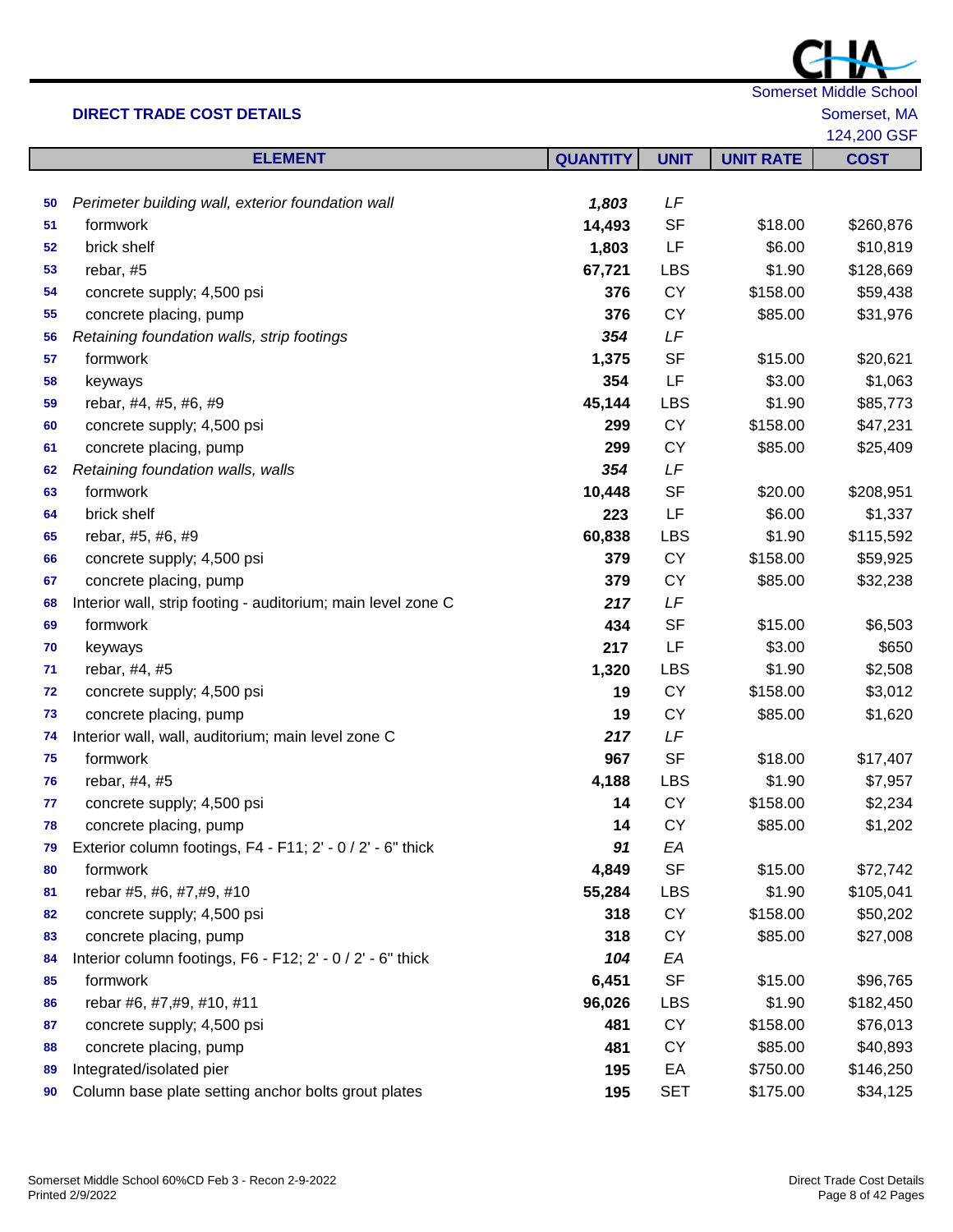|--|

|    |                                                              |                 |             |                  | 124,200 GSF |
|----|--------------------------------------------------------------|-----------------|-------------|------------------|-------------|
|    | <b>ELEMENT</b>                                               | <b>QUANTITY</b> | <b>UNIT</b> | <b>UNIT RATE</b> | <b>COST</b> |
|    |                                                              |                 |             |                  |             |
| 50 | Perimeter building wall, exterior foundation wall            | 1,803           | LF          |                  |             |
| 51 | formwork                                                     | 14,493          | <b>SF</b>   | \$18.00          | \$260,876   |
| 52 | brick shelf                                                  | 1,803           | LF          | \$6.00           | \$10,819    |
| 53 | rebar, #5                                                    | 67,721          | <b>LBS</b>  | \$1.90           | \$128,669   |
| 54 | concrete supply; 4,500 psi                                   | 376             | <b>CY</b>   | \$158.00         | \$59,438    |
| 55 | concrete placing, pump                                       | 376             | <b>CY</b>   | \$85.00          | \$31,976    |
| 56 | Retaining foundation walls, strip footings                   | 354             | LF          |                  |             |
| 57 | formwork                                                     | 1,375           | <b>SF</b>   | \$15.00          | \$20,621    |
| 58 | keyways                                                      | 354             | LF          | \$3.00           | \$1,063     |
| 59 | rebar, #4, #5, #6, #9                                        | 45,144          | <b>LBS</b>  | \$1.90           | \$85,773    |
| 60 | concrete supply; 4,500 psi                                   | 299             | <b>CY</b>   | \$158.00         | \$47,231    |
| 61 | concrete placing, pump                                       | 299             | <b>CY</b>   | \$85.00          | \$25,409    |
| 62 | Retaining foundation walls, walls                            | 354             | LF          |                  |             |
| 63 | formwork                                                     | 10,448          | <b>SF</b>   | \$20.00          | \$208,951   |
| 64 | brick shelf                                                  | 223             | LF          | \$6.00           | \$1,337     |
| 65 | rebar, #5, #6, #9                                            | 60,838          | <b>LBS</b>  | \$1.90           | \$115,592   |
| 66 | concrete supply; 4,500 psi                                   | 379             | <b>CY</b>   | \$158.00         | \$59,925    |
| 67 | concrete placing, pump                                       | 379             | <b>CY</b>   | \$85.00          | \$32,238    |
| 68 | Interior wall, strip footing - auditorium; main level zone C | 217             | LF          |                  |             |
| 69 | formwork                                                     | 434             | <b>SF</b>   | \$15.00          | \$6,503     |
| 70 | keyways                                                      | 217             | LF          | \$3.00           | \$650       |
| 71 | rebar, #4, #5                                                | 1,320           | <b>LBS</b>  | \$1.90           | \$2,508     |
| 72 | concrete supply; 4,500 psi                                   | 19              | <b>CY</b>   | \$158.00         | \$3,012     |
| 73 | concrete placing, pump                                       | 19              | <b>CY</b>   | \$85.00          | \$1,620     |
| 74 | Interior wall, wall, auditorium; main level zone C           | 217             | LF          |                  |             |
| 75 | formwork                                                     | 967             | <b>SF</b>   | \$18.00          | \$17,407    |
| 76 | rebar, #4, #5                                                | 4,188           | <b>LBS</b>  | \$1.90           | \$7,957     |
| 77 | concrete supply; 4,500 psi                                   | 14              | <b>CY</b>   | \$158.00         | \$2,234     |
| 78 | concrete placing, pump                                       | 14              | CY          | \$85.00          | \$1,202     |
| 79 | Exterior column footings, F4 - F11; 2' - 0 / 2' - 6" thick   | 91              | EA          |                  |             |
| 80 | formwork                                                     | 4,849           | <b>SF</b>   | \$15.00          | \$72,742    |
| 81 | rebar #5, #6, #7,#9, #10                                     | 55,284          | <b>LBS</b>  | \$1.90           | \$105,041   |
| 82 | concrete supply; 4,500 psi                                   | 318             | <b>CY</b>   | \$158.00         | \$50,202    |
| 83 | concrete placing, pump                                       | 318             | <b>CY</b>   | \$85.00          | \$27,008    |
| 84 | Interior column footings, F6 - F12; 2' - 0 / 2' - 6" thick   | 104             | EA          |                  |             |
| 85 | formwork                                                     | 6,451           | <b>SF</b>   | \$15.00          | \$96,765    |
| 86 | rebar #6, #7,#9, #10, #11                                    | 96,026          | <b>LBS</b>  | \$1.90           | \$182,450   |
| 87 | concrete supply; 4,500 psi                                   | 481             | <b>CY</b>   | \$158.00         | \$76,013    |
| 88 | concrete placing, pump                                       | 481             | <b>CY</b>   | \$85.00          | \$40,893    |
| 89 | Integrated/isolated pier                                     | 195             | EA          | \$750.00         | \$146,250   |
| 90 | Column base plate setting anchor bolts grout plates          | 195             | <b>SET</b>  | \$175.00         | \$34,125    |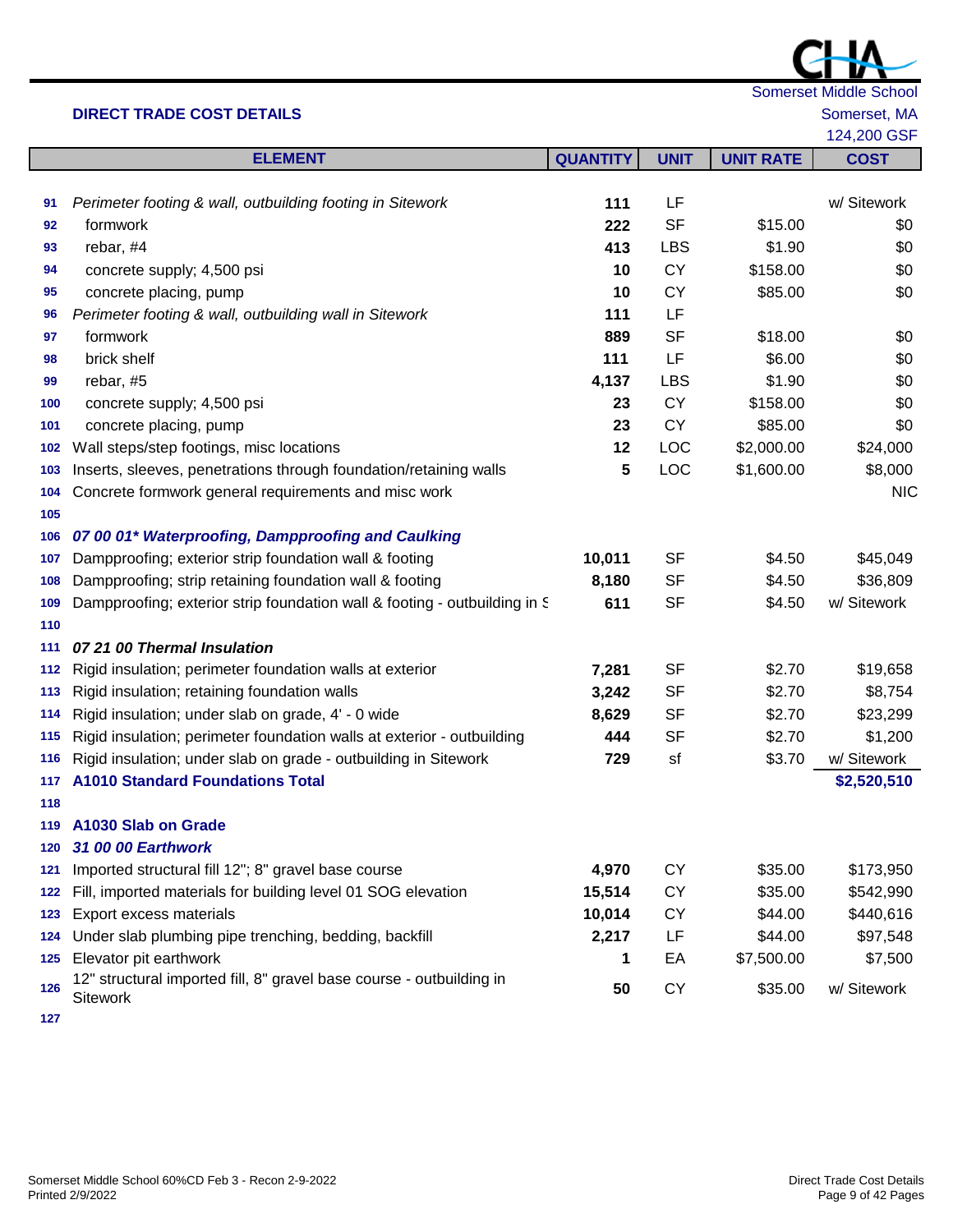|--|

|     |                                                                                  |                 |             |                  | 124,200 GSF |
|-----|----------------------------------------------------------------------------------|-----------------|-------------|------------------|-------------|
|     | <b>ELEMENT</b>                                                                   | <b>QUANTITY</b> | <b>UNIT</b> | <b>UNIT RATE</b> | <b>COST</b> |
|     |                                                                                  |                 |             |                  |             |
| 91  | Perimeter footing & wall, outbuilding footing in Sitework                        | 111             | LF          |                  | w/ Sitework |
| 92  | formwork                                                                         | 222             | <b>SF</b>   | \$15.00          | \$0         |
| 93  | rebar, #4                                                                        | 413             | <b>LBS</b>  | \$1.90           | \$0         |
| 94  | concrete supply; 4,500 psi                                                       | 10              | <b>CY</b>   | \$158.00         | \$0         |
| 95  | concrete placing, pump                                                           | 10              | <b>CY</b>   | \$85.00          | \$0         |
| 96  | Perimeter footing & wall, outbuilding wall in Sitework                           | 111             | LF          |                  |             |
| 97  | formwork                                                                         | 889             | <b>SF</b>   | \$18.00          | \$0         |
| 98  | brick shelf                                                                      | 111             | LF          | \$6.00           | \$0         |
| 99  | rebar, #5                                                                        | 4,137           | <b>LBS</b>  | \$1.90           | \$0         |
| 100 | concrete supply; 4,500 psi                                                       | 23              | <b>CY</b>   | \$158.00         | \$0         |
| 101 | concrete placing, pump                                                           | 23              | <b>CY</b>   | \$85.00          | \$0         |
| 102 | Wall steps/step footings, misc locations                                         | 12              | <b>LOC</b>  | \$2,000.00       | \$24,000    |
| 103 | Inserts, sleeves, penetrations through foundation/retaining walls                | 5               | LOC         | \$1,600.00       | \$8,000     |
| 104 | Concrete formwork general requirements and misc work                             |                 |             |                  | <b>NIC</b>  |
| 105 |                                                                                  |                 |             |                  |             |
| 106 | 07 00 01* Waterproofing, Dampproofing and Caulking                               |                 |             |                  |             |
| 107 | Dampproofing; exterior strip foundation wall & footing                           | 10,011          | <b>SF</b>   | \$4.50           | \$45,049    |
| 108 | Dampproofing; strip retaining foundation wall & footing                          | 8,180           | <b>SF</b>   | \$4.50           | \$36,809    |
| 109 | Dampproofing; exterior strip foundation wall & footing - outbuilding in S        | 611             | <b>SF</b>   | \$4.50           | w/ Sitework |
| 110 |                                                                                  |                 |             |                  |             |
| 111 | 07 21 00 Thermal Insulation                                                      |                 |             |                  |             |
| 112 | Rigid insulation; perimeter foundation walls at exterior                         | 7,281           | <b>SF</b>   | \$2.70           | \$19,658    |
| 113 | Rigid insulation; retaining foundation walls                                     | 3,242           | <b>SF</b>   | \$2.70           | \$8,754     |
| 114 | Rigid insulation; under slab on grade, 4' - 0 wide                               | 8,629           | <b>SF</b>   | \$2.70           | \$23,299    |
| 115 | Rigid insulation; perimeter foundation walls at exterior - outbuilding           | 444             | <b>SF</b>   | \$2.70           | \$1,200     |
| 116 | Rigid insulation; under slab on grade - outbuilding in Sitework                  | 729             | sf          | \$3.70           | w/ Sitework |
| 117 | <b>A1010 Standard Foundations Total</b>                                          |                 |             |                  | \$2,520,510 |
| 118 |                                                                                  |                 |             |                  |             |
| 119 | A1030 Slab on Grade                                                              |                 |             |                  |             |
| 120 | 31 00 00 Earthwork                                                               |                 |             |                  |             |
| 121 | Imported structural fill 12"; 8" gravel base course                              | 4,970           | <b>CY</b>   | \$35.00          | \$173,950   |
| 122 | Fill, imported materials for building level 01 SOG elevation                     | 15,514          | <b>CY</b>   | \$35.00          | \$542,990   |
| 123 | Export excess materials                                                          | 10,014          | <b>CY</b>   | \$44.00          | \$440,616   |
| 124 | Under slab plumbing pipe trenching, bedding, backfill                            | 2,217           | LF          | \$44.00          | \$97,548    |
| 125 | Elevator pit earthwork                                                           | 1               | EA          | \$7,500.00       | \$7,500     |
| 126 | 12" structural imported fill, 8" gravel base course - outbuilding in<br>Sitework | 50              | <b>CY</b>   | \$35.00          | w/ Sitework |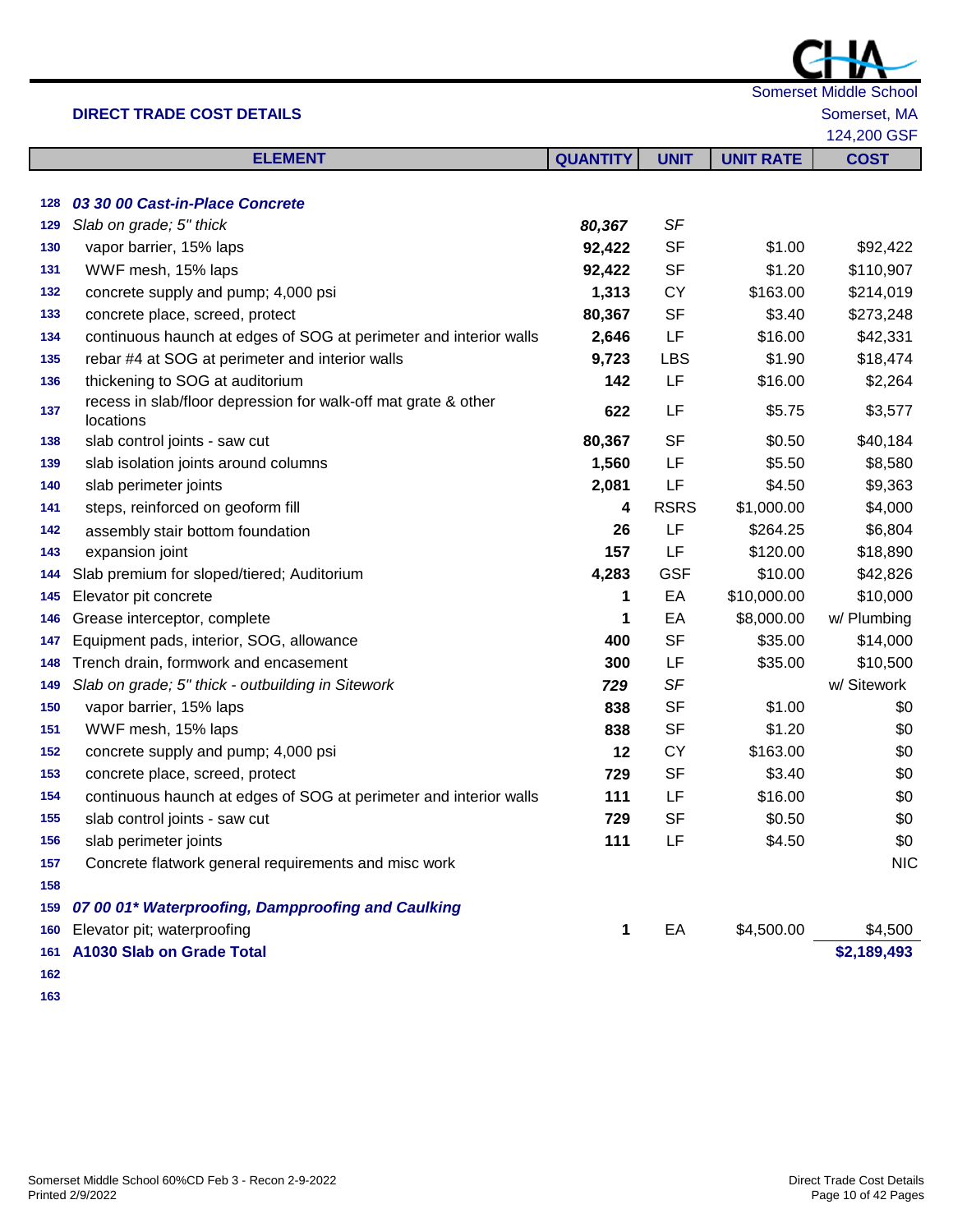|     |                                                                             |                 |             |                  | הווטט (ווטט<br>124,200 GSF |
|-----|-----------------------------------------------------------------------------|-----------------|-------------|------------------|----------------------------|
|     | <b>ELEMENT</b>                                                              | <b>QUANTITY</b> | <b>UNIT</b> | <b>UNIT RATE</b> | <b>COST</b>                |
|     |                                                                             |                 |             |                  |                            |
| 128 | 03 30 00 Cast-in-Place Concrete                                             |                 |             |                  |                            |
| 129 | Slab on grade; 5" thick                                                     | 80,367          | SF          |                  |                            |
| 130 | vapor barrier, 15% laps                                                     | 92,422          | <b>SF</b>   | \$1.00           | \$92,422                   |
| 131 | WWF mesh, 15% laps                                                          | 92,422          | <b>SF</b>   | \$1.20           | \$110,907                  |
| 132 | concrete supply and pump; 4,000 psi                                         | 1,313           | <b>CY</b>   | \$163.00         | \$214,019                  |
| 133 | concrete place, screed, protect                                             | 80,367          | <b>SF</b>   | \$3.40           | \$273,248                  |
| 134 | continuous haunch at edges of SOG at perimeter and interior walls           | 2,646           | LF          | \$16.00          | \$42,331                   |
| 135 | rebar #4 at SOG at perimeter and interior walls                             | 9,723           | <b>LBS</b>  | \$1.90           | \$18,474                   |
| 136 | thickening to SOG at auditorium                                             | 142             | LF          | \$16.00          | \$2,264                    |
| 137 | recess in slab/floor depression for walk-off mat grate & other<br>locations | 622             | LF          | \$5.75           | \$3,577                    |
| 138 | slab control joints - saw cut                                               | 80,367          | <b>SF</b>   | \$0.50           | \$40,184                   |
| 139 | slab isolation joints around columns                                        | 1,560           | LF          | \$5.50           | \$8,580                    |
| 140 | slab perimeter joints                                                       | 2,081           | LF          | \$4.50           | \$9,363                    |
| 141 | steps, reinforced on geoform fill                                           | 4               | <b>RSRS</b> | \$1,000.00       | \$4,000                    |
| 142 | assembly stair bottom foundation                                            | 26              | LF          | \$264.25         | \$6,804                    |
| 143 | expansion joint                                                             | 157             | LF          | \$120.00         | \$18,890                   |
| 144 | Slab premium for sloped/tiered; Auditorium                                  | 4,283           | <b>GSF</b>  | \$10.00          | \$42,826                   |
| 145 | Elevator pit concrete                                                       | 1               | EA          | \$10,000.00      | \$10,000                   |
| 146 | Grease interceptor, complete                                                | 1               | EA          | \$8,000.00       | w/ Plumbing                |
| 147 | Equipment pads, interior, SOG, allowance                                    | 400             | <b>SF</b>   | \$35.00          | \$14,000                   |
| 148 | Trench drain, formwork and encasement                                       | 300             | LF          | \$35.00          | \$10,500                   |
| 149 | Slab on grade; 5" thick - outbuilding in Sitework                           | 729             | SF          |                  | w/ Sitework                |
| 150 | vapor barrier, 15% laps                                                     | 838             | <b>SF</b>   | \$1.00           | \$0                        |
| 151 | WWF mesh, 15% laps                                                          | 838             | <b>SF</b>   | \$1.20           | \$0                        |
| 152 | concrete supply and pump; 4,000 psi                                         | 12              | <b>CY</b>   | \$163.00         | \$0                        |
| 153 | concrete place, screed, protect                                             | 729             | <b>SF</b>   | \$3.40           | \$0                        |
| 154 | continuous haunch at edges of SOG at perimeter and interior walls           | 111             | LF          | \$16.00          | \$0                        |
| 155 | slab control joints - saw cut                                               | 729             | SF          | \$0.50           | \$0                        |
| 156 | slab perimeter joints                                                       | 111             | LF          | \$4.50           | \$0                        |
| 157 | Concrete flatwork general requirements and misc work                        |                 |             |                  | <b>NIC</b>                 |
| 158 |                                                                             |                 |             |                  |                            |
| 159 | 07 00 01* Waterproofing, Dampproofing and Caulking                          |                 |             |                  |                            |
| 160 | Elevator pit; waterproofing                                                 | 1               | EA          | \$4,500.00       | \$4,500                    |
| 161 | A1030 Slab on Grade Total                                                   |                 |             |                  | \$2,189,493                |
| 162 |                                                                             |                 |             |                  |                            |

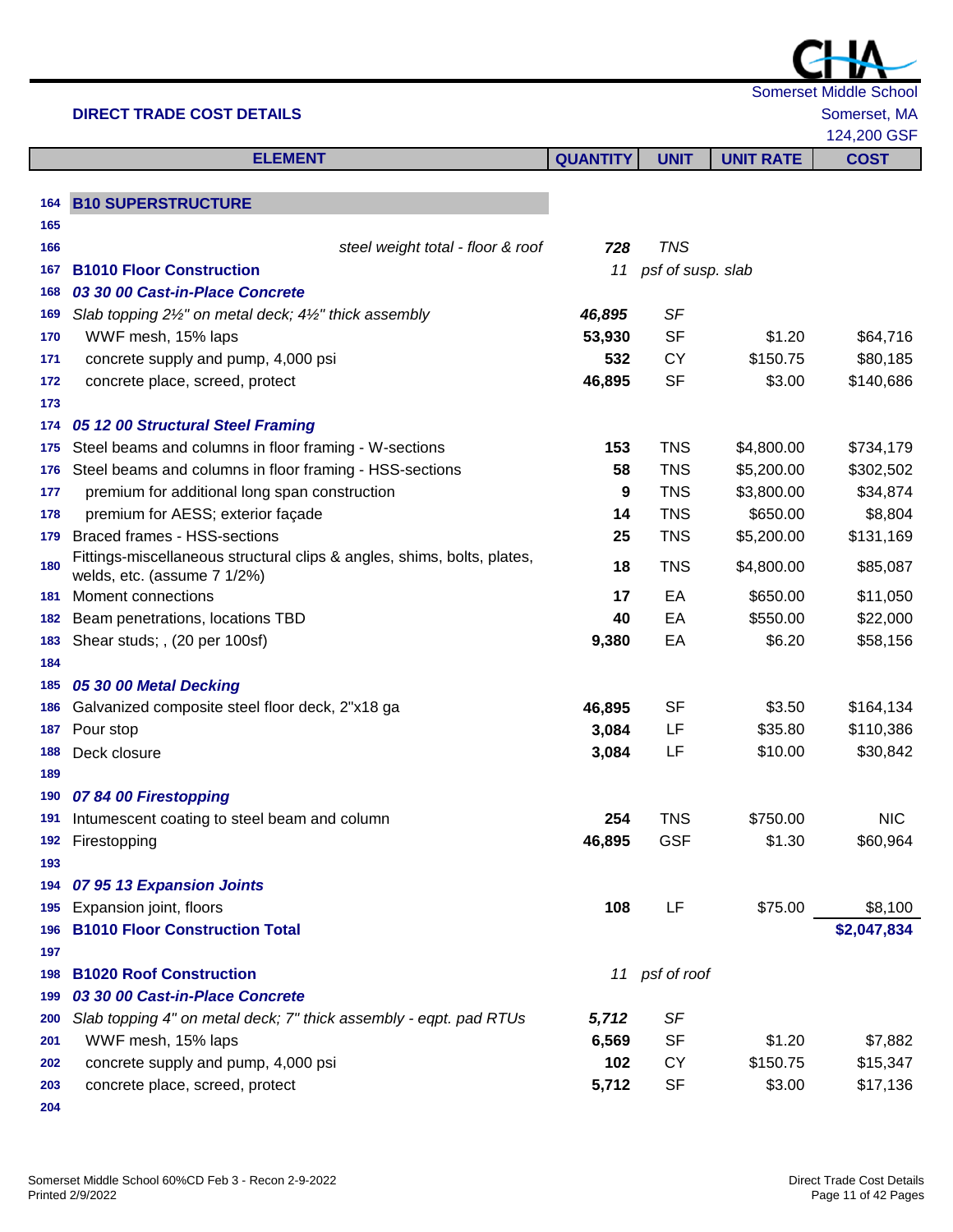**B10 SUPERSTRUCTURE**

**ELEMENT**

| 166 | steel weight total - floor & roof                                                                      | 728    | <b>TNS</b>        |            |             |
|-----|--------------------------------------------------------------------------------------------------------|--------|-------------------|------------|-------------|
| 167 | <b>B1010 Floor Construction</b>                                                                        | 11     | psf of susp. slab |            |             |
| 168 | 03 30 00 Cast-in-Place Concrete                                                                        |        |                   |            |             |
| 169 | Slab topping 2½" on metal deck; 4½" thick assembly                                                     | 46,895 | SF                |            |             |
| 170 | WWF mesh, 15% laps                                                                                     | 53,930 | <b>SF</b>         | \$1.20     | \$64,716    |
| 171 | concrete supply and pump, 4,000 psi                                                                    | 532    | CY                | \$150.75   | \$80,185    |
| 172 | concrete place, screed, protect                                                                        | 46,895 | <b>SF</b>         | \$3.00     | \$140,686   |
| 173 |                                                                                                        |        |                   |            |             |
| 174 | 05 12 00 Structural Steel Framing                                                                      |        |                   |            |             |
| 175 | Steel beams and columns in floor framing - W-sections                                                  | 153    | <b>TNS</b>        | \$4,800.00 | \$734,179   |
| 176 | Steel beams and columns in floor framing - HSS-sections                                                | 58     | <b>TNS</b>        | \$5,200.00 | \$302,502   |
| 177 | premium for additional long span construction                                                          | 9      | <b>TNS</b>        | \$3,800.00 | \$34,874    |
| 178 | premium for AESS; exterior façade                                                                      | 14     | <b>TNS</b>        | \$650.00   | \$8,804     |
| 179 | <b>Braced frames - HSS-sections</b>                                                                    | 25     | <b>TNS</b>        | \$5,200.00 | \$131,169   |
| 180 | Fittings-miscellaneous structural clips & angles, shims, bolts, plates,<br>welds, etc. (assume 7 1/2%) | 18     | <b>TNS</b>        | \$4,800.00 | \$85,087    |
| 181 | Moment connections                                                                                     | 17     | EA                | \$650.00   | \$11,050    |
| 182 | Beam penetrations, locations TBD                                                                       | 40     | EA                | \$550.00   | \$22,000    |
| 183 | Shear studs; , (20 per 100sf)                                                                          | 9,380  | EA                | \$6.20     | \$58,156    |
| 184 |                                                                                                        |        |                   |            |             |
| 185 | 05 30 00 Metal Decking                                                                                 |        |                   |            |             |
| 186 | Galvanized composite steel floor deck, 2"x18 ga                                                        | 46,895 | <b>SF</b>         | \$3.50     | \$164,134   |
| 187 | Pour stop                                                                                              | 3,084  | LF                | \$35.80    | \$110,386   |
| 188 | Deck closure                                                                                           | 3,084  | LF                | \$10.00    | \$30,842    |
| 189 |                                                                                                        |        |                   |            |             |
| 190 | 07 84 00 Firestopping                                                                                  |        |                   |            |             |
| 191 | Intumescent coating to steel beam and column                                                           | 254    | <b>TNS</b>        | \$750.00   | <b>NIC</b>  |
| 192 | Firestopping                                                                                           | 46,895 | <b>GSF</b>        | \$1.30     | \$60,964    |
| 193 |                                                                                                        |        |                   |            |             |
| 194 | 07 95 13 Expansion Joints                                                                              |        |                   |            |             |
| 195 | Expansion joint, floors                                                                                | 108    | LF                | \$75.00    | \$8,100     |
| 196 | <b>B1010 Floor Construction Total</b>                                                                  |        |                   |            | \$2,047,834 |
| 197 |                                                                                                        |        |                   |            |             |
| 198 | <b>B1020 Roof Construction</b>                                                                         |        | 11 psf of roof    |            |             |
| 199 | 03 30 00 Cast-in-Place Concrete                                                                        |        |                   |            |             |
| 200 | Slab topping 4" on metal deck; 7" thick assembly - eqpt. pad RTUs                                      | 5,712  | SF                |            |             |
| 201 | WWF mesh, 15% laps                                                                                     | 6,569  | <b>SF</b>         | \$1.20     | \$7,882     |
| 202 | concrete supply and pump, 4,000 psi                                                                    | 102    | CY                | \$150.75   | \$15,347    |

concrete place, screed, protect **5,712** SF \$3.00 \$17,136

**QUANTITY UNIT UNIT RATE COST**

124,200 GSF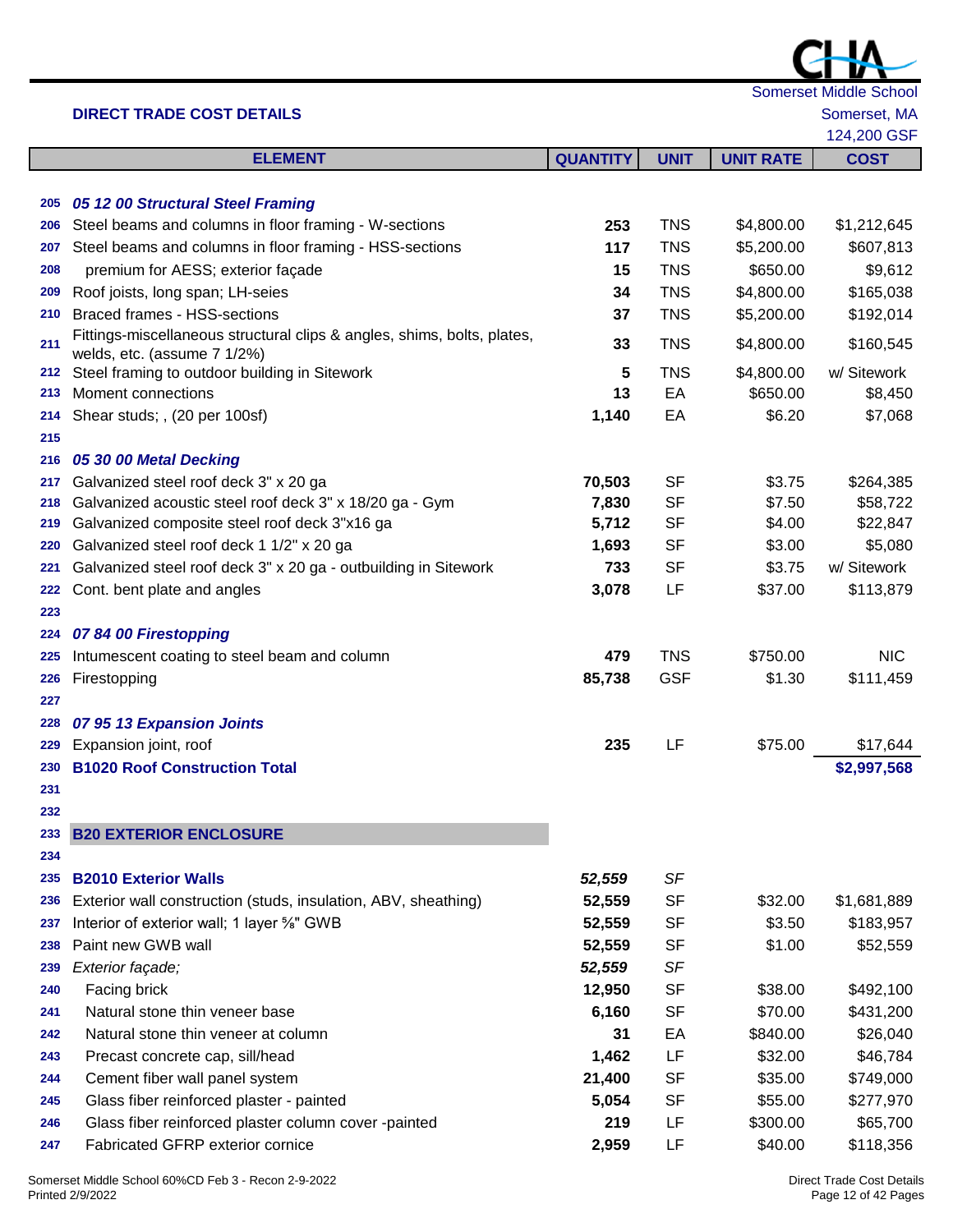|     |                                                                              |                 |             |                  | <b>Somerset Middle School</b> |
|-----|------------------------------------------------------------------------------|-----------------|-------------|------------------|-------------------------------|
|     | <b>DIRECT TRADE COST DETAILS</b>                                             |                 |             |                  | Somerset, MA                  |
|     |                                                                              |                 |             |                  | 124,200 GSF                   |
|     | <b>ELEMENT</b>                                                               | <b>QUANTITY</b> | <b>UNIT</b> | <b>UNIT RATE</b> | <b>COST</b>                   |
|     |                                                                              |                 |             |                  |                               |
| 205 | 05 12 00 Structural Steel Framing                                            |                 |             |                  |                               |
| 206 | Steel beams and columns in floor framing - W-sections                        | 253             | <b>TNS</b>  | \$4,800.00       | \$1,212,645                   |
| 207 | Steel beams and columns in floor framing - HSS-sections                      | 117             | <b>TNS</b>  | \$5,200.00       | \$607,813                     |
| 208 | premium for AESS; exterior façade                                            | 15              | <b>TNS</b>  | \$650.00         | \$9,612                       |
| 209 | Roof joists, long span; LH-seies                                             | 34              | <b>TNS</b>  | \$4,800.00       | \$165,038                     |
| 210 | <b>Braced frames - HSS-sections</b>                                          | 37              | <b>TNS</b>  | \$5,200.00       | \$192,014                     |
| 211 | Fittings-miscellaneous structural clips & angles, shims, bolts, plates,      | 33              | <b>TNS</b>  | \$4,800.00       | \$160,545                     |
| 212 | welds, etc. (assume 7 1/2%)<br>Steel framing to outdoor building in Sitework | 5               | <b>TNS</b>  | \$4,800.00       | w/ Sitework                   |
| 213 | Moment connections                                                           | 13              | EA          | \$650.00         | \$8,450                       |
| 214 | Shear studs; , (20 per 100sf)                                                | 1,140           | EA          | \$6.20           | \$7,068                       |
| 215 |                                                                              |                 |             |                  |                               |
| 216 | 05 30 00 Metal Decking                                                       |                 |             |                  |                               |
| 217 | Galvanized steel roof deck 3" x 20 ga                                        | 70,503          | <b>SF</b>   | \$3.75           | \$264,385                     |
| 218 | Galvanized acoustic steel roof deck 3" x 18/20 ga - Gym                      | 7,830           | <b>SF</b>   | \$7.50           | \$58,722                      |
| 219 | Galvanized composite steel roof deck 3"x16 ga                                | 5,712           | <b>SF</b>   | \$4.00           | \$22,847                      |
| 220 | Galvanized steel roof deck 1 1/2" x 20 ga                                    | 1,693           | <b>SF</b>   | \$3.00           | \$5,080                       |
| 221 | Galvanized steel roof deck 3" x 20 ga - outbuilding in Sitework              | 733             | <b>SF</b>   | \$3.75           | w/ Sitework                   |
| 222 | Cont. bent plate and angles                                                  | 3,078           | LF          | \$37.00          | \$113,879                     |
| 223 |                                                                              |                 |             |                  |                               |
| 224 | 07 84 00 Firestopping                                                        |                 |             |                  |                               |
| 225 | Intumescent coating to steel beam and column                                 | 479             | <b>TNS</b>  | \$750.00         | <b>NIC</b>                    |
| 226 | Firestopping                                                                 | 85,738          | <b>GSF</b>  | \$1.30           | \$111,459                     |
| 227 |                                                                              |                 |             |                  |                               |
| 228 | 07 95 13 Expansion Joints                                                    |                 |             |                  |                               |
| 229 | Expansion joint, roof                                                        | 235             | LF          | \$75.00          | \$17,644                      |
| 230 | <b>B1020 Roof Construction Total</b>                                         |                 |             |                  | \$2,997,568                   |
| 231 |                                                                              |                 |             |                  |                               |
| 232 |                                                                              |                 |             |                  |                               |
| 233 | <b>B20 EXTERIOR ENCLOSURE</b>                                                |                 |             |                  |                               |
| 234 |                                                                              |                 |             |                  |                               |
| 235 | <b>B2010 Exterior Walls</b>                                                  | 52,559          | SF          |                  |                               |
| 236 | Exterior wall construction (studs, insulation, ABV, sheathing)               | 52,559          | <b>SF</b>   | \$32.00          | \$1,681,889                   |
| 237 | Interior of exterior wall; 1 layer 5%" GWB                                   | 52,559          | <b>SF</b>   | \$3.50           | \$183,957                     |
| 238 | Paint new GWB wall                                                           | 52,559          | <b>SF</b>   | \$1.00           | \$52,559                      |
| 239 | Exterior façade;                                                             | 52,559          | SF          |                  |                               |
| 240 | Facing brick                                                                 | 12,950          | <b>SF</b>   | \$38.00          | \$492,100                     |
| 241 | Natural stone thin veneer base                                               | 6,160           | SF          | \$70.00          | \$431,200                     |

 Natural stone thin veneer at column **31** EA \$840.00 \$26,040 Precast concrete cap, sill/head **1,462** LF \$32.00 \$46,784 Cement fiber wall panel system **21,400** SF \$35.00 \$749,000 Glass fiber reinforced plaster - painted **5,054** SF \$55.00 \$277,970 246 Glass fiber reinforced plaster column cover -painted **219** LF \$300.00 \$65,700 Fabricated GFRP exterior cornice **2,959** LF \$40.00 \$118,356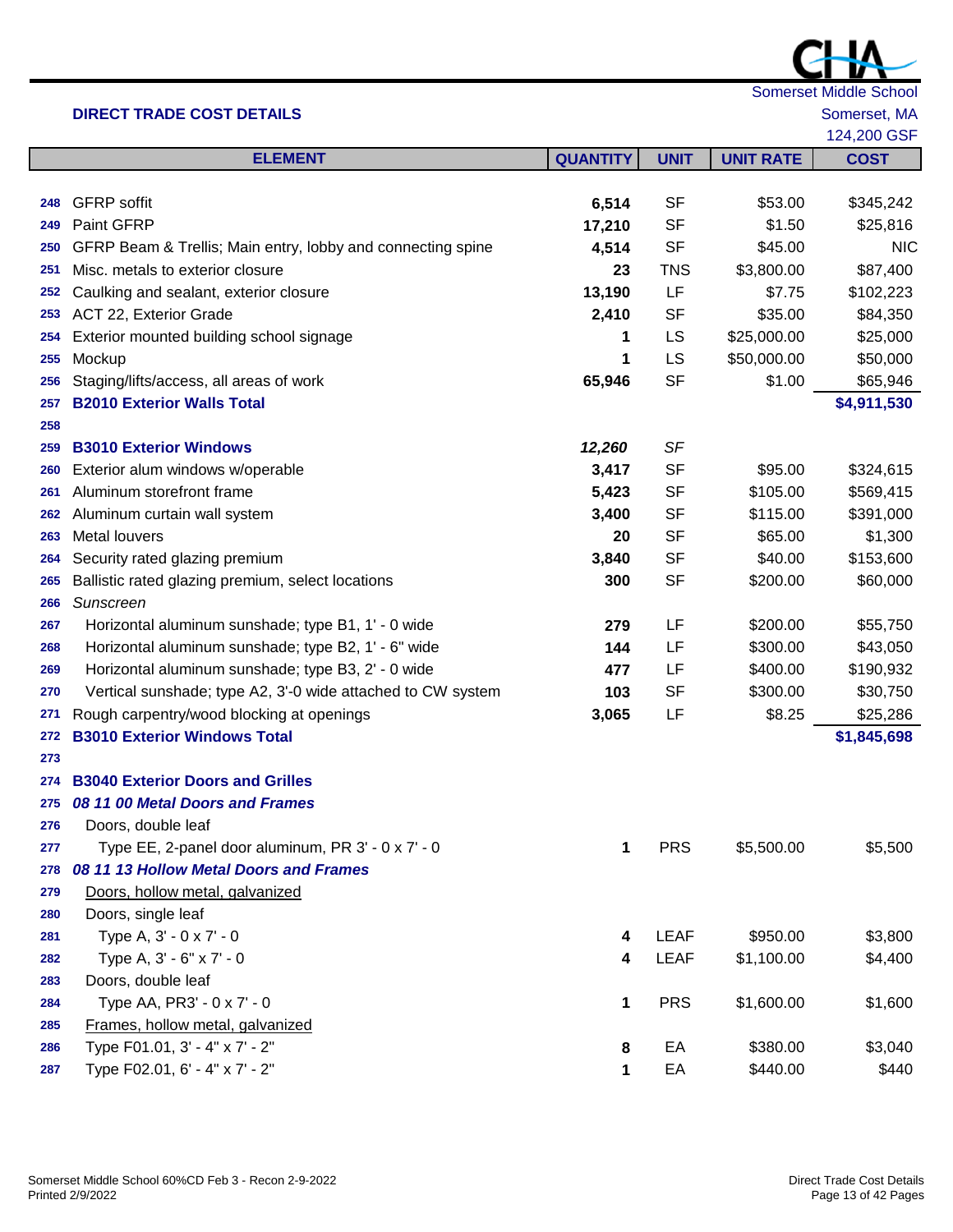

|     |                                                             |                 |             |                  | 124,200 GSF |
|-----|-------------------------------------------------------------|-----------------|-------------|------------------|-------------|
|     | <b>ELEMENT</b>                                              | <b>QUANTITY</b> | <b>UNIT</b> | <b>UNIT RATE</b> | <b>COST</b> |
|     |                                                             |                 |             |                  |             |
| 248 | <b>GFRP</b> soffit                                          | 6,514           | <b>SF</b>   | \$53.00          | \$345,242   |
| 249 | Paint GFRP                                                  | 17,210          | <b>SF</b>   | \$1.50           | \$25,816    |
| 250 | GFRP Beam & Trellis; Main entry, lobby and connecting spine | 4,514           | <b>SF</b>   | \$45.00          | <b>NIC</b>  |
| 251 | Misc. metals to exterior closure                            | 23              | <b>TNS</b>  | \$3,800.00       | \$87,400    |
| 252 | Caulking and sealant, exterior closure                      | 13,190          | LF          | \$7.75           | \$102,223   |
| 253 | ACT 22, Exterior Grade                                      | 2,410           | <b>SF</b>   | \$35.00          | \$84,350    |
| 254 | Exterior mounted building school signage                    | 1               | LS          | \$25,000.00      | \$25,000    |
| 255 | Mockup                                                      | 1               | LS          | \$50,000.00      | \$50,000    |
| 256 | Staging/lifts/access, all areas of work                     | 65,946          | <b>SF</b>   | \$1.00           | \$65,946    |
| 257 | <b>B2010 Exterior Walls Total</b>                           |                 |             |                  | \$4,911,530 |
| 258 |                                                             |                 |             |                  |             |
| 259 | <b>B3010 Exterior Windows</b>                               | 12,260          | SF          |                  |             |
| 260 | Exterior alum windows w/operable                            | 3,417           | <b>SF</b>   | \$95.00          | \$324,615   |
| 261 | Aluminum storefront frame                                   | 5,423           | <b>SF</b>   | \$105.00         | \$569,415   |
| 262 | Aluminum curtain wall system                                | 3,400           | <b>SF</b>   | \$115.00         | \$391,000   |
| 263 | Metal louvers                                               | 20              | <b>SF</b>   | \$65.00          | \$1,300     |
| 264 | Security rated glazing premium                              | 3,840           | <b>SF</b>   | \$40.00          | \$153,600   |
| 265 | Ballistic rated glazing premium, select locations           | 300             | <b>SF</b>   | \$200.00         | \$60,000    |
| 266 | Sunscreen                                                   |                 |             |                  |             |
| 267 | Horizontal aluminum sunshade; type B1, 1' - 0 wide          | 279             | LF          | \$200.00         | \$55,750    |
| 268 | Horizontal aluminum sunshade; type B2, 1' - 6" wide         | 144             | LF          | \$300.00         | \$43,050    |
| 269 | Horizontal aluminum sunshade; type B3, 2' - 0 wide          | 477             | LF          | \$400.00         | \$190,932   |
| 270 | Vertical sunshade; type A2, 3'-0 wide attached to CW system | 103             | <b>SF</b>   | \$300.00         | \$30,750    |
| 271 | Rough carpentry/wood blocking at openings                   | 3,065           | LF          | \$8.25           | \$25,286    |
| 272 | <b>B3010 Exterior Windows Total</b>                         |                 |             |                  | \$1,845,698 |
| 273 |                                                             |                 |             |                  |             |
| 274 | <b>B3040 Exterior Doors and Grilles</b>                     |                 |             |                  |             |
| 275 | 08 11 00 Metal Doors and Frames                             |                 |             |                  |             |
| 276 | Doors, double leaf                                          |                 |             |                  |             |
| 277 | Type EE, 2-panel door aluminum, PR 3' - 0 x 7' - 0          | 1               | <b>PRS</b>  | \$5,500.00       | \$5,500     |
| 278 | 08 11 13 Hollow Metal Doors and Frames                      |                 |             |                  |             |
| 279 | Doors, hollow metal, galvanized                             |                 |             |                  |             |
| 280 | Doors, single leaf                                          |                 |             |                  |             |
| 281 | Type A, 3' - 0 x 7' - 0                                     | 4               | <b>LEAF</b> | \$950.00         | \$3,800     |
| 282 | Type A, 3' - 6" x 7' - 0                                    | 4               | <b>LEAF</b> | \$1,100.00       | \$4,400     |
| 283 | Doors, double leaf                                          |                 |             |                  |             |
| 284 | Type AA, PR3' - 0 x 7' - 0                                  | 1               | <b>PRS</b>  | \$1,600.00       | \$1,600     |
| 285 | Frames, hollow metal, galvanized                            |                 |             |                  |             |
| 286 | Type F01.01, 3' - 4" x 7' - 2"                              | 8               | EA          | \$380.00         | \$3,040     |
| 287 | Type F02.01, 6' - 4" x 7' - 2"                              | 1               | EA          | \$440.00         | \$440       |

Somerset Middle School 60%CD Feb 3 - Recon 2-9-2022 Printed 2/9/2022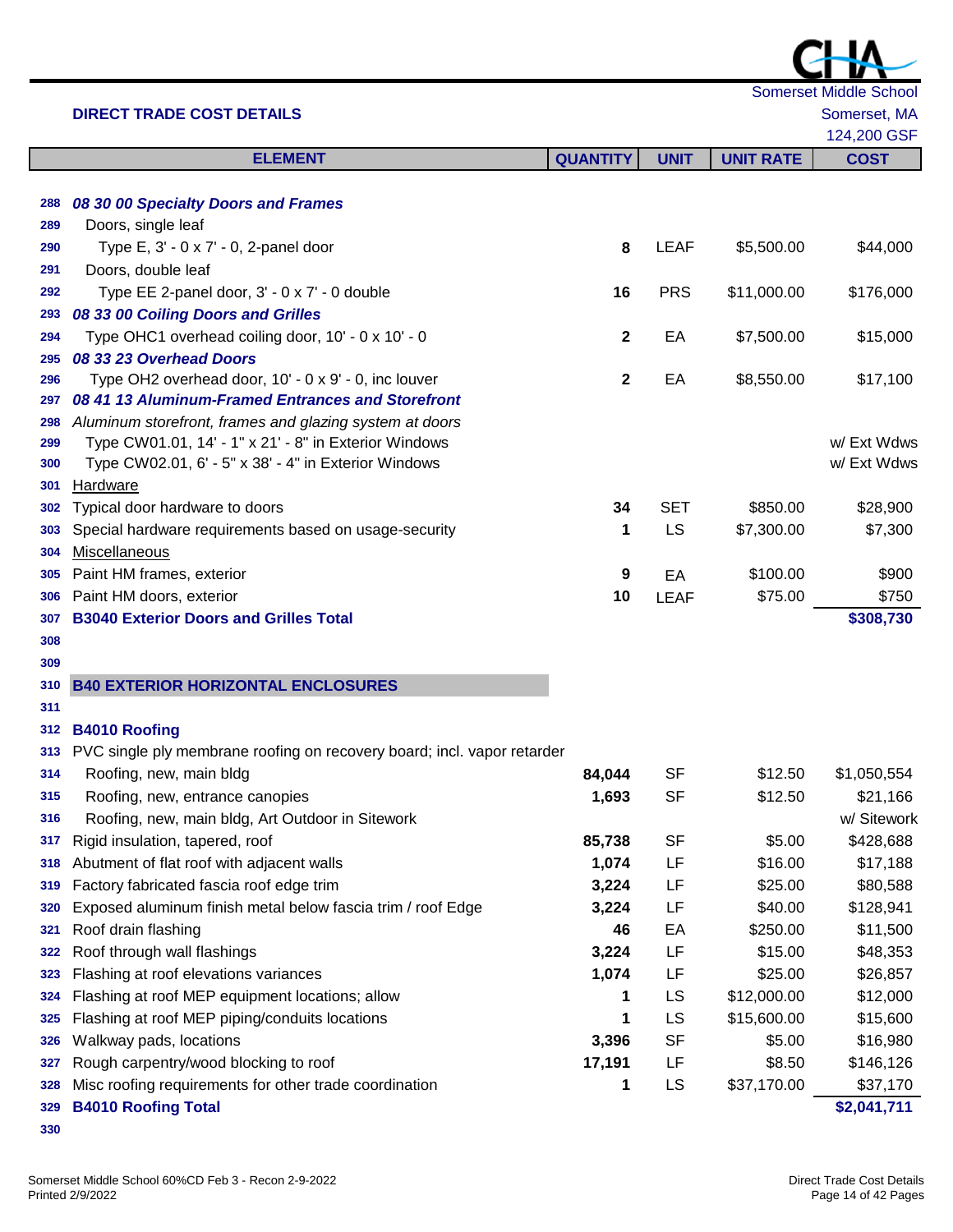L

|            |                                                                                                 |                 |             |                        | 124,200 GSF |
|------------|-------------------------------------------------------------------------------------------------|-----------------|-------------|------------------------|-------------|
|            | <b>ELEMENT</b>                                                                                  | <b>QUANTITY</b> | <b>UNIT</b> | <b>UNIT RATE</b>       | <b>COST</b> |
|            |                                                                                                 |                 |             |                        |             |
| 288        | 08 30 00 Specialty Doors and Frames                                                             |                 |             |                        |             |
| 289        | Doors, single leaf                                                                              |                 |             |                        |             |
| 290        | Type E, 3' - 0 x 7' - 0, 2-panel door                                                           | 8               | <b>LEAF</b> | \$5,500.00             | \$44,000    |
| 291        | Doors, double leaf                                                                              |                 |             |                        |             |
| 292        | Type EE 2-panel door, 3' - 0 x 7' - 0 double                                                    | 16              | <b>PRS</b>  | \$11,000.00            | \$176,000   |
| 293        | 08 33 00 Coiling Doors and Grilles                                                              |                 |             |                        |             |
| 294        | Type OHC1 overhead coiling door, 10' - 0 x 10' - 0                                              | $\mathbf{2}$    | EA          | \$7,500.00             | \$15,000    |
| 295        | 08 33 23 Overhead Doors                                                                         |                 |             |                        |             |
| 296        | Type OH2 overhead door, 10' - 0 x 9' - 0, inc louver                                            | $\mathbf{2}$    | EA          | \$8,550.00             | \$17,100    |
| 297        | 08 41 13 Aluminum-Framed Entrances and Storefront                                               |                 |             |                        |             |
| 298        | Aluminum storefront, frames and glazing system at doors                                         |                 |             |                        |             |
| 299        | Type CW01.01, 14' - 1" x 21' - 8" in Exterior Windows                                           |                 |             |                        | w/ Ext Wdws |
| 300        | Type CW02.01, 6' - 5" x 38' - 4" in Exterior Windows                                            |                 |             |                        | w/ Ext Wdws |
| 301        | <b>Hardware</b>                                                                                 |                 |             |                        |             |
| 302        | Typical door hardware to doors                                                                  | 34              | <b>SET</b>  | \$850.00               | \$28,900    |
| 303        | Special hardware requirements based on usage-security                                           | 1               | LS          | \$7,300.00             | \$7,300     |
| 304        | Miscellaneous                                                                                   |                 |             |                        |             |
| 305        | Paint HM frames, exterior                                                                       | 9               | EA          | \$100.00               | \$900       |
| 306        | Paint HM doors, exterior                                                                        | 10              | <b>LEAF</b> | \$75.00                | \$750       |
| 307        | <b>B3040 Exterior Doors and Grilles Total</b>                                                   |                 |             |                        | \$308,730   |
| 308        |                                                                                                 |                 |             |                        |             |
| 309        |                                                                                                 |                 |             |                        |             |
| 310        | <b>B40 EXTERIOR HORIZONTAL ENCLOSURES</b>                                                       |                 |             |                        |             |
| 311        |                                                                                                 |                 |             |                        |             |
| 312        | <b>B4010 Roofing</b><br>PVC single ply membrane roofing on recovery board; incl. vapor retarder |                 |             |                        |             |
| 313        | Roofing, new, main bldg                                                                         |                 | <b>SF</b>   | \$12.50                | \$1,050,554 |
| 314        | Roofing, new, entrance canopies                                                                 | 84,044          | <b>SF</b>   | \$12.50                | \$21,166    |
| 315        |                                                                                                 | 1,693           |             |                        | w/ Sitework |
| 316        | Roofing, new, main bldg, Art Outdoor in Sitework                                                | 85,738          | <b>SF</b>   | \$5.00                 | \$428,688   |
| 317        | Rigid insulation, tapered, roof<br>Abutment of flat roof with adjacent walls                    | 1,074           | LF          | \$16.00                | \$17,188    |
| 318        | Factory fabricated fascia roof edge trim                                                        | 3,224           | LF          | \$25.00                | \$80,588    |
| 319        | Exposed aluminum finish metal below fascia trim / roof Edge                                     | 3,224           | LF          | \$40.00                | \$128,941   |
| 320        | Roof drain flashing                                                                             | 46              | EA          | \$250.00               | \$11,500    |
| 321        | Roof through wall flashings                                                                     | 3,224           | LF          | \$15.00                | \$48,353    |
| 322        |                                                                                                 | 1,074           |             |                        | \$26,857    |
| 323<br>324 | Flashing at roof elevations variances<br>Flashing at roof MEP equipment locations; allow        | 1               | LF<br>LS    | \$25.00<br>\$12,000.00 | \$12,000    |
| 325        | Flashing at roof MEP piping/conduits locations                                                  | 1               | LS          | \$15,600.00            | \$15,600    |
| 326        | Walkway pads, locations                                                                         | 3,396           | <b>SF</b>   | \$5.00                 | \$16,980    |
| 327        | Rough carpentry/wood blocking to roof                                                           | 17,191          | LF          | \$8.50                 | \$146,126   |
| 328        | Misc roofing requirements for other trade coordination                                          | 1               | LS          | \$37,170.00            | \$37,170    |
| 329        | <b>B4010 Roofing Total</b>                                                                      |                 |             |                        | \$2,041,711 |
|            |                                                                                                 |                 |             |                        |             |

- 
- 

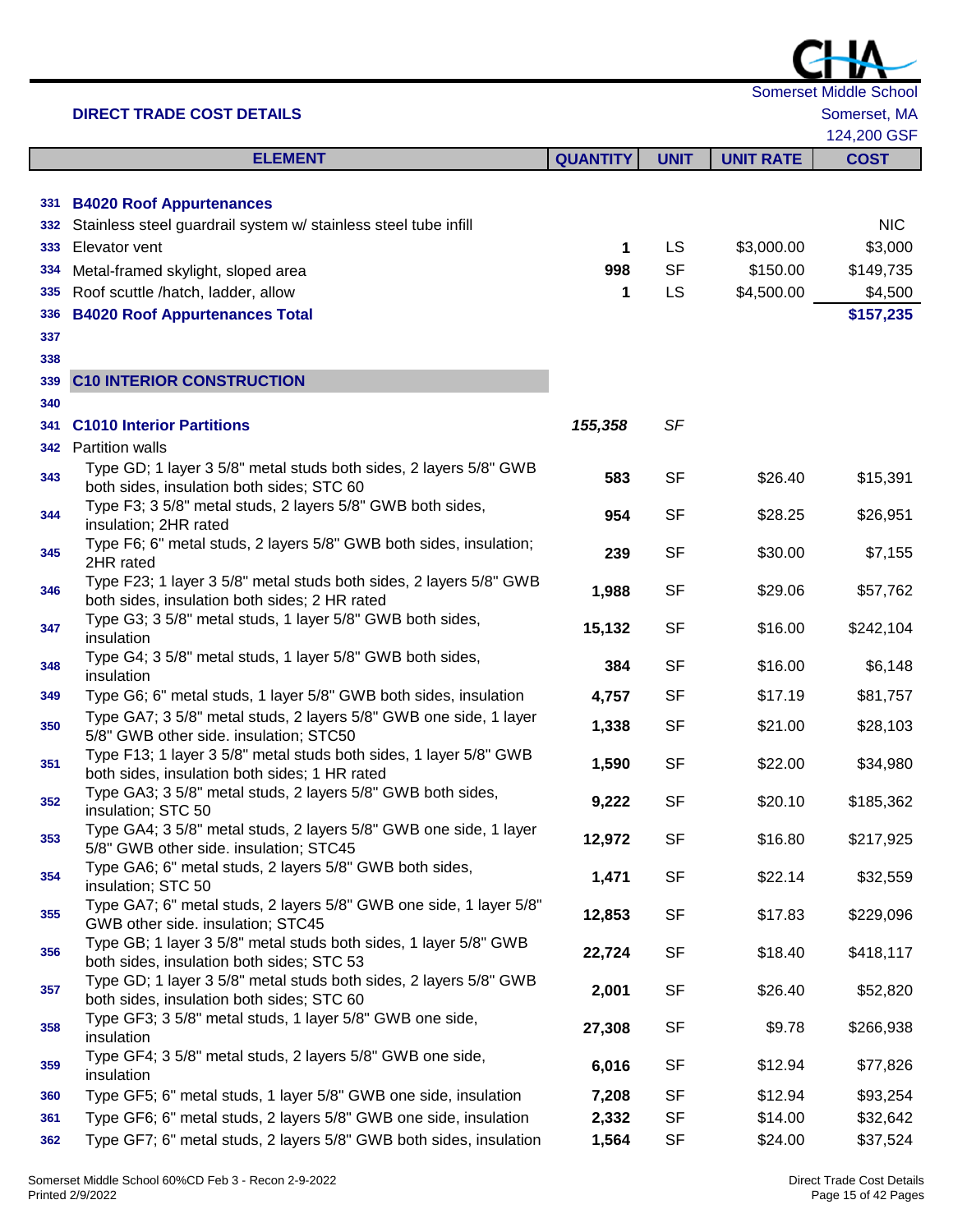|            |                                                                                                                     |                 |             |                  | <b>Somerset Middle School</b> |
|------------|---------------------------------------------------------------------------------------------------------------------|-----------------|-------------|------------------|-------------------------------|
|            | <b>DIRECT TRADE COST DETAILS</b>                                                                                    |                 |             |                  | Somerset, MA<br>124,200 GSF   |
|            | <b>ELEMENT</b>                                                                                                      | <b>QUANTITY</b> | <b>UNIT</b> | <b>UNIT RATE</b> | <b>COST</b>                   |
|            |                                                                                                                     |                 |             |                  |                               |
|            | 331 B4020 Roof Appurtenances                                                                                        |                 |             |                  |                               |
| 332        | Stainless steel guardrail system w/ stainless steel tube infill                                                     |                 |             |                  | <b>NIC</b>                    |
| 333        | Elevator vent                                                                                                       | 1               | <b>LS</b>   | \$3,000.00       | \$3,000                       |
| 334        | Metal-framed skylight, sloped area                                                                                  | 998             | <b>SF</b>   | \$150.00         | \$149,735                     |
| 335<br>336 | Roof scuttle /hatch, ladder, allow<br><b>B4020 Roof Appurtenances Total</b>                                         | 1               | <b>LS</b>   | \$4,500.00       | \$4,500<br>\$157,235          |
| 337        |                                                                                                                     |                 |             |                  |                               |
| 338        |                                                                                                                     |                 |             |                  |                               |
| 339        | <b>C10 INTERIOR CONSTRUCTION</b>                                                                                    |                 |             |                  |                               |
| 340        |                                                                                                                     |                 |             |                  |                               |
| 341        | <b>C1010 Interior Partitions</b>                                                                                    | 155,358         | SF          |                  |                               |
|            | 342 Partition walls                                                                                                 |                 |             |                  |                               |
| 343        | Type GD; 1 layer 3 5/8" metal studs both sides, 2 layers 5/8" GWB<br>both sides, insulation both sides; STC 60      | 583             | <b>SF</b>   | \$26.40          | \$15,391                      |
| 344        | Type F3; 3 5/8" metal studs, 2 layers 5/8" GWB both sides,<br>insulation; 2HR rated                                 | 954             | <b>SF</b>   | \$28.25          | \$26,951                      |
| 345        | Type F6; 6" metal studs, 2 layers 5/8" GWB both sides, insulation;<br>2HR rated                                     | 239             | <b>SF</b>   | \$30.00          | \$7,155                       |
| 346        | Type F23; 1 layer 3 5/8" metal studs both sides, 2 layers 5/8" GWB<br>both sides, insulation both sides; 2 HR rated | 1,988           | SF          | \$29.06          | \$57,762                      |
| 347        | Type G3; 3 5/8" metal studs, 1 layer 5/8" GWB both sides,<br>insulation                                             | 15,132          | <b>SF</b>   | \$16.00          | \$242,104                     |
| 348        | Type G4; 3 5/8" metal studs, 1 layer 5/8" GWB both sides,<br>insulation                                             | 384             | <b>SF</b>   | \$16.00          | \$6,148                       |
| 349        | Type G6; 6" metal studs, 1 layer 5/8" GWB both sides, insulation                                                    | 4,757           | <b>SF</b>   | \$17.19          | \$81,757                      |
| 350        | Type GA7; 3 5/8" metal studs, 2 layers 5/8" GWB one side, 1 layer<br>5/8" GWB other side. insulation; STC50         | 1,338           | <b>SF</b>   | \$21.00          | \$28,103                      |
| 351        | Type F13; 1 layer 3 5/8" metal studs both sides, 1 layer 5/8" GWB<br>both sides, insulation both sides; 1 HR rated  | 1,590           | <b>SF</b>   | \$22.00          | \$34,980                      |
| 352        | Type GA3; 3 5/8" metal studs, 2 layers 5/8" GWB both sides,<br>insulation; STC 50                                   | 9,222           | <b>SF</b>   | \$20.10          | \$185,362                     |
| 353        | Type GA4; 3 5/8" metal studs, 2 layers 5/8" GWB one side, 1 layer<br>5/8" GWB other side. insulation; STC45         | 12,972          | SF          | \$16.80          | \$217,925                     |
| 354        | Type GA6; 6" metal studs, 2 layers 5/8" GWB both sides,<br>insulation; STC 50                                       | 1,471           | SF          | \$22.14          | \$32,559                      |
| 355        | Type GA7; 6" metal studs, 2 layers 5/8" GWB one side, 1 layer 5/8"<br>GWB other side. insulation; STC45             | 12,853          | SF          | \$17.83          | \$229,096                     |
| 356        | Type GB; 1 layer 3 5/8" metal studs both sides, 1 layer 5/8" GWB<br>both sides, insulation both sides; STC 53       | 22,724          | SF          | \$18.40          | \$418,117                     |
| 357        | Type GD; 1 layer 3 5/8" metal studs both sides, 2 layers 5/8" GWB<br>both sides, insulation both sides; STC 60      | 2,001           | SF          | \$26.40          | \$52,820                      |
| 358        | Type GF3; 3 5/8" metal studs, 1 layer 5/8" GWB one side,<br>insulation                                              | 27,308          | SF          | \$9.78           | \$266,938                     |
| 359        | Type GF4; 3 5/8" metal studs, 2 layers 5/8" GWB one side,<br>insulation                                             | 6,016           | SF          | \$12.94          | \$77,826                      |
| 360        | Type GF5; 6" metal studs, 1 layer 5/8" GWB one side, insulation                                                     | 7,208           | <b>SF</b>   | \$12.94          | \$93,254                      |
| 361        | Type GF6; 6" metal studs, 2 layers 5/8" GWB one side, insulation                                                    | 2,332           | <b>SF</b>   | \$14.00          | \$32,642                      |
| 362        | Type GF7; 6" metal studs, 2 layers 5/8" GWB both sides, insulation                                                  | 1,564           | <b>SF</b>   | \$24.00          | \$37,524                      |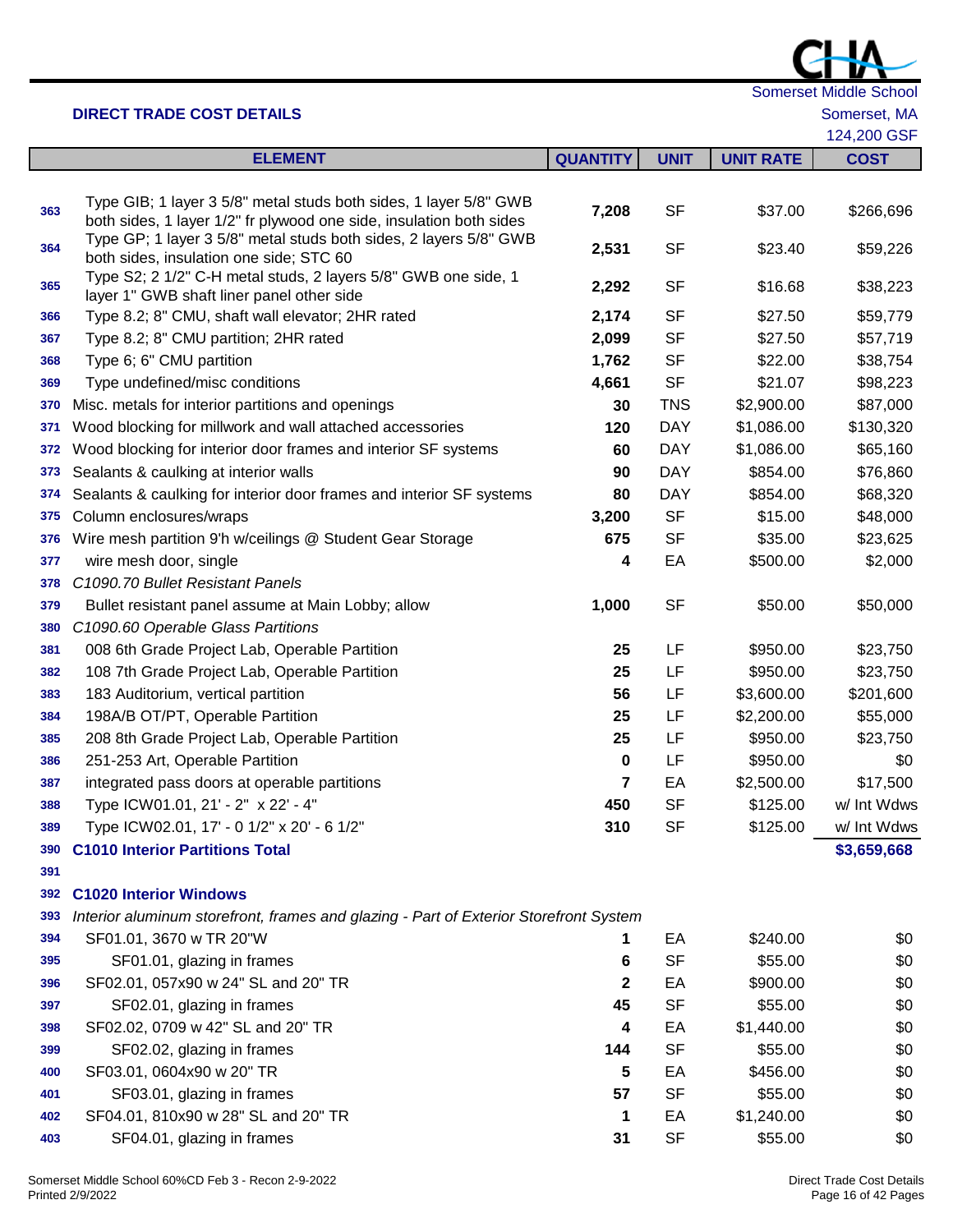| Somerset Middle School |  |
|------------------------|--|

124,200 GSF

|     | <b>ELEMENT</b>                                                                                                                           | <b>QUANTITY</b> | <b>UNIT</b> | <b>UNIT RATE</b> | <b>COST</b> |
|-----|------------------------------------------------------------------------------------------------------------------------------------------|-----------------|-------------|------------------|-------------|
|     |                                                                                                                                          |                 |             |                  |             |
| 363 | Type GIB; 1 layer 3 5/8" metal studs both sides, 1 layer 5/8" GWB<br>both sides, 1 layer 1/2" fr plywood one side, insulation both sides | 7,208           | <b>SF</b>   | \$37.00          | \$266,696   |
| 364 | Type GP; 1 layer 3 5/8" metal studs both sides, 2 layers 5/8" GWB<br>both sides, insulation one side; STC 60                             | 2,531           | <b>SF</b>   | \$23.40          | \$59,226    |
| 365 | Type S2; 2 1/2" C-H metal studs, 2 layers 5/8" GWB one side, 1<br>layer 1" GWB shaft liner panel other side                              | 2,292           | <b>SF</b>   | \$16.68          | \$38,223    |
| 366 | Type 8.2; 8" CMU, shaft wall elevator; 2HR rated                                                                                         | 2,174           | <b>SF</b>   | \$27.50          | \$59,779    |
| 367 | Type 8.2; 8" CMU partition; 2HR rated                                                                                                    | 2,099           | <b>SF</b>   | \$27.50          | \$57,719    |
| 368 | Type 6; 6" CMU partition                                                                                                                 | 1,762           | <b>SF</b>   | \$22.00          | \$38,754    |
| 369 | Type undefined/misc conditions                                                                                                           | 4,661           | <b>SF</b>   | \$21.07          | \$98,223    |
| 370 | Misc. metals for interior partitions and openings                                                                                        | 30              | <b>TNS</b>  | \$2,900.00       | \$87,000    |
| 371 | Wood blocking for millwork and wall attached accessories                                                                                 | 120             | <b>DAY</b>  | \$1,086.00       | \$130,320   |
| 372 | Wood blocking for interior door frames and interior SF systems                                                                           | 60              | <b>DAY</b>  | \$1,086.00       | \$65,160    |
| 373 | Sealants & caulking at interior walls                                                                                                    | 90              | <b>DAY</b>  | \$854.00         | \$76,860    |
| 374 | Sealants & caulking for interior door frames and interior SF systems                                                                     | 80              | <b>DAY</b>  | \$854.00         | \$68,320    |
| 375 | Column enclosures/wraps                                                                                                                  | 3,200           | <b>SF</b>   | \$15.00          | \$48,000    |
| 376 | Wire mesh partition 9'h w/ceilings @ Student Gear Storage                                                                                | 675             | <b>SF</b>   | \$35.00          | \$23,625    |
| 377 | wire mesh door, single                                                                                                                   | 4               | EA          | \$500.00         | \$2,000     |
| 378 | C1090.70 Bullet Resistant Panels                                                                                                         |                 |             |                  |             |
| 379 | Bullet resistant panel assume at Main Lobby; allow                                                                                       | 1,000           | <b>SF</b>   | \$50.00          | \$50,000    |
| 380 | C1090.60 Operable Glass Partitions                                                                                                       |                 |             |                  |             |
| 381 | 008 6th Grade Project Lab, Operable Partition                                                                                            | 25              | LF          | \$950.00         | \$23,750    |
| 382 | 108 7th Grade Project Lab, Operable Partition                                                                                            | 25              | LF          | \$950.00         | \$23,750    |
| 383 | 183 Auditorium, vertical partition                                                                                                       | 56              | LF          | \$3,600.00       | \$201,600   |
| 384 | 198A/B OT/PT, Operable Partition                                                                                                         | 25              | LF          | \$2,200.00       | \$55,000    |
| 385 | 208 8th Grade Project Lab, Operable Partition                                                                                            | 25              | LF          | \$950.00         | \$23,750    |
| 386 | 251-253 Art, Operable Partition                                                                                                          | 0               | LF          | \$950.00         | \$0         |
| 387 | integrated pass doors at operable partitions                                                                                             | 7               | EA          | \$2,500.00       | \$17,500    |
| 388 | Type ICW01.01, 21' - 2" x 22' - 4"                                                                                                       | 450             | <b>SF</b>   | \$125.00         | w/ Int Wdws |
| 389 | Type ICW02.01, 17' - 0 1/2" x 20' - 6 1/2"                                                                                               | 310             | <b>SF</b>   | \$125.00         | w/ Int Wdws |
|     | 390 C1010 Interior Partitions Total                                                                                                      |                 |             |                  | \$3,659,668 |
| 391 |                                                                                                                                          |                 |             |                  |             |
| 392 | <b>C1020 Interior Windows</b>                                                                                                            |                 |             |                  |             |
| 393 | Interior aluminum storefront, frames and glazing - Part of Exterior Storefront System                                                    |                 |             |                  |             |
| 394 | SF01.01, 3670 w TR 20"W                                                                                                                  | 1               | EA          | \$240.00         | \$0         |
| 395 | SF01.01, glazing in frames                                                                                                               | 6               | <b>SF</b>   | \$55.00          | \$0         |
| 396 | SF02.01, 057x90 w 24" SL and 20" TR                                                                                                      | $\mathbf 2$     | EA          | \$900.00         | \$0         |
| 397 | SF02.01, glazing in frames                                                                                                               | 45              | <b>SF</b>   | \$55.00          | \$0         |
| 398 | SF02.02, 0709 w 42" SL and 20" TR                                                                                                        | 4               | EA          | \$1,440.00       | \$0         |
| 399 | SF02.02, glazing in frames                                                                                                               | 144             | <b>SF</b>   | \$55.00          | \$0         |
| 400 | SF03.01, 0604x90 w 20" TR                                                                                                                | 5               | EA          | \$456.00         | \$0         |
| 401 | SF03.01, glazing in frames                                                                                                               | 57              | <b>SF</b>   | \$55.00          | \$0         |
| 402 | SF04.01, 810x90 w 28" SL and 20" TR                                                                                                      | 1               | EA          | \$1,240.00       | \$0         |
| 403 | SF04.01, glazing in frames                                                                                                               | 31              | SF          | \$55.00          | \$0         |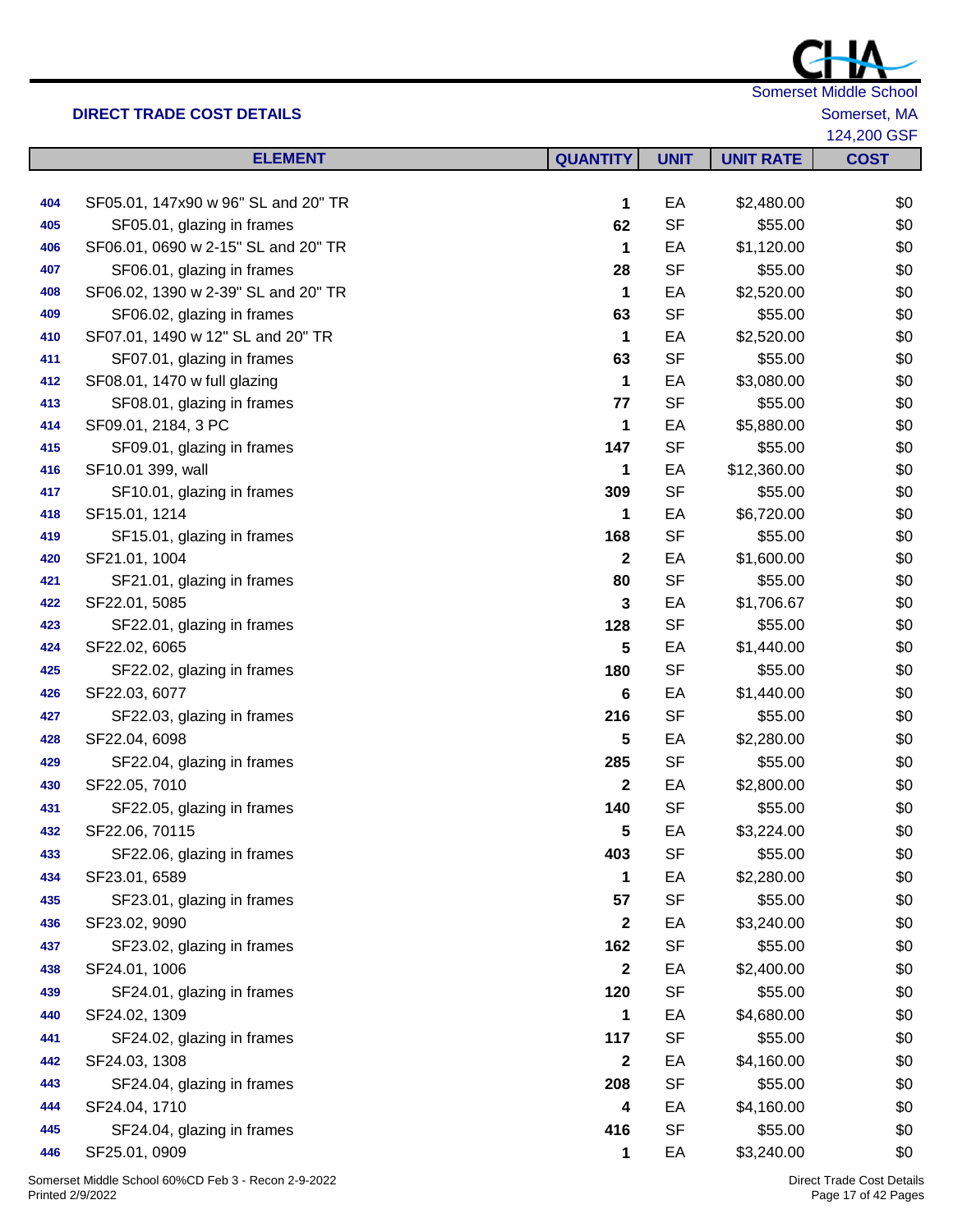Somerset Middle School

124,200 GSF

|     | <b>ELEMENT</b>                      | <b>QUANTITY</b> | <b>UNIT</b> | <b>UNIT RATE</b> | <b>COST</b> |
|-----|-------------------------------------|-----------------|-------------|------------------|-------------|
|     |                                     |                 |             |                  |             |
| 404 | SF05.01, 147x90 w 96" SL and 20" TR | 1               | EA          | \$2,480.00       | \$0         |
| 405 | SF05.01, glazing in frames          | 62              | <b>SF</b>   | \$55.00          | \$0         |
| 406 | SF06.01, 0690 w 2-15" SL and 20" TR | 1               | EA          | \$1,120.00       | \$0         |
| 407 | SF06.01, glazing in frames          | 28              | <b>SF</b>   | \$55.00          | \$0         |
| 408 | SF06.02, 1390 w 2-39" SL and 20" TR | 1               | EA          | \$2,520.00       | \$0         |
| 409 | SF06.02, glazing in frames          | 63              | <b>SF</b>   | \$55.00          | \$0         |
| 410 | SF07.01, 1490 w 12" SL and 20" TR   | 1               | EA          | \$2,520.00       | \$0         |
| 411 | SF07.01, glazing in frames          | 63              | <b>SF</b>   | \$55.00          | \$0         |
| 412 | SF08.01, 1470 w full glazing        | 1               | EA          | \$3,080.00       | \$0         |
| 413 | SF08.01, glazing in frames          | 77              | <b>SF</b>   | \$55.00          | \$0         |
| 414 | SF09.01, 2184, 3 PC                 | 1               | EA          | \$5,880.00       | \$0         |
| 415 | SF09.01, glazing in frames          | 147             | <b>SF</b>   | \$55.00          | \$0         |
| 416 | SF10.01 399, wall                   | 1               | EA          | \$12,360.00      | \$0         |
| 417 | SF10.01, glazing in frames          | 309             | <b>SF</b>   | \$55.00          | \$0         |
| 418 | SF15.01, 1214                       | 1               | EA          | \$6,720.00       | \$0         |
| 419 | SF15.01, glazing in frames          | 168             | <b>SF</b>   | \$55.00          | \$0         |
| 420 | SF21.01, 1004                       | $\mathbf 2$     | EA          | \$1,600.00       | \$0         |
| 421 | SF21.01, glazing in frames          | 80              | <b>SF</b>   | \$55.00          | \$0         |
| 422 | SF22.01, 5085                       | 3               | EA          | \$1,706.67       | \$0         |
| 423 | SF22.01, glazing in frames          | 128             | <b>SF</b>   | \$55.00          | \$0         |
| 424 | SF22.02, 6065                       | 5               | EA          | \$1,440.00       | \$0         |
| 425 | SF22.02, glazing in frames          | 180             | <b>SF</b>   | \$55.00          | \$0         |
| 426 | SF22.03, 6077                       | 6               | EA          | \$1,440.00       | \$0         |
| 427 | SF22.03, glazing in frames          | 216             | <b>SF</b>   | \$55.00          | \$0         |
| 428 | SF22.04, 6098                       | 5               | EA          | \$2,280.00       | \$0         |
| 429 | SF22.04, glazing in frames          | 285             | <b>SF</b>   | \$55.00          | \$0         |
| 430 | SF22.05, 7010                       | $\mathbf{2}$    | EA          | \$2,800.00       | \$0         |
| 431 | SF22.05, glazing in frames          | 140             | <b>SF</b>   | \$55.00          | \$0         |
| 432 | SF22.06, 70115                      | 5               | EA          | \$3,224.00       | \$0         |
| 433 | SF22.06, glazing in frames          | 403             | <b>SF</b>   | \$55.00          | \$0         |
| 434 | SF23.01, 6589                       |                 | EA          | \$2,280.00       | \$0         |
| 435 | SF23.01, glazing in frames          | 57              | <b>SF</b>   | \$55.00          | \$0         |
| 436 | SF23.02, 9090                       | 2               | EA          | \$3,240.00       | \$0         |
| 437 | SF23.02, glazing in frames          | 162             | <b>SF</b>   | \$55.00          | \$0         |
| 438 | SF24.01, 1006                       | 2               | EA          | \$2,400.00       | \$0         |
| 439 | SF24.01, glazing in frames          | 120             | <b>SF</b>   | \$55.00          | \$0         |
| 440 | SF24.02, 1309                       | 1               | EA          | \$4,680.00       | \$0         |
| 441 | SF24.02, glazing in frames          | 117             | <b>SF</b>   | \$55.00          | \$0         |
| 442 | SF24.03, 1308                       | $\mathbf{2}$    | EA          | \$4,160.00       | \$0         |
| 443 | SF24.04, glazing in frames          | 208             | <b>SF</b>   | \$55.00          | \$0         |
| 444 | SF24.04, 1710                       | 4               | EA          | \$4,160.00       | \$0         |
| 445 | SF24.04, glazing in frames          | 416             | <b>SF</b>   | \$55.00          | \$0         |
| 446 | SF25.01, 0909                       | 1               | EA          | \$3,240.00       | \$0         |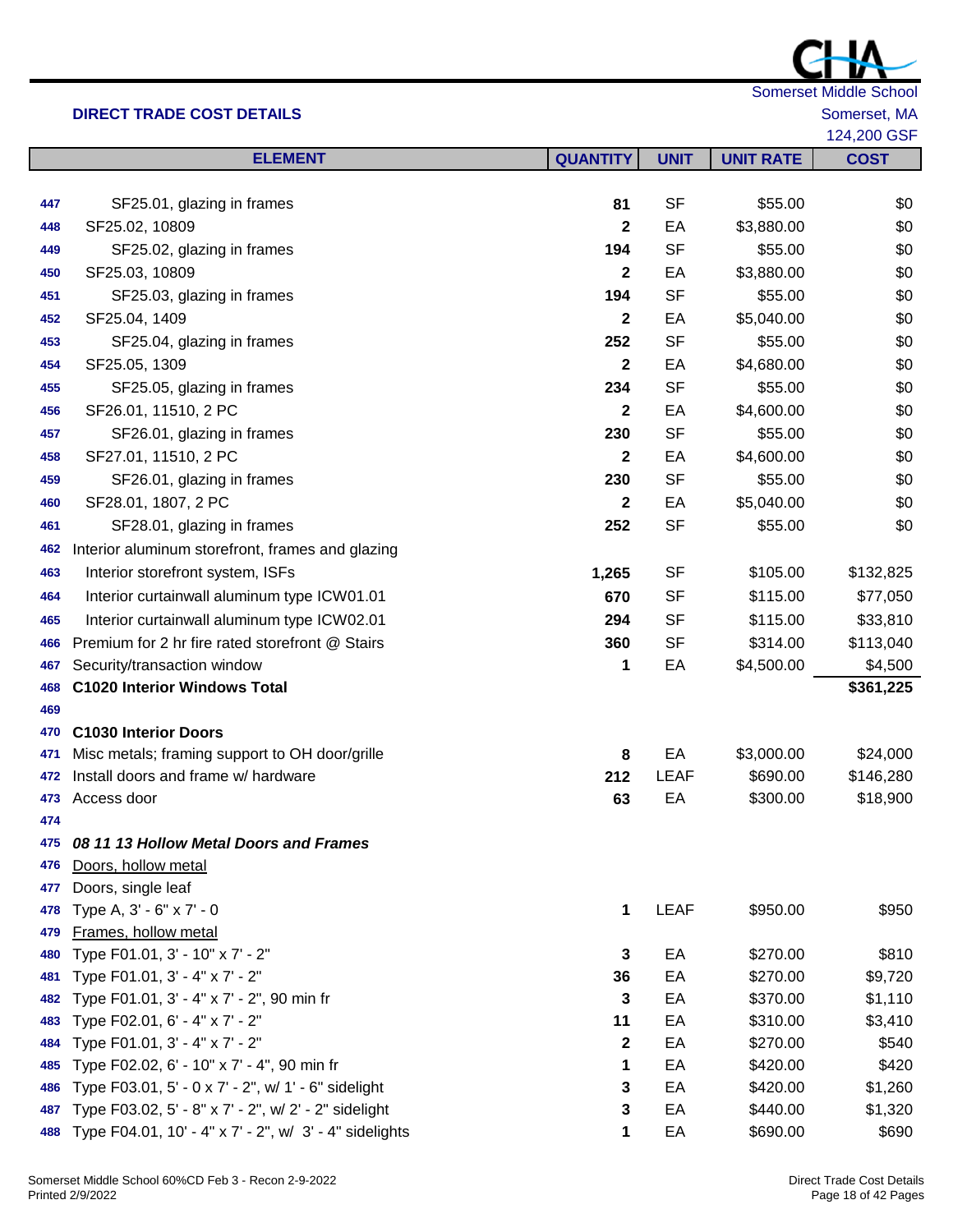| 124,200 GSF |  |
|-------------|--|
|             |  |

|     | <b>ELEMENT</b>                                         | <b>QUANTITY</b> | <b>UNIT</b> | <b>UNIT RATE</b> | <b>COST</b> |
|-----|--------------------------------------------------------|-----------------|-------------|------------------|-------------|
|     |                                                        |                 |             |                  |             |
| 447 | SF25.01, glazing in frames                             | 81              | <b>SF</b>   | \$55.00          | \$0         |
| 448 | SF25.02, 10809                                         | 2               | EA          | \$3,880.00       | \$0         |
| 449 | SF25.02, glazing in frames                             | 194             | <b>SF</b>   | \$55.00          | \$0         |
| 450 | SF25.03, 10809                                         | $\mathbf{2}$    | EA          | \$3,880.00       | \$0         |
| 451 | SF25.03, glazing in frames                             | 194             | <b>SF</b>   | \$55.00          | \$0         |
| 452 | SF25.04, 1409                                          | $\mathbf 2$     | EA          | \$5,040.00       | \$0         |
| 453 | SF25.04, glazing in frames                             | 252             | <b>SF</b>   | \$55.00          | \$0         |
| 454 | SF25.05, 1309                                          | 2               | EA          | \$4,680.00       | \$0         |
| 455 | SF25.05, glazing in frames                             | 234             | <b>SF</b>   | \$55.00          | \$0         |
| 456 | SF26.01, 11510, 2 PC                                   | $\mathbf 2$     | EA          | \$4,600.00       | \$0         |
| 457 | SF26.01, glazing in frames                             | 230             | <b>SF</b>   | \$55.00          | \$0         |
| 458 | SF27.01, 11510, 2 PC                                   | 2               | EA          | \$4,600.00       | \$0         |
| 459 | SF26.01, glazing in frames                             | 230             | <b>SF</b>   | \$55.00          | \$0         |
| 460 | SF28.01, 1807, 2 PC                                    | 2               | EA          | \$5,040.00       | \$0         |
| 461 | SF28.01, glazing in frames                             | 252             | <b>SF</b>   | \$55.00          | \$0         |
| 462 | Interior aluminum storefront, frames and glazing       |                 |             |                  |             |
| 463 | Interior storefront system, ISFs                       | 1,265           | <b>SF</b>   | \$105.00         | \$132,825   |
| 464 | Interior curtainwall aluminum type ICW01.01            | 670             | <b>SF</b>   | \$115.00         | \$77,050    |
| 465 | Interior curtainwall aluminum type ICW02.01            | 294             | <b>SF</b>   | \$115.00         | \$33,810    |
| 466 | Premium for 2 hr fire rated storefront @ Stairs        | 360             | <b>SF</b>   | \$314.00         | \$113,040   |
| 467 | Security/transaction window                            | 1               | EA          | \$4,500.00       | \$4,500     |
| 468 | <b>C1020 Interior Windows Total</b>                    |                 |             |                  | \$361,225   |
| 469 |                                                        |                 |             |                  |             |
| 470 | <b>C1030 Interior Doors</b>                            |                 |             |                  |             |
| 471 | Misc metals; framing support to OH door/grille         | 8               | EA          | \$3,000.00       | \$24,000    |
| 472 | Install doors and frame w/ hardware                    | 212             | <b>LEAF</b> | \$690.00         | \$146,280   |
| 473 | Access door                                            | 63              | EA          | \$300.00         | \$18,900    |
| 474 |                                                        |                 |             |                  |             |
| 475 | 08 11 13 Hollow Metal Doors and Frames                 |                 |             |                  |             |
| 476 | Doors, hollow metal                                    |                 |             |                  |             |
| 477 | Doors, single leaf                                     |                 |             |                  |             |
| 478 | Type A, 3' - 6" x 7' - 0                               | 1               | <b>LEAF</b> | \$950.00         | \$950       |
| 479 | Frames, hollow metal                                   |                 |             |                  |             |
| 480 | Type F01.01, 3' - 10" x 7' - 2"                        | 3               | EA          | \$270.00         | \$810       |
| 481 | Type F01.01, 3' - 4" x 7' - 2"                         | 36              | EA          | \$270.00         | \$9,720     |
| 482 | Type F01.01, 3' - 4" x 7' - 2", 90 min fr              | 3               | EA          | \$370.00         | \$1,110     |
| 483 | Type F02.01, 6' - 4" x 7' - 2"                         | 11              | EA          | \$310.00         | \$3,410     |
| 484 | Type F01.01, 3' - 4" x 7' - 2"                         | 2               | EA          | \$270.00         | \$540       |
| 485 | Type F02.02, 6' - 10" x 7' - 4", 90 min fr             | 1               | EA          | \$420.00         | \$420       |
| 486 | Type F03.01, 5' - 0 x 7' - 2", w/ 1' - 6" sidelight    | 3               | EA          | \$420.00         | \$1,260     |
| 487 | Type F03.02, 5' - 8" x 7' - 2", w/ 2' - 2" sidelight   | 3               | EA          | \$440.00         | \$1,320     |
| 488 | Type F04.01, 10' - 4" x 7' - 2", w/ 3' - 4" sidelights | 1               | EA          | \$690.00         | \$690       |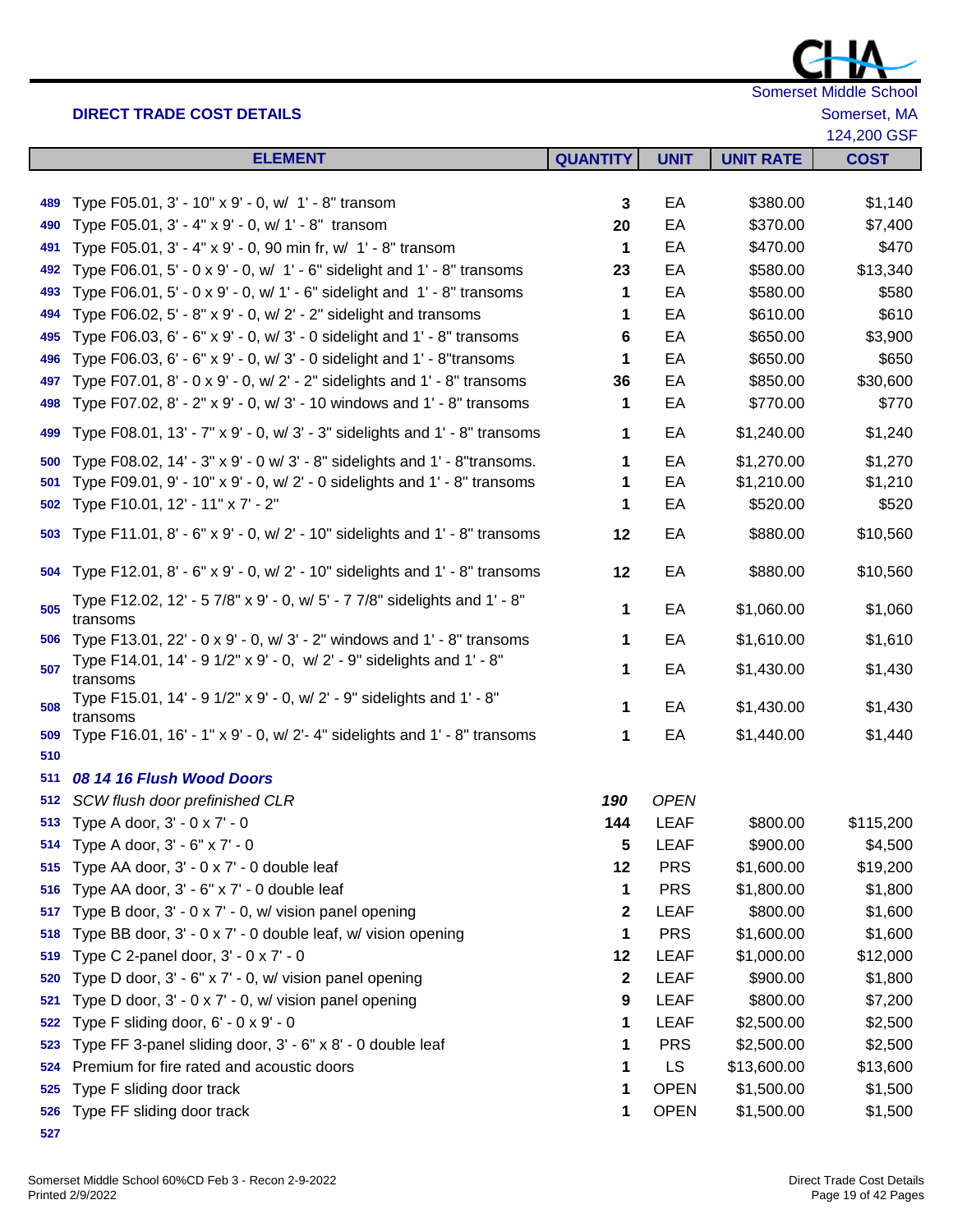

| <b>ELEMENT</b><br><b>QUANTITY</b><br><b>UNIT RATE</b><br><b>COST</b><br><b>UNIT</b><br>Type F05.01, 3' - 10" x 9' - 0, w/ 1' - 8" transom<br>EA<br>\$380.00<br>3<br>489<br>Type F05.01, 3' - 4" x 9' - 0, w/ 1' - 8" transom<br>EA<br>\$370.00<br>20<br>490<br>\$470.00<br>Type F05.01, 3' - 4" x 9' - 0, 90 min fr, w/ 1' - 8" transom<br>EA<br>491<br>1<br>Type F06.01, 5' - 0 x 9' - 0, w/ 1' - 6" sidelight and 1' - 8" transoms<br>EA<br>\$580.00<br>\$13,340<br>23<br>492<br>Type F06.01, 5' - 0 x 9' - 0, w/ 1' - 6" sidelight and 1' - 8" transoms<br>EA<br>\$580.00<br>493<br>1<br>\$610.00<br>Type F06.02, 5' - 8" x 9' - 0, w/ 2' - 2" sidelight and transoms<br>EA<br>494<br>1<br>EA<br>\$650.00<br>Type F06.03, 6' - 6" x 9' - 0, w/ 3' - 0 sidelight and 1' - 8" transoms<br>6<br>495<br>Type F06.03, 6' - 6" x 9' - 0, w/ 3' - 0 sidelight and 1' - 8"transoms<br>EA<br>\$650.00<br>496<br>1<br>\$850.00<br>Type F07.01, 8' - 0 x 9' - 0, w/ 2' - 2" sidelights and 1' - 8" transoms<br>EA<br>\$30,600<br>36<br>497<br>EA<br>\$770.00<br>Type F07.02, 8' - 2" x 9' - 0, w/ 3' - 10 windows and 1' - 8" transoms<br>498<br>1<br>Type F08.01, 13' - 7" x 9' - 0, w/ 3' - 3" sidelights and 1' - 8" transoms<br>EA<br>\$1,240.00<br>499<br>1<br>\$1,270.00<br>Type F08.02, 14' - 3" x 9' - 0 w/ 3' - 8" sidelights and 1' - 8"transoms.<br>EA<br>1<br>500<br>EA<br>\$1,210.00<br>Type F09.01, 9' - 10" x 9' - 0, w/ 2' - 0 sidelights and 1' - 8" transoms<br>501<br>1<br>Type F10.01, 12' - 11" x 7' - 2"<br>EA<br>\$520.00<br>502<br>1 | 124,200 GSF        |
|------------------------------------------------------------------------------------------------------------------------------------------------------------------------------------------------------------------------------------------------------------------------------------------------------------------------------------------------------------------------------------------------------------------------------------------------------------------------------------------------------------------------------------------------------------------------------------------------------------------------------------------------------------------------------------------------------------------------------------------------------------------------------------------------------------------------------------------------------------------------------------------------------------------------------------------------------------------------------------------------------------------------------------------------------------------------------------------------------------------------------------------------------------------------------------------------------------------------------------------------------------------------------------------------------------------------------------------------------------------------------------------------------------------------------------------------------------------------------------------------------------------------------------------------------|--------------------|
|                                                                                                                                                                                                                                                                                                                                                                                                                                                                                                                                                                                                                                                                                                                                                                                                                                                                                                                                                                                                                                                                                                                                                                                                                                                                                                                                                                                                                                                                                                                                                      |                    |
|                                                                                                                                                                                                                                                                                                                                                                                                                                                                                                                                                                                                                                                                                                                                                                                                                                                                                                                                                                                                                                                                                                                                                                                                                                                                                                                                                                                                                                                                                                                                                      |                    |
|                                                                                                                                                                                                                                                                                                                                                                                                                                                                                                                                                                                                                                                                                                                                                                                                                                                                                                                                                                                                                                                                                                                                                                                                                                                                                                                                                                                                                                                                                                                                                      | \$1,140            |
|                                                                                                                                                                                                                                                                                                                                                                                                                                                                                                                                                                                                                                                                                                                                                                                                                                                                                                                                                                                                                                                                                                                                                                                                                                                                                                                                                                                                                                                                                                                                                      | \$7,400            |
|                                                                                                                                                                                                                                                                                                                                                                                                                                                                                                                                                                                                                                                                                                                                                                                                                                                                                                                                                                                                                                                                                                                                                                                                                                                                                                                                                                                                                                                                                                                                                      | \$470              |
|                                                                                                                                                                                                                                                                                                                                                                                                                                                                                                                                                                                                                                                                                                                                                                                                                                                                                                                                                                                                                                                                                                                                                                                                                                                                                                                                                                                                                                                                                                                                                      |                    |
|                                                                                                                                                                                                                                                                                                                                                                                                                                                                                                                                                                                                                                                                                                                                                                                                                                                                                                                                                                                                                                                                                                                                                                                                                                                                                                                                                                                                                                                                                                                                                      | \$580              |
|                                                                                                                                                                                                                                                                                                                                                                                                                                                                                                                                                                                                                                                                                                                                                                                                                                                                                                                                                                                                                                                                                                                                                                                                                                                                                                                                                                                                                                                                                                                                                      | \$610              |
|                                                                                                                                                                                                                                                                                                                                                                                                                                                                                                                                                                                                                                                                                                                                                                                                                                                                                                                                                                                                                                                                                                                                                                                                                                                                                                                                                                                                                                                                                                                                                      | \$3,900            |
|                                                                                                                                                                                                                                                                                                                                                                                                                                                                                                                                                                                                                                                                                                                                                                                                                                                                                                                                                                                                                                                                                                                                                                                                                                                                                                                                                                                                                                                                                                                                                      | \$650              |
|                                                                                                                                                                                                                                                                                                                                                                                                                                                                                                                                                                                                                                                                                                                                                                                                                                                                                                                                                                                                                                                                                                                                                                                                                                                                                                                                                                                                                                                                                                                                                      |                    |
|                                                                                                                                                                                                                                                                                                                                                                                                                                                                                                                                                                                                                                                                                                                                                                                                                                                                                                                                                                                                                                                                                                                                                                                                                                                                                                                                                                                                                                                                                                                                                      | \$770              |
|                                                                                                                                                                                                                                                                                                                                                                                                                                                                                                                                                                                                                                                                                                                                                                                                                                                                                                                                                                                                                                                                                                                                                                                                                                                                                                                                                                                                                                                                                                                                                      | \$1,240            |
|                                                                                                                                                                                                                                                                                                                                                                                                                                                                                                                                                                                                                                                                                                                                                                                                                                                                                                                                                                                                                                                                                                                                                                                                                                                                                                                                                                                                                                                                                                                                                      | \$1,270            |
|                                                                                                                                                                                                                                                                                                                                                                                                                                                                                                                                                                                                                                                                                                                                                                                                                                                                                                                                                                                                                                                                                                                                                                                                                                                                                                                                                                                                                                                                                                                                                      | \$1,210            |
|                                                                                                                                                                                                                                                                                                                                                                                                                                                                                                                                                                                                                                                                                                                                                                                                                                                                                                                                                                                                                                                                                                                                                                                                                                                                                                                                                                                                                                                                                                                                                      | \$520              |
| Type F11.01, 8' - 6" x 9' - 0, w/ 2' - 10" sidelights and 1' - 8" transoms<br>12<br>EA<br>\$880.00<br>\$10,560<br>503                                                                                                                                                                                                                                                                                                                                                                                                                                                                                                                                                                                                                                                                                                                                                                                                                                                                                                                                                                                                                                                                                                                                                                                                                                                                                                                                                                                                                                |                    |
| Type F12.01, 8' - 6" x 9' - 0, w/ 2' - 10" sidelights and 1' - 8" transoms<br>12<br>EA<br>\$880.00<br>\$10,560<br>504                                                                                                                                                                                                                                                                                                                                                                                                                                                                                                                                                                                                                                                                                                                                                                                                                                                                                                                                                                                                                                                                                                                                                                                                                                                                                                                                                                                                                                |                    |
| Type F12.02, 12' - 5 7/8" x 9' - 0, w/ 5' - 7 7/8" sidelights and 1' - 8"<br>505<br>EA<br>\$1,060.00<br>1<br>transoms                                                                                                                                                                                                                                                                                                                                                                                                                                                                                                                                                                                                                                                                                                                                                                                                                                                                                                                                                                                                                                                                                                                                                                                                                                                                                                                                                                                                                                | \$1,060            |
| \$1,610.00<br>EA<br>Type F13.01, 22' - 0 x 9' - 0, w/ 3' - 2" windows and 1' - 8" transoms<br>1<br>506                                                                                                                                                                                                                                                                                                                                                                                                                                                                                                                                                                                                                                                                                                                                                                                                                                                                                                                                                                                                                                                                                                                                                                                                                                                                                                                                                                                                                                               | \$1,610            |
| Type F14.01, 14' - 9 1/2" x 9' - 0, w/ 2' - 9" sidelights and 1' - 8"<br>\$1,430.00<br>EA<br>507<br>1<br>transoms                                                                                                                                                                                                                                                                                                                                                                                                                                                                                                                                                                                                                                                                                                                                                                                                                                                                                                                                                                                                                                                                                                                                                                                                                                                                                                                                                                                                                                    | \$1,430            |
| Type F15.01, 14' - 9 1/2" x 9' - 0, w/ 2' - 9" sidelights and 1' - 8"<br>EA<br>\$1,430.00<br>508<br>1<br>transoms                                                                                                                                                                                                                                                                                                                                                                                                                                                                                                                                                                                                                                                                                                                                                                                                                                                                                                                                                                                                                                                                                                                                                                                                                                                                                                                                                                                                                                    | \$1,430            |
| \$1,440.00<br>Type F16.01, 16' - 1" x 9' - 0, w/ 2'-4" sidelights and 1' - 8" transoms<br>EA<br>1<br>509                                                                                                                                                                                                                                                                                                                                                                                                                                                                                                                                                                                                                                                                                                                                                                                                                                                                                                                                                                                                                                                                                                                                                                                                                                                                                                                                                                                                                                             | \$1,440            |
| 510                                                                                                                                                                                                                                                                                                                                                                                                                                                                                                                                                                                                                                                                                                                                                                                                                                                                                                                                                                                                                                                                                                                                                                                                                                                                                                                                                                                                                                                                                                                                                  |                    |
| 08 14 16 Flush Wood Doors<br>511                                                                                                                                                                                                                                                                                                                                                                                                                                                                                                                                                                                                                                                                                                                                                                                                                                                                                                                                                                                                                                                                                                                                                                                                                                                                                                                                                                                                                                                                                                                     |                    |
| <b>OPEN</b><br>SCW flush door prefinished CLR<br>190<br>512                                                                                                                                                                                                                                                                                                                                                                                                                                                                                                                                                                                                                                                                                                                                                                                                                                                                                                                                                                                                                                                                                                                                                                                                                                                                                                                                                                                                                                                                                          |                    |
| 513 Type A door, 3' - 0 x 7' - 0<br><b>LEAF</b><br>\$800.00<br>\$115,200<br>144                                                                                                                                                                                                                                                                                                                                                                                                                                                                                                                                                                                                                                                                                                                                                                                                                                                                                                                                                                                                                                                                                                                                                                                                                                                                                                                                                                                                                                                                      |                    |
| Type A door, 3' - 6" x 7' - 0<br><b>LEAF</b><br>5<br>\$900.00<br>514                                                                                                                                                                                                                                                                                                                                                                                                                                                                                                                                                                                                                                                                                                                                                                                                                                                                                                                                                                                                                                                                                                                                                                                                                                                                                                                                                                                                                                                                                 | \$4,500            |
| Type AA door, 3' - 0 x 7' - 0 double leaf<br><b>PRS</b><br>12<br>\$1,600.00<br>\$19,200<br>515                                                                                                                                                                                                                                                                                                                                                                                                                                                                                                                                                                                                                                                                                                                                                                                                                                                                                                                                                                                                                                                                                                                                                                                                                                                                                                                                                                                                                                                       |                    |
| Type AA door, 3' - 6" x 7' - 0 double leaf<br><b>PRS</b><br>\$1,800.00<br>1<br>516                                                                                                                                                                                                                                                                                                                                                                                                                                                                                                                                                                                                                                                                                                                                                                                                                                                                                                                                                                                                                                                                                                                                                                                                                                                                                                                                                                                                                                                                   | \$1,800            |
| Type B door, 3' - 0 x 7' - 0, w/ vision panel opening<br><b>LEAF</b><br>\$800.00<br>2<br>517                                                                                                                                                                                                                                                                                                                                                                                                                                                                                                                                                                                                                                                                                                                                                                                                                                                                                                                                                                                                                                                                                                                                                                                                                                                                                                                                                                                                                                                         | \$1,600            |
| <b>PRS</b><br>Type BB door, 3' - 0 x 7' - 0 double leaf, w/ vision opening<br>\$1,600.00<br>1<br>518                                                                                                                                                                                                                                                                                                                                                                                                                                                                                                                                                                                                                                                                                                                                                                                                                                                                                                                                                                                                                                                                                                                                                                                                                                                                                                                                                                                                                                                 | \$1,600            |
| Type C 2-panel door, 3' - 0 x 7' - 0<br>\$1,000.00<br>\$12,000<br>12<br>LEAF<br>519<br>Type D door, 3' - 6" x 7' - 0, w/ vision panel opening                                                                                                                                                                                                                                                                                                                                                                                                                                                                                                                                                                                                                                                                                                                                                                                                                                                                                                                                                                                                                                                                                                                                                                                                                                                                                                                                                                                                        |                    |
| <b>LEAF</b><br>$\mathbf{2}$<br>\$900.00<br>520<br>Type D door, 3' - 0 x 7' - 0, w/ vision panel opening<br><b>LEAF</b><br>\$800.00<br>9                                                                                                                                                                                                                                                                                                                                                                                                                                                                                                                                                                                                                                                                                                                                                                                                                                                                                                                                                                                                                                                                                                                                                                                                                                                                                                                                                                                                              | \$1,800            |
| 521<br>Type F sliding door, 6' - 0 x 9' - 0<br><b>LEAF</b><br>\$2,500.00<br>1                                                                                                                                                                                                                                                                                                                                                                                                                                                                                                                                                                                                                                                                                                                                                                                                                                                                                                                                                                                                                                                                                                                                                                                                                                                                                                                                                                                                                                                                        | \$7,200<br>\$2,500 |
| 522<br><b>PRS</b><br>Type FF 3-panel sliding door, 3' - 6" x 8' - 0 double leaf<br>\$2,500.00<br>523<br>1                                                                                                                                                                                                                                                                                                                                                                                                                                                                                                                                                                                                                                                                                                                                                                                                                                                                                                                                                                                                                                                                                                                                                                                                                                                                                                                                                                                                                                            | \$2,500            |
| <b>LS</b><br>Premium for fire rated and acoustic doors<br>\$13,600.00<br>\$13,600<br>1<br>524                                                                                                                                                                                                                                                                                                                                                                                                                                                                                                                                                                                                                                                                                                                                                                                                                                                                                                                                                                                                                                                                                                                                                                                                                                                                                                                                                                                                                                                        |                    |
| <b>OPEN</b><br>Type F sliding door track<br>\$1,500.00<br>525                                                                                                                                                                                                                                                                                                                                                                                                                                                                                                                                                                                                                                                                                                                                                                                                                                                                                                                                                                                                                                                                                                                                                                                                                                                                                                                                                                                                                                                                                        | \$1,500            |

- Type FF sliding door track **1** OPEN \$1,500.00 \$1,500
-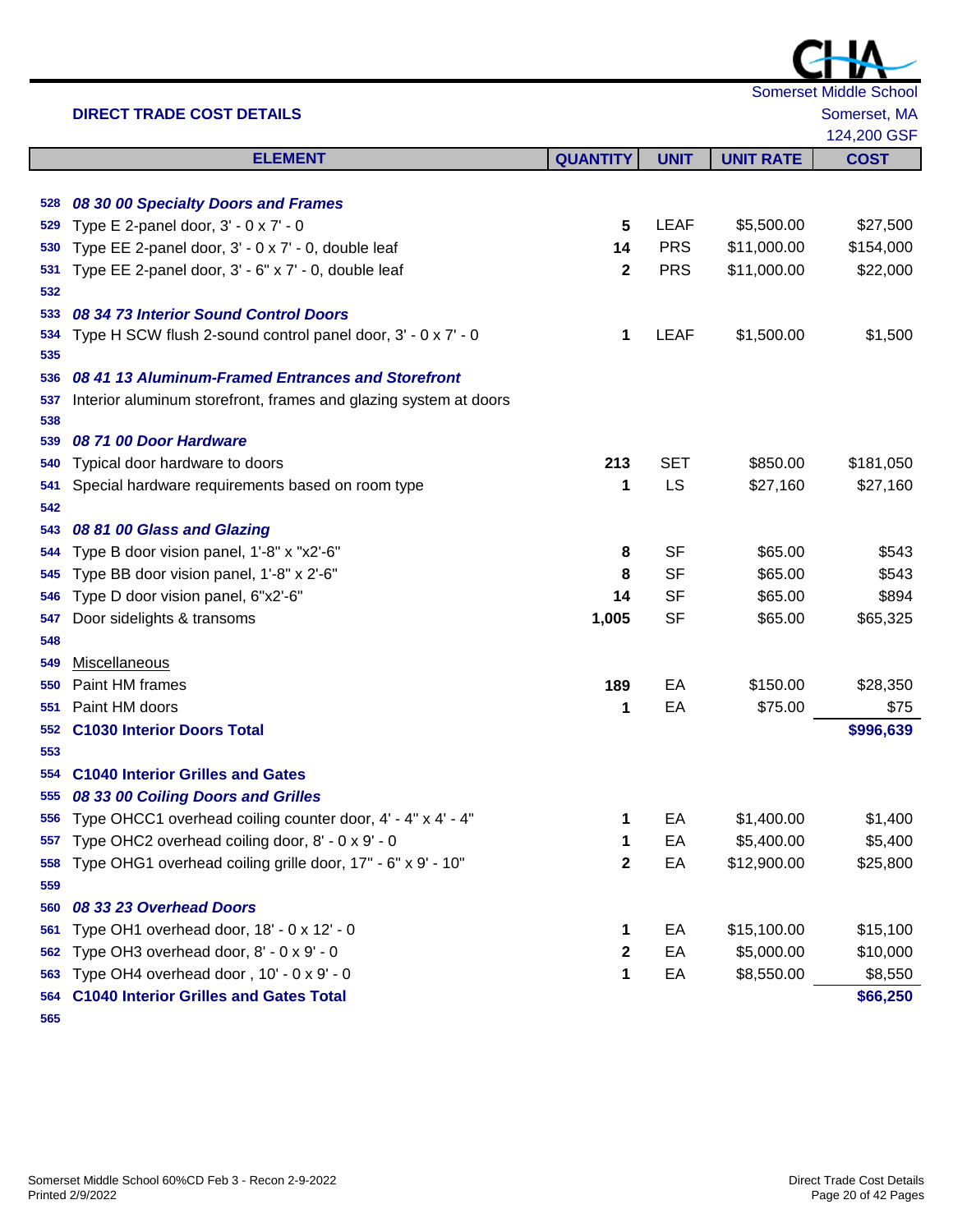| Somerset Middle School |
|------------------------|

|            | <b>DIRECT TRADE COST DETAILS</b>                                               |                  |             |                  | Somerset, MA   |
|------------|--------------------------------------------------------------------------------|------------------|-------------|------------------|----------------|
|            |                                                                                |                  |             |                  | 124,200 GSF    |
|            | <b>ELEMENT</b>                                                                 | <b>QUANTITY</b>  | <b>UNIT</b> | <b>UNIT RATE</b> | <b>COST</b>    |
|            |                                                                                |                  |             |                  |                |
| 528        | 08 30 00 Specialty Doors and Frames                                            |                  |             |                  |                |
| 529        | Type E 2-panel door, 3' - 0 x 7' - 0                                           | 5                | <b>LEAF</b> | \$5,500.00       | \$27,500       |
| 530        | Type EE 2-panel door, 3' - 0 x 7' - 0, double leaf                             | 14               | <b>PRS</b>  | \$11,000.00      | \$154,000      |
| 531        | Type EE 2-panel door, 3' - 6" x 7' - 0, double leaf                            | $\mathbf{2}$     | <b>PRS</b>  | \$11,000.00      | \$22,000       |
| 532        |                                                                                |                  |             |                  |                |
| 533        | 08 34 73 Interior Sound Control Doors                                          |                  |             |                  |                |
| 534        | Type H SCW flush 2-sound control panel door, 3' - 0 x 7' - 0                   | 1                | <b>LEAF</b> | \$1,500.00       | \$1,500        |
| 535        |                                                                                |                  |             |                  |                |
| 536        | 08 41 13 Aluminum-Framed Entrances and Storefront                              |                  |             |                  |                |
| 537        | Interior aluminum storefront, frames and glazing system at doors               |                  |             |                  |                |
| 538        |                                                                                |                  |             |                  |                |
| 539        | 08 71 00 Door Hardware                                                         |                  |             |                  |                |
| 540        | Typical door hardware to doors                                                 | 213              | <b>SET</b>  | \$850.00         | \$181,050      |
| 541        | Special hardware requirements based on room type                               | 1                | <b>LS</b>   | \$27,160         | \$27,160       |
| 542        |                                                                                |                  |             |                  |                |
| 543        | 08 81 00 Glass and Glazing                                                     |                  | <b>SF</b>   | \$65.00          |                |
| 544        | Type B door vision panel, 1'-8" x "x2'-6"                                      | 8<br>8           | <b>SF</b>   | \$65.00          | \$543<br>\$543 |
| 545        | Type BB door vision panel, 1'-8" x 2'-6"<br>Type D door vision panel, 6"x2'-6" |                  | SF          | \$65.00          | \$894          |
| 546        | Door sidelights & transoms                                                     | 14<br>1,005      | <b>SF</b>   | \$65.00          | \$65,325       |
| 547<br>548 |                                                                                |                  |             |                  |                |
| 549        | Miscellaneous                                                                  |                  |             |                  |                |
| 550        | Paint HM frames                                                                | 189              | EA          | \$150.00         | \$28,350       |
| 551        | Paint HM doors                                                                 | 1                | EA          | \$75.00          | \$75           |
| 552        | <b>C1030 Interior Doors Total</b>                                              |                  |             |                  | \$996,639      |
| 553        |                                                                                |                  |             |                  |                |
| 554        | <b>C1040 Interior Grilles and Gates</b>                                        |                  |             |                  |                |
| 555        | 08 33 00 Coiling Doors and Grilles                                             |                  |             |                  |                |
| 556        | Type OHCC1 overhead coiling counter door, 4' - 4" x 4' - 4"                    | 1                | EA          | \$1,400.00       | \$1,400        |
| 557        | Type OHC2 overhead coiling door, 8' - 0 x 9' - 0                               | 1                | EA          | \$5,400.00       | \$5,400        |
| 558        | Type OHG1 overhead coiling grille door, 17" - 6" x 9' - 10"                    | $\mathbf 2$      | EA          | \$12,900.00      | \$25,800       |
| 559        |                                                                                |                  |             |                  |                |
| 560        | 08 33 23 Overhead Doors                                                        |                  |             |                  |                |
| 561        | Type OH1 overhead door, 18' - 0 x 12' - 0                                      | 1                | EA          | \$15,100.00      | \$15,100       |
| 562        | Type OH3 overhead door, 8' - 0 x 9' - 0                                        | $\boldsymbol{2}$ | EA          | \$5,000.00       | \$10,000       |
| 563        | Type OH4 overhead door, 10' - 0 x 9' - 0                                       | 1                | EA          | \$8,550.00       | \$8,550        |
| 564        | <b>C1040 Interior Grilles and Gates Total</b>                                  |                  |             |                  | \$66,250       |
|            |                                                                                |                  |             |                  |                |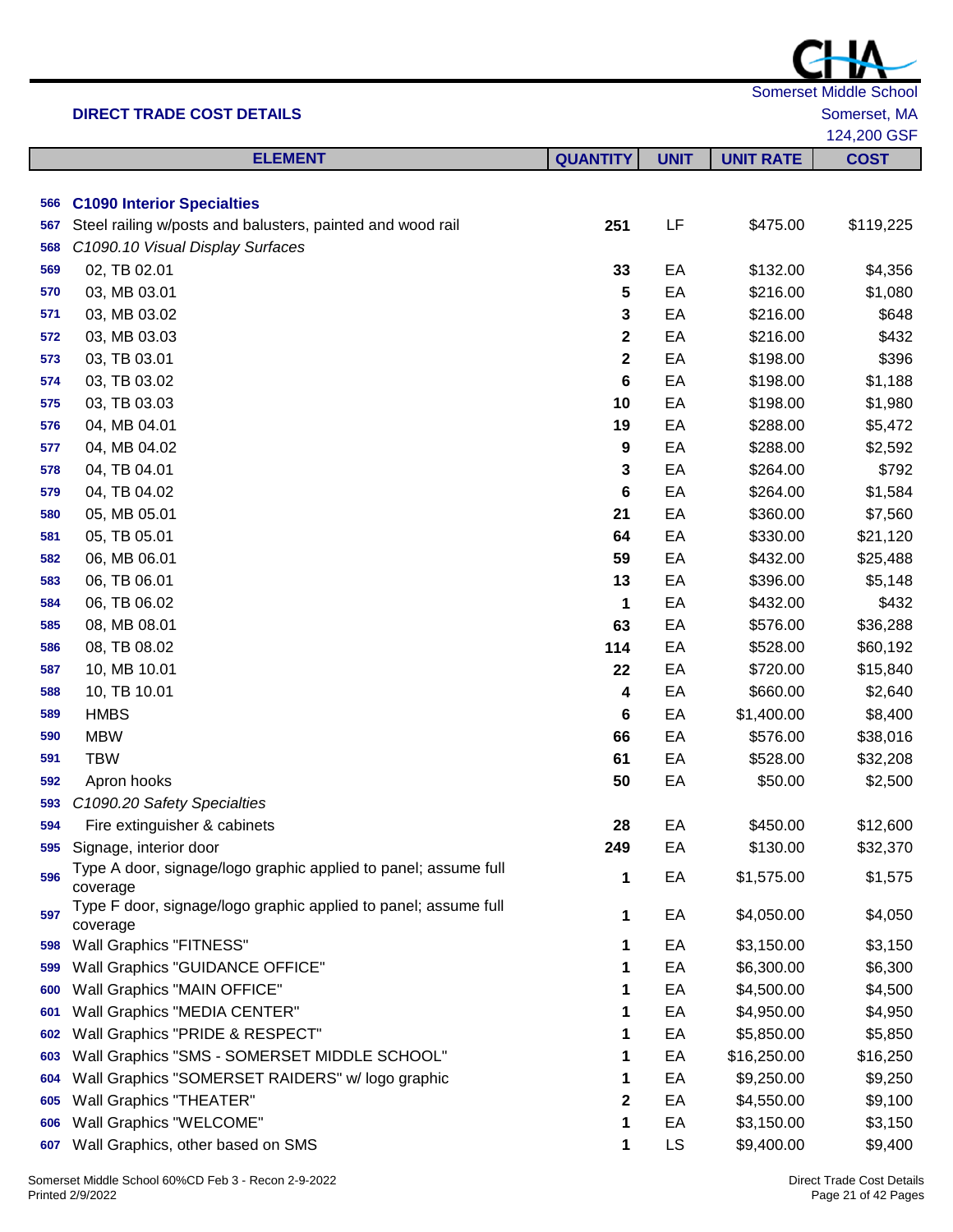|     |                                                                             |                 |             |                  | <b>Somerset Middle School</b> |
|-----|-----------------------------------------------------------------------------|-----------------|-------------|------------------|-------------------------------|
|     | <b>DIRECT TRADE COST DETAILS</b>                                            |                 |             |                  | Somerset, MA                  |
|     |                                                                             |                 |             |                  | 124,200 GSF                   |
|     | <b>ELEMENT</b>                                                              | <b>QUANTITY</b> | <b>UNIT</b> | <b>UNIT RATE</b> | <b>COST</b>                   |
|     |                                                                             |                 |             |                  |                               |
| 566 | <b>C1090 Interior Specialties</b>                                           |                 |             |                  |                               |
| 567 | Steel railing w/posts and balusters, painted and wood rail                  | 251             | LF          | \$475.00         | \$119,225                     |
| 568 | C1090.10 Visual Display Surfaces                                            |                 |             |                  |                               |
| 569 | 02, TB 02.01                                                                | 33              | EA          | \$132.00         | \$4,356                       |
| 570 | 03, MB 03.01                                                                | 5               | EA          | \$216.00         | \$1,080                       |
| 571 | 03, MB 03.02                                                                | 3               | EA          | \$216.00         | \$648                         |
| 572 | 03, MB 03.03                                                                | $\mathbf 2$     | EA          | \$216.00         | \$432                         |
| 573 | 03, TB 03.01                                                                | $\mathbf 2$     | EA          | \$198.00         | \$396                         |
| 574 | 03, TB 03.02                                                                | 6               | EA          | \$198.00         | \$1,188                       |
| 575 | 03, TB 03.03                                                                | 10              | EA          | \$198.00         | \$1,980                       |
| 576 | 04, MB 04.01                                                                | 19              | EA          | \$288.00         | \$5,472                       |
| 577 | 04, MB 04.02                                                                | 9               | EA          | \$288.00         | \$2,592                       |
| 578 | 04, TB 04.01                                                                | 3               | EA          | \$264.00         | \$792                         |
| 579 | 04, TB 04.02                                                                | 6               | EA          | \$264.00         | \$1,584                       |
| 580 | 05, MB 05.01                                                                | 21              | EA          | \$360.00         | \$7,560                       |
| 581 | 05, TB 05.01                                                                | 64              | EA          | \$330.00         | \$21,120                      |
| 582 |                                                                             | 59              | EA          |                  |                               |
| 583 | 06, MB 06.01                                                                | 13              |             | \$432.00         | \$25,488                      |
|     | 06, TB 06.01                                                                |                 | EA          | \$396.00         | \$5,148                       |
| 584 | 06, TB 06.02                                                                | 1               | EA          | \$432.00         | \$432                         |
| 585 | 08, MB 08.01                                                                | 63              | EA          | \$576.00         | \$36,288                      |
| 586 | 08, TB 08.02                                                                | 114             | EA          | \$528.00         | \$60,192                      |
| 587 | 10, MB 10.01                                                                | 22              | EA          | \$720.00         | \$15,840                      |
| 588 | 10, TB 10.01                                                                | 4               | EA          | \$660.00         | \$2,640                       |
| 589 | <b>HMBS</b>                                                                 | 6               | EA          | \$1,400.00       | \$8,400                       |
| 590 | <b>MBW</b>                                                                  | 66              | EA          | \$576.00         | \$38,016                      |
| 591 | <b>TBW</b>                                                                  | 61              | EA          | \$528.00         | \$32,208                      |
| 592 | Apron hooks                                                                 | 50              | EA          | \$50.00          | \$2,500                       |
| 593 | C1090.20 Safety Specialties                                                 |                 |             |                  |                               |
| 594 | Fire extinguisher & cabinets                                                | 28              | EA          | \$450.00         | \$12,600                      |
| 595 | Signage, interior door                                                      | 249             | EA          | \$130.00         | \$32,370                      |
| 596 | Type A door, signage/logo graphic applied to panel; assume full             | 1               | EA          | \$1,575.00       | \$1,575                       |
|     | coverage                                                                    |                 |             |                  |                               |
| 597 | Type F door, signage/logo graphic applied to panel; assume full<br>coverage | 1               | EA          | \$4,050.00       | \$4,050                       |
| 598 | <b>Wall Graphics "FITNESS"</b>                                              | 1               | EA          | \$3,150.00       | \$3,150                       |
| 599 | Wall Graphics "GUIDANCE OFFICE"                                             | 1               | EA          | \$6,300.00       | \$6,300                       |
| 600 | Wall Graphics "MAIN OFFICE"                                                 | 1               | EA          | \$4,500.00       | \$4,500                       |
| 601 | Wall Graphics "MEDIA CENTER"                                                | 1               | EA          | \$4,950.00       | \$4,950                       |
|     | Wall Graphics "PRIDE & RESPECT"                                             |                 |             |                  |                               |
| 602 |                                                                             | 1               | EA          | \$5,850.00       | \$5,850                       |
| 603 | Wall Graphics "SMS - SOMERSET MIDDLE SCHOOL"                                | 1               | EA          | \$16,250.00      | \$16,250                      |
| 604 | Wall Graphics "SOMERSET RAIDERS" w/ logo graphic                            | 1               | EA          | \$9,250.00       | \$9,250                       |
| 605 | Wall Graphics "THEATER"                                                     | $\mathbf 2$     | EA          | \$4,550.00       | \$9,100                       |
| 606 | Wall Graphics "WELCOME"                                                     | 1               | EA          | \$3,150.00       | \$3,150                       |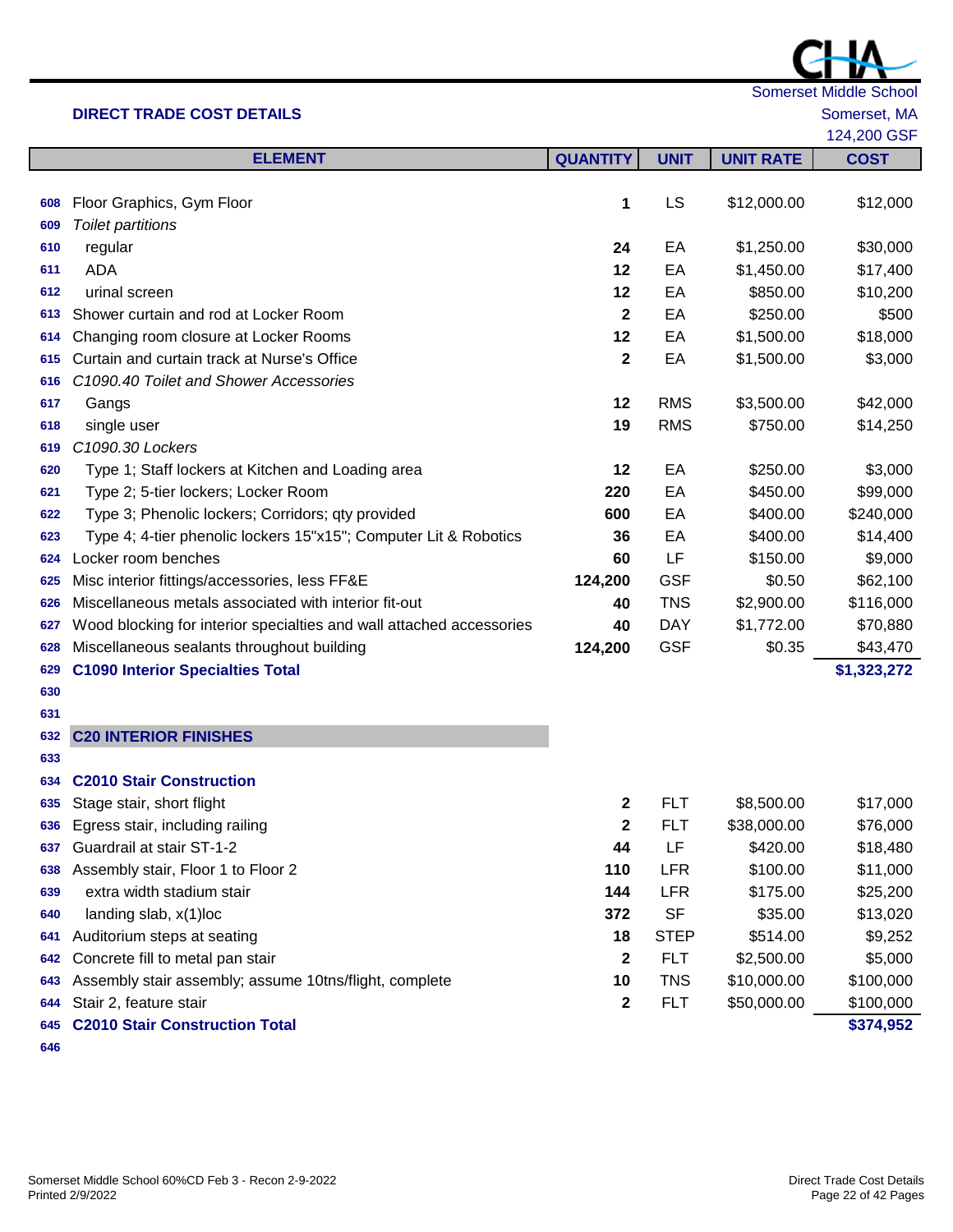*Toilet partitions*

| Direct Trade Cost Details |
|---------------------------|
| Page 22 of 42 Pages       |

| 610 | regular                                                              | 24               | EA          | \$1,250.00  | \$30,000    |
|-----|----------------------------------------------------------------------|------------------|-------------|-------------|-------------|
| 611 | <b>ADA</b>                                                           | 12               | EA          | \$1,450.00  | \$17,400    |
| 612 | urinal screen                                                        | 12               | EA          | \$850.00    | \$10,200    |
| 613 | Shower curtain and rod at Locker Room                                | $\mathbf{2}$     | EA          | \$250.00    | \$500       |
| 614 | Changing room closure at Locker Rooms                                | 12               | EA          | \$1,500.00  | \$18,000    |
| 615 | Curtain and curtain track at Nurse's Office                          | $\mathbf{2}$     | EA          | \$1,500.00  | \$3,000     |
| 616 | C1090.40 Toilet and Shower Accessories                               |                  |             |             |             |
| 617 | Gangs                                                                | 12               | <b>RMS</b>  | \$3,500.00  | \$42,000    |
| 618 | single user                                                          | 19               | <b>RMS</b>  | \$750.00    | \$14,250    |
| 619 | C1090.30 Lockers                                                     |                  |             |             |             |
| 620 | Type 1; Staff lockers at Kitchen and Loading area                    | 12               | EA          | \$250.00    | \$3,000     |
| 621 | Type 2; 5-tier lockers; Locker Room                                  | 220              | EA          | \$450.00    | \$99,000    |
| 622 | Type 3; Phenolic lockers; Corridors; qty provided                    | 600              | EA          | \$400.00    | \$240,000   |
| 623 | Type 4; 4-tier phenolic lockers 15"x15"; Computer Lit & Robotics     | 36               | EA          | \$400.00    | \$14,400    |
| 624 | Locker room benches                                                  | 60               | LF          | \$150.00    | \$9,000     |
| 625 | Misc interior fittings/accessories, less FF&E                        | 124,200          | <b>GSF</b>  | \$0.50      | \$62,100    |
| 626 | Miscellaneous metals associated with interior fit-out                | 40               | <b>TNS</b>  | \$2,900.00  | \$116,000   |
| 627 | Wood blocking for interior specialties and wall attached accessories | 40               | <b>DAY</b>  | \$1,772.00  | \$70,880    |
| 628 | Miscellaneous sealants throughout building                           | 124,200          | <b>GSF</b>  | \$0.35      | \$43,470    |
| 629 | <b>C1090 Interior Specialties Total</b>                              |                  |             |             | \$1,323,272 |
| 630 |                                                                      |                  |             |             |             |
| 631 |                                                                      |                  |             |             |             |
| 632 | <b>C20 INTERIOR FINISHES</b>                                         |                  |             |             |             |
| 633 |                                                                      |                  |             |             |             |
| 634 | <b>C2010 Stair Construction</b>                                      |                  |             |             |             |
| 635 | Stage stair, short flight                                            | $\boldsymbol{2}$ | <b>FLT</b>  | \$8,500.00  | \$17,000    |
| 636 | Egress stair, including railing                                      | $\mathbf{2}$     | <b>FLT</b>  | \$38,000.00 | \$76,000    |
| 637 | Guardrail at stair ST-1-2                                            | 44               | LF          | \$420.00    | \$18,480    |
| 638 | Assembly stair, Floor 1 to Floor 2                                   | 110              | <b>LFR</b>  | \$100.00    | \$11,000    |
| 639 | extra width stadium stair                                            | 144              | <b>LFR</b>  | \$175.00    | \$25,200    |
| 640 | landing slab, x(1)loc                                                | 372              | <b>SF</b>   | \$35.00     | \$13,020    |
| 641 | Auditorium steps at seating                                          | 18               | <b>STEP</b> | \$514.00    | \$9,252     |
| 642 | Concrete fill to metal pan stair                                     | $\mathbf{2}$     | <b>FLT</b>  | \$2,500.00  | \$5,000     |
| 643 | Assembly stair assembly; assume 10tns/flight, complete               | 10               | <b>TNS</b>  | \$10,000.00 | \$100,000   |
| 644 | Stair 2, feature stair                                               | $\mathbf{2}$     | <b>FLT</b>  | \$50,000.00 | \$100,000   |
| 645 | <b>C2010 Stair Construction Total</b>                                |                  |             |             | \$374,952   |

Floor Graphics, Gym Floor **1** LS \$12,000.00 \$12,000

**ELEMENT**

Somerset Middle School

**QUANTITY UNIT UNIT RATE COST**

124,200 GSF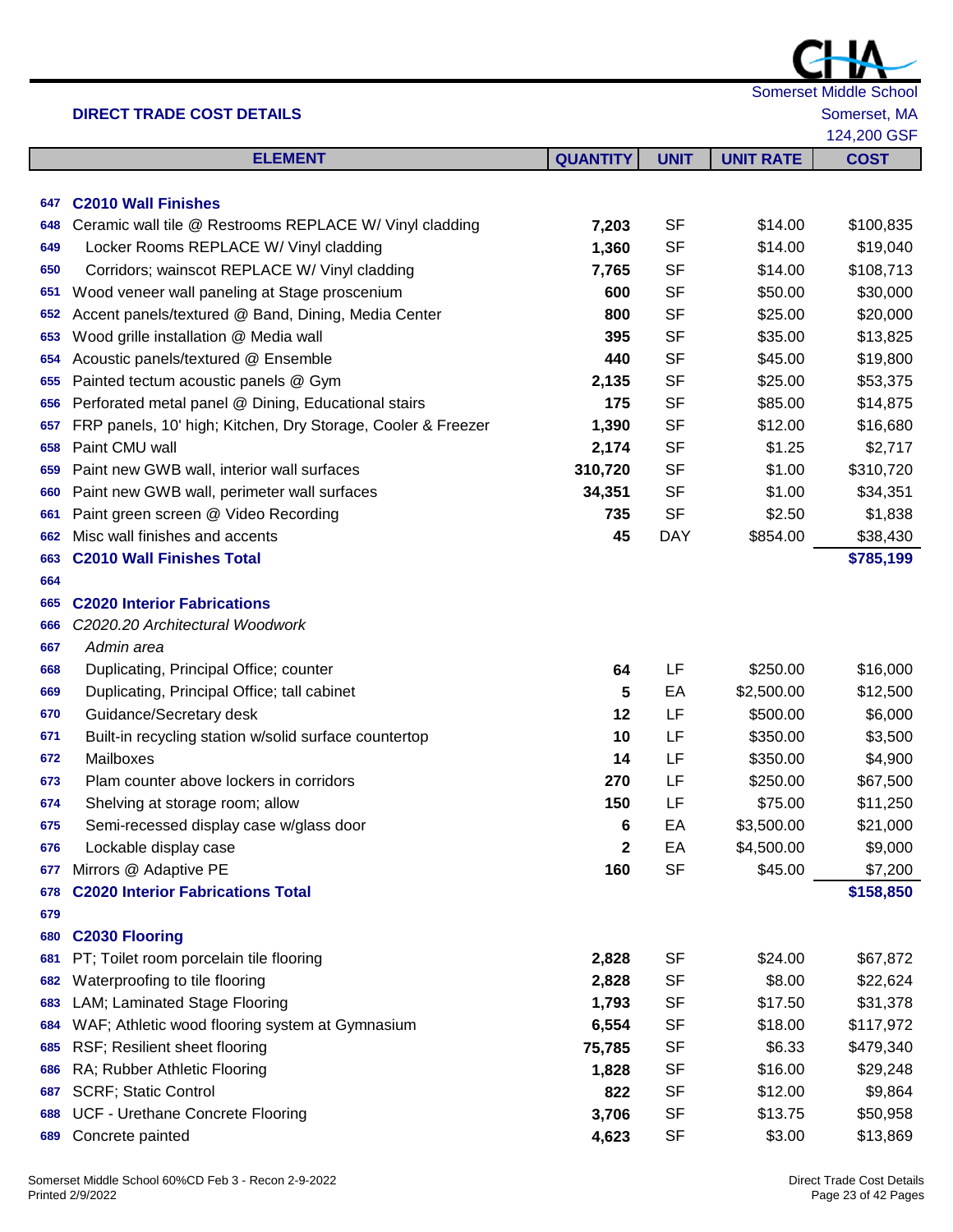| <b>Somerset Middle School</b><br><b>DIRECT TRADE COST DETAILS</b><br>Somerset, MA<br>124,200 GSF<br><b>ELEMENT</b><br><b>QUANTITY</b><br><b>UNIT</b><br><b>UNIT RATE</b><br><b>COST</b><br><b>C2010 Wall Finishes</b><br>647<br>Ceramic wall tile @ Restrooms REPLACE W/ Vinyl cladding<br>7,203<br><b>SF</b><br>\$100,835<br>\$14.00<br>648<br><b>SF</b><br>Locker Rooms REPLACE W/ Vinyl cladding<br>1,360<br>\$14.00<br>\$19,040<br>649<br><b>SF</b><br>Corridors; wainscot REPLACE W/ Vinyl cladding<br>7,765<br>\$108,713<br>\$14.00<br>650<br>600<br><b>SF</b><br>\$50.00<br>\$30,000<br>Wood veneer wall paneling at Stage proscenium<br>651<br><b>SF</b><br>Accent panels/textured @ Band, Dining, Media Center<br>800<br>\$25.00<br>\$20,000<br>652<br><b>SF</b><br>395<br>\$35.00<br>\$13,825<br>Wood grille installation @ Media wall<br>653<br><b>SF</b><br>Acoustic panels/textured @ Ensemble<br>440<br>\$45.00<br>\$19,800<br>654<br><b>SF</b><br>2,135<br>\$25.00<br>\$53,375<br>Painted tectum acoustic panels @ Gym<br>655<br>Perforated metal panel @ Dining, Educational stairs<br><b>SF</b><br>\$85.00<br>\$14,875<br>175<br>656<br><b>SF</b><br>\$12.00<br>\$16,680<br>FRP panels, 10' high; Kitchen, Dry Storage, Cooler & Freezer<br>1,390<br>657<br>Paint CMU wall<br><b>SF</b><br>\$2,717<br>2,174<br>\$1.25<br>658<br><b>SF</b><br>310,720<br>\$1.00<br>\$310,720<br>Paint new GWB wall, interior wall surfaces<br>659<br>34,351<br><b>SF</b><br>\$1.00<br>\$34,351<br>Paint new GWB wall, perimeter wall surfaces<br>660<br><b>SF</b><br>Paint green screen @ Video Recording<br>\$2.50<br>\$1,838<br>735<br>661<br><b>DAY</b><br>Misc wall finishes and accents<br>45<br>\$854.00<br>\$38,430<br>662<br><b>C2010 Wall Finishes Total</b><br>\$785,199<br>663<br>664<br><b>C2020 Interior Fabrications</b><br>665<br>C2020.20 Architectural Woodwork<br>666<br>Admin area<br>667<br>LF<br>\$250.00<br>\$16,000<br>Duplicating, Principal Office; counter<br>64<br>668<br>Duplicating, Principal Office; tall cabinet<br>EA<br>\$2,500.00<br>\$12,500<br>669<br>5<br>Guidance/Secretary desk<br>12<br>LF<br>\$500.00<br>\$6,000<br>670<br>Built-in recycling station w/solid surface countertop<br>\$3,500<br>10<br>LF<br>\$350.00<br>671<br>LF<br>Mailboxes<br>14<br>\$350.00<br>\$4,900<br>672<br>LF<br>Plam counter above lockers in corridors<br>270<br>\$250.00<br>\$67,500<br>673<br>LF<br>150<br>\$75.00<br>\$11,250<br>674<br>Shelving at storage room; allow<br>Semi-recessed display case w/glass door<br>EA<br>\$3,500.00<br>\$21,000<br>675<br>6<br>Lockable display case<br>2<br>EA<br>\$4,500.00<br>\$9,000<br>676<br>Mirrors @ Adaptive PE<br><b>SF</b><br>160<br>\$45.00<br>\$7,200<br>677<br>\$158,850<br><b>C2020 Interior Fabrications Total</b><br>678<br>679<br><b>C2030 Flooring</b><br>680<br><b>SF</b><br>PT; Toilet room porcelain tile flooring<br>\$24.00<br>2,828<br>\$67,872<br>681<br><b>SF</b><br>Waterproofing to tile flooring<br>2,828<br>\$8.00<br>\$22,624<br>682<br><b>SF</b><br>LAM; Laminated Stage Flooring<br>1,793<br>\$17.50<br>\$31,378<br>683<br><b>SF</b><br>WAF; Athletic wood flooring system at Gymnasium<br>6,554<br>\$18.00<br>\$117,972<br>684<br><b>SF</b><br>RSF; Resilient sheet flooring<br>75,785<br>\$6.33<br>\$479,340<br>685<br><b>SF</b><br>RA; Rubber Athletic Flooring<br>1,828<br>\$16.00<br>\$29,248<br>686<br><b>SF</b><br><b>SCRF; Static Control</b><br>822<br>\$12.00<br>\$9,864<br>687<br><b>SF</b><br><b>UCF - Urethane Concrete Flooring</b><br>3,706<br>\$13.75<br>\$50,958<br>688<br><b>SF</b><br>\$3.00<br>Concrete painted<br>4,623<br>\$13,869<br>689 |  |  |  |
|---------------------------------------------------------------------------------------------------------------------------------------------------------------------------------------------------------------------------------------------------------------------------------------------------------------------------------------------------------------------------------------------------------------------------------------------------------------------------------------------------------------------------------------------------------------------------------------------------------------------------------------------------------------------------------------------------------------------------------------------------------------------------------------------------------------------------------------------------------------------------------------------------------------------------------------------------------------------------------------------------------------------------------------------------------------------------------------------------------------------------------------------------------------------------------------------------------------------------------------------------------------------------------------------------------------------------------------------------------------------------------------------------------------------------------------------------------------------------------------------------------------------------------------------------------------------------------------------------------------------------------------------------------------------------------------------------------------------------------------------------------------------------------------------------------------------------------------------------------------------------------------------------------------------------------------------------------------------------------------------------------------------------------------------------------------------------------------------------------------------------------------------------------------------------------------------------------------------------------------------------------------------------------------------------------------------------------------------------------------------------------------------------------------------------------------------------------------------------------------------------------------------------------------------------------------------------------------------------------------------------------------------------------------------------------------------------------------------------------------------------------------------------------------------------------------------------------------------------------------------------------------------------------------------------------------------------------------------------------------------------------------------------------------------------------------------------------------------------------------------------------------------------------------------------------------------------------------------------------------------------------------------------------------------------------------------------------------------------------------------------------------------------------------------------------------------------------------------------------------------------------------------------------------------------------------------------------------------------------------------------------------------------------------|--|--|--|
|                                                                                                                                                                                                                                                                                                                                                                                                                                                                                                                                                                                                                                                                                                                                                                                                                                                                                                                                                                                                                                                                                                                                                                                                                                                                                                                                                                                                                                                                                                                                                                                                                                                                                                                                                                                                                                                                                                                                                                                                                                                                                                                                                                                                                                                                                                                                                                                                                                                                                                                                                                                                                                                                                                                                                                                                                                                                                                                                                                                                                                                                                                                                                                                                                                                                                                                                                                                                                                                                                                                                                                                                                                                               |  |  |  |
|                                                                                                                                                                                                                                                                                                                                                                                                                                                                                                                                                                                                                                                                                                                                                                                                                                                                                                                                                                                                                                                                                                                                                                                                                                                                                                                                                                                                                                                                                                                                                                                                                                                                                                                                                                                                                                                                                                                                                                                                                                                                                                                                                                                                                                                                                                                                                                                                                                                                                                                                                                                                                                                                                                                                                                                                                                                                                                                                                                                                                                                                                                                                                                                                                                                                                                                                                                                                                                                                                                                                                                                                                                                               |  |  |  |
|                                                                                                                                                                                                                                                                                                                                                                                                                                                                                                                                                                                                                                                                                                                                                                                                                                                                                                                                                                                                                                                                                                                                                                                                                                                                                                                                                                                                                                                                                                                                                                                                                                                                                                                                                                                                                                                                                                                                                                                                                                                                                                                                                                                                                                                                                                                                                                                                                                                                                                                                                                                                                                                                                                                                                                                                                                                                                                                                                                                                                                                                                                                                                                                                                                                                                                                                                                                                                                                                                                                                                                                                                                                               |  |  |  |
|                                                                                                                                                                                                                                                                                                                                                                                                                                                                                                                                                                                                                                                                                                                                                                                                                                                                                                                                                                                                                                                                                                                                                                                                                                                                                                                                                                                                                                                                                                                                                                                                                                                                                                                                                                                                                                                                                                                                                                                                                                                                                                                                                                                                                                                                                                                                                                                                                                                                                                                                                                                                                                                                                                                                                                                                                                                                                                                                                                                                                                                                                                                                                                                                                                                                                                                                                                                                                                                                                                                                                                                                                                                               |  |  |  |
|                                                                                                                                                                                                                                                                                                                                                                                                                                                                                                                                                                                                                                                                                                                                                                                                                                                                                                                                                                                                                                                                                                                                                                                                                                                                                                                                                                                                                                                                                                                                                                                                                                                                                                                                                                                                                                                                                                                                                                                                                                                                                                                                                                                                                                                                                                                                                                                                                                                                                                                                                                                                                                                                                                                                                                                                                                                                                                                                                                                                                                                                                                                                                                                                                                                                                                                                                                                                                                                                                                                                                                                                                                                               |  |  |  |
|                                                                                                                                                                                                                                                                                                                                                                                                                                                                                                                                                                                                                                                                                                                                                                                                                                                                                                                                                                                                                                                                                                                                                                                                                                                                                                                                                                                                                                                                                                                                                                                                                                                                                                                                                                                                                                                                                                                                                                                                                                                                                                                                                                                                                                                                                                                                                                                                                                                                                                                                                                                                                                                                                                                                                                                                                                                                                                                                                                                                                                                                                                                                                                                                                                                                                                                                                                                                                                                                                                                                                                                                                                                               |  |  |  |
|                                                                                                                                                                                                                                                                                                                                                                                                                                                                                                                                                                                                                                                                                                                                                                                                                                                                                                                                                                                                                                                                                                                                                                                                                                                                                                                                                                                                                                                                                                                                                                                                                                                                                                                                                                                                                                                                                                                                                                                                                                                                                                                                                                                                                                                                                                                                                                                                                                                                                                                                                                                                                                                                                                                                                                                                                                                                                                                                                                                                                                                                                                                                                                                                                                                                                                                                                                                                                                                                                                                                                                                                                                                               |  |  |  |
|                                                                                                                                                                                                                                                                                                                                                                                                                                                                                                                                                                                                                                                                                                                                                                                                                                                                                                                                                                                                                                                                                                                                                                                                                                                                                                                                                                                                                                                                                                                                                                                                                                                                                                                                                                                                                                                                                                                                                                                                                                                                                                                                                                                                                                                                                                                                                                                                                                                                                                                                                                                                                                                                                                                                                                                                                                                                                                                                                                                                                                                                                                                                                                                                                                                                                                                                                                                                                                                                                                                                                                                                                                                               |  |  |  |
|                                                                                                                                                                                                                                                                                                                                                                                                                                                                                                                                                                                                                                                                                                                                                                                                                                                                                                                                                                                                                                                                                                                                                                                                                                                                                                                                                                                                                                                                                                                                                                                                                                                                                                                                                                                                                                                                                                                                                                                                                                                                                                                                                                                                                                                                                                                                                                                                                                                                                                                                                                                                                                                                                                                                                                                                                                                                                                                                                                                                                                                                                                                                                                                                                                                                                                                                                                                                                                                                                                                                                                                                                                                               |  |  |  |
|                                                                                                                                                                                                                                                                                                                                                                                                                                                                                                                                                                                                                                                                                                                                                                                                                                                                                                                                                                                                                                                                                                                                                                                                                                                                                                                                                                                                                                                                                                                                                                                                                                                                                                                                                                                                                                                                                                                                                                                                                                                                                                                                                                                                                                                                                                                                                                                                                                                                                                                                                                                                                                                                                                                                                                                                                                                                                                                                                                                                                                                                                                                                                                                                                                                                                                                                                                                                                                                                                                                                                                                                                                                               |  |  |  |
|                                                                                                                                                                                                                                                                                                                                                                                                                                                                                                                                                                                                                                                                                                                                                                                                                                                                                                                                                                                                                                                                                                                                                                                                                                                                                                                                                                                                                                                                                                                                                                                                                                                                                                                                                                                                                                                                                                                                                                                                                                                                                                                                                                                                                                                                                                                                                                                                                                                                                                                                                                                                                                                                                                                                                                                                                                                                                                                                                                                                                                                                                                                                                                                                                                                                                                                                                                                                                                                                                                                                                                                                                                                               |  |  |  |
|                                                                                                                                                                                                                                                                                                                                                                                                                                                                                                                                                                                                                                                                                                                                                                                                                                                                                                                                                                                                                                                                                                                                                                                                                                                                                                                                                                                                                                                                                                                                                                                                                                                                                                                                                                                                                                                                                                                                                                                                                                                                                                                                                                                                                                                                                                                                                                                                                                                                                                                                                                                                                                                                                                                                                                                                                                                                                                                                                                                                                                                                                                                                                                                                                                                                                                                                                                                                                                                                                                                                                                                                                                                               |  |  |  |
|                                                                                                                                                                                                                                                                                                                                                                                                                                                                                                                                                                                                                                                                                                                                                                                                                                                                                                                                                                                                                                                                                                                                                                                                                                                                                                                                                                                                                                                                                                                                                                                                                                                                                                                                                                                                                                                                                                                                                                                                                                                                                                                                                                                                                                                                                                                                                                                                                                                                                                                                                                                                                                                                                                                                                                                                                                                                                                                                                                                                                                                                                                                                                                                                                                                                                                                                                                                                                                                                                                                                                                                                                                                               |  |  |  |
|                                                                                                                                                                                                                                                                                                                                                                                                                                                                                                                                                                                                                                                                                                                                                                                                                                                                                                                                                                                                                                                                                                                                                                                                                                                                                                                                                                                                                                                                                                                                                                                                                                                                                                                                                                                                                                                                                                                                                                                                                                                                                                                                                                                                                                                                                                                                                                                                                                                                                                                                                                                                                                                                                                                                                                                                                                                                                                                                                                                                                                                                                                                                                                                                                                                                                                                                                                                                                                                                                                                                                                                                                                                               |  |  |  |
|                                                                                                                                                                                                                                                                                                                                                                                                                                                                                                                                                                                                                                                                                                                                                                                                                                                                                                                                                                                                                                                                                                                                                                                                                                                                                                                                                                                                                                                                                                                                                                                                                                                                                                                                                                                                                                                                                                                                                                                                                                                                                                                                                                                                                                                                                                                                                                                                                                                                                                                                                                                                                                                                                                                                                                                                                                                                                                                                                                                                                                                                                                                                                                                                                                                                                                                                                                                                                                                                                                                                                                                                                                                               |  |  |  |
|                                                                                                                                                                                                                                                                                                                                                                                                                                                                                                                                                                                                                                                                                                                                                                                                                                                                                                                                                                                                                                                                                                                                                                                                                                                                                                                                                                                                                                                                                                                                                                                                                                                                                                                                                                                                                                                                                                                                                                                                                                                                                                                                                                                                                                                                                                                                                                                                                                                                                                                                                                                                                                                                                                                                                                                                                                                                                                                                                                                                                                                                                                                                                                                                                                                                                                                                                                                                                                                                                                                                                                                                                                                               |  |  |  |
|                                                                                                                                                                                                                                                                                                                                                                                                                                                                                                                                                                                                                                                                                                                                                                                                                                                                                                                                                                                                                                                                                                                                                                                                                                                                                                                                                                                                                                                                                                                                                                                                                                                                                                                                                                                                                                                                                                                                                                                                                                                                                                                                                                                                                                                                                                                                                                                                                                                                                                                                                                                                                                                                                                                                                                                                                                                                                                                                                                                                                                                                                                                                                                                                                                                                                                                                                                                                                                                                                                                                                                                                                                                               |  |  |  |
|                                                                                                                                                                                                                                                                                                                                                                                                                                                                                                                                                                                                                                                                                                                                                                                                                                                                                                                                                                                                                                                                                                                                                                                                                                                                                                                                                                                                                                                                                                                                                                                                                                                                                                                                                                                                                                                                                                                                                                                                                                                                                                                                                                                                                                                                                                                                                                                                                                                                                                                                                                                                                                                                                                                                                                                                                                                                                                                                                                                                                                                                                                                                                                                                                                                                                                                                                                                                                                                                                                                                                                                                                                                               |  |  |  |
|                                                                                                                                                                                                                                                                                                                                                                                                                                                                                                                                                                                                                                                                                                                                                                                                                                                                                                                                                                                                                                                                                                                                                                                                                                                                                                                                                                                                                                                                                                                                                                                                                                                                                                                                                                                                                                                                                                                                                                                                                                                                                                                                                                                                                                                                                                                                                                                                                                                                                                                                                                                                                                                                                                                                                                                                                                                                                                                                                                                                                                                                                                                                                                                                                                                                                                                                                                                                                                                                                                                                                                                                                                                               |  |  |  |
|                                                                                                                                                                                                                                                                                                                                                                                                                                                                                                                                                                                                                                                                                                                                                                                                                                                                                                                                                                                                                                                                                                                                                                                                                                                                                                                                                                                                                                                                                                                                                                                                                                                                                                                                                                                                                                                                                                                                                                                                                                                                                                                                                                                                                                                                                                                                                                                                                                                                                                                                                                                                                                                                                                                                                                                                                                                                                                                                                                                                                                                                                                                                                                                                                                                                                                                                                                                                                                                                                                                                                                                                                                                               |  |  |  |
|                                                                                                                                                                                                                                                                                                                                                                                                                                                                                                                                                                                                                                                                                                                                                                                                                                                                                                                                                                                                                                                                                                                                                                                                                                                                                                                                                                                                                                                                                                                                                                                                                                                                                                                                                                                                                                                                                                                                                                                                                                                                                                                                                                                                                                                                                                                                                                                                                                                                                                                                                                                                                                                                                                                                                                                                                                                                                                                                                                                                                                                                                                                                                                                                                                                                                                                                                                                                                                                                                                                                                                                                                                                               |  |  |  |
|                                                                                                                                                                                                                                                                                                                                                                                                                                                                                                                                                                                                                                                                                                                                                                                                                                                                                                                                                                                                                                                                                                                                                                                                                                                                                                                                                                                                                                                                                                                                                                                                                                                                                                                                                                                                                                                                                                                                                                                                                                                                                                                                                                                                                                                                                                                                                                                                                                                                                                                                                                                                                                                                                                                                                                                                                                                                                                                                                                                                                                                                                                                                                                                                                                                                                                                                                                                                                                                                                                                                                                                                                                                               |  |  |  |
|                                                                                                                                                                                                                                                                                                                                                                                                                                                                                                                                                                                                                                                                                                                                                                                                                                                                                                                                                                                                                                                                                                                                                                                                                                                                                                                                                                                                                                                                                                                                                                                                                                                                                                                                                                                                                                                                                                                                                                                                                                                                                                                                                                                                                                                                                                                                                                                                                                                                                                                                                                                                                                                                                                                                                                                                                                                                                                                                                                                                                                                                                                                                                                                                                                                                                                                                                                                                                                                                                                                                                                                                                                                               |  |  |  |
|                                                                                                                                                                                                                                                                                                                                                                                                                                                                                                                                                                                                                                                                                                                                                                                                                                                                                                                                                                                                                                                                                                                                                                                                                                                                                                                                                                                                                                                                                                                                                                                                                                                                                                                                                                                                                                                                                                                                                                                                                                                                                                                                                                                                                                                                                                                                                                                                                                                                                                                                                                                                                                                                                                                                                                                                                                                                                                                                                                                                                                                                                                                                                                                                                                                                                                                                                                                                                                                                                                                                                                                                                                                               |  |  |  |
|                                                                                                                                                                                                                                                                                                                                                                                                                                                                                                                                                                                                                                                                                                                                                                                                                                                                                                                                                                                                                                                                                                                                                                                                                                                                                                                                                                                                                                                                                                                                                                                                                                                                                                                                                                                                                                                                                                                                                                                                                                                                                                                                                                                                                                                                                                                                                                                                                                                                                                                                                                                                                                                                                                                                                                                                                                                                                                                                                                                                                                                                                                                                                                                                                                                                                                                                                                                                                                                                                                                                                                                                                                                               |  |  |  |
|                                                                                                                                                                                                                                                                                                                                                                                                                                                                                                                                                                                                                                                                                                                                                                                                                                                                                                                                                                                                                                                                                                                                                                                                                                                                                                                                                                                                                                                                                                                                                                                                                                                                                                                                                                                                                                                                                                                                                                                                                                                                                                                                                                                                                                                                                                                                                                                                                                                                                                                                                                                                                                                                                                                                                                                                                                                                                                                                                                                                                                                                                                                                                                                                                                                                                                                                                                                                                                                                                                                                                                                                                                                               |  |  |  |
|                                                                                                                                                                                                                                                                                                                                                                                                                                                                                                                                                                                                                                                                                                                                                                                                                                                                                                                                                                                                                                                                                                                                                                                                                                                                                                                                                                                                                                                                                                                                                                                                                                                                                                                                                                                                                                                                                                                                                                                                                                                                                                                                                                                                                                                                                                                                                                                                                                                                                                                                                                                                                                                                                                                                                                                                                                                                                                                                                                                                                                                                                                                                                                                                                                                                                                                                                                                                                                                                                                                                                                                                                                                               |  |  |  |
|                                                                                                                                                                                                                                                                                                                                                                                                                                                                                                                                                                                                                                                                                                                                                                                                                                                                                                                                                                                                                                                                                                                                                                                                                                                                                                                                                                                                                                                                                                                                                                                                                                                                                                                                                                                                                                                                                                                                                                                                                                                                                                                                                                                                                                                                                                                                                                                                                                                                                                                                                                                                                                                                                                                                                                                                                                                                                                                                                                                                                                                                                                                                                                                                                                                                                                                                                                                                                                                                                                                                                                                                                                                               |  |  |  |
|                                                                                                                                                                                                                                                                                                                                                                                                                                                                                                                                                                                                                                                                                                                                                                                                                                                                                                                                                                                                                                                                                                                                                                                                                                                                                                                                                                                                                                                                                                                                                                                                                                                                                                                                                                                                                                                                                                                                                                                                                                                                                                                                                                                                                                                                                                                                                                                                                                                                                                                                                                                                                                                                                                                                                                                                                                                                                                                                                                                                                                                                                                                                                                                                                                                                                                                                                                                                                                                                                                                                                                                                                                                               |  |  |  |
|                                                                                                                                                                                                                                                                                                                                                                                                                                                                                                                                                                                                                                                                                                                                                                                                                                                                                                                                                                                                                                                                                                                                                                                                                                                                                                                                                                                                                                                                                                                                                                                                                                                                                                                                                                                                                                                                                                                                                                                                                                                                                                                                                                                                                                                                                                                                                                                                                                                                                                                                                                                                                                                                                                                                                                                                                                                                                                                                                                                                                                                                                                                                                                                                                                                                                                                                                                                                                                                                                                                                                                                                                                                               |  |  |  |
|                                                                                                                                                                                                                                                                                                                                                                                                                                                                                                                                                                                                                                                                                                                                                                                                                                                                                                                                                                                                                                                                                                                                                                                                                                                                                                                                                                                                                                                                                                                                                                                                                                                                                                                                                                                                                                                                                                                                                                                                                                                                                                                                                                                                                                                                                                                                                                                                                                                                                                                                                                                                                                                                                                                                                                                                                                                                                                                                                                                                                                                                                                                                                                                                                                                                                                                                                                                                                                                                                                                                                                                                                                                               |  |  |  |
|                                                                                                                                                                                                                                                                                                                                                                                                                                                                                                                                                                                                                                                                                                                                                                                                                                                                                                                                                                                                                                                                                                                                                                                                                                                                                                                                                                                                                                                                                                                                                                                                                                                                                                                                                                                                                                                                                                                                                                                                                                                                                                                                                                                                                                                                                                                                                                                                                                                                                                                                                                                                                                                                                                                                                                                                                                                                                                                                                                                                                                                                                                                                                                                                                                                                                                                                                                                                                                                                                                                                                                                                                                                               |  |  |  |
|                                                                                                                                                                                                                                                                                                                                                                                                                                                                                                                                                                                                                                                                                                                                                                                                                                                                                                                                                                                                                                                                                                                                                                                                                                                                                                                                                                                                                                                                                                                                                                                                                                                                                                                                                                                                                                                                                                                                                                                                                                                                                                                                                                                                                                                                                                                                                                                                                                                                                                                                                                                                                                                                                                                                                                                                                                                                                                                                                                                                                                                                                                                                                                                                                                                                                                                                                                                                                                                                                                                                                                                                                                                               |  |  |  |
|                                                                                                                                                                                                                                                                                                                                                                                                                                                                                                                                                                                                                                                                                                                                                                                                                                                                                                                                                                                                                                                                                                                                                                                                                                                                                                                                                                                                                                                                                                                                                                                                                                                                                                                                                                                                                                                                                                                                                                                                                                                                                                                                                                                                                                                                                                                                                                                                                                                                                                                                                                                                                                                                                                                                                                                                                                                                                                                                                                                                                                                                                                                                                                                                                                                                                                                                                                                                                                                                                                                                                                                                                                                               |  |  |  |
|                                                                                                                                                                                                                                                                                                                                                                                                                                                                                                                                                                                                                                                                                                                                                                                                                                                                                                                                                                                                                                                                                                                                                                                                                                                                                                                                                                                                                                                                                                                                                                                                                                                                                                                                                                                                                                                                                                                                                                                                                                                                                                                                                                                                                                                                                                                                                                                                                                                                                                                                                                                                                                                                                                                                                                                                                                                                                                                                                                                                                                                                                                                                                                                                                                                                                                                                                                                                                                                                                                                                                                                                                                                               |  |  |  |
|                                                                                                                                                                                                                                                                                                                                                                                                                                                                                                                                                                                                                                                                                                                                                                                                                                                                                                                                                                                                                                                                                                                                                                                                                                                                                                                                                                                                                                                                                                                                                                                                                                                                                                                                                                                                                                                                                                                                                                                                                                                                                                                                                                                                                                                                                                                                                                                                                                                                                                                                                                                                                                                                                                                                                                                                                                                                                                                                                                                                                                                                                                                                                                                                                                                                                                                                                                                                                                                                                                                                                                                                                                                               |  |  |  |
|                                                                                                                                                                                                                                                                                                                                                                                                                                                                                                                                                                                                                                                                                                                                                                                                                                                                                                                                                                                                                                                                                                                                                                                                                                                                                                                                                                                                                                                                                                                                                                                                                                                                                                                                                                                                                                                                                                                                                                                                                                                                                                                                                                                                                                                                                                                                                                                                                                                                                                                                                                                                                                                                                                                                                                                                                                                                                                                                                                                                                                                                                                                                                                                                                                                                                                                                                                                                                                                                                                                                                                                                                                                               |  |  |  |
|                                                                                                                                                                                                                                                                                                                                                                                                                                                                                                                                                                                                                                                                                                                                                                                                                                                                                                                                                                                                                                                                                                                                                                                                                                                                                                                                                                                                                                                                                                                                                                                                                                                                                                                                                                                                                                                                                                                                                                                                                                                                                                                                                                                                                                                                                                                                                                                                                                                                                                                                                                                                                                                                                                                                                                                                                                                                                                                                                                                                                                                                                                                                                                                                                                                                                                                                                                                                                                                                                                                                                                                                                                                               |  |  |  |
|                                                                                                                                                                                                                                                                                                                                                                                                                                                                                                                                                                                                                                                                                                                                                                                                                                                                                                                                                                                                                                                                                                                                                                                                                                                                                                                                                                                                                                                                                                                                                                                                                                                                                                                                                                                                                                                                                                                                                                                                                                                                                                                                                                                                                                                                                                                                                                                                                                                                                                                                                                                                                                                                                                                                                                                                                                                                                                                                                                                                                                                                                                                                                                                                                                                                                                                                                                                                                                                                                                                                                                                                                                                               |  |  |  |
|                                                                                                                                                                                                                                                                                                                                                                                                                                                                                                                                                                                                                                                                                                                                                                                                                                                                                                                                                                                                                                                                                                                                                                                                                                                                                                                                                                                                                                                                                                                                                                                                                                                                                                                                                                                                                                                                                                                                                                                                                                                                                                                                                                                                                                                                                                                                                                                                                                                                                                                                                                                                                                                                                                                                                                                                                                                                                                                                                                                                                                                                                                                                                                                                                                                                                                                                                                                                                                                                                                                                                                                                                                                               |  |  |  |
|                                                                                                                                                                                                                                                                                                                                                                                                                                                                                                                                                                                                                                                                                                                                                                                                                                                                                                                                                                                                                                                                                                                                                                                                                                                                                                                                                                                                                                                                                                                                                                                                                                                                                                                                                                                                                                                                                                                                                                                                                                                                                                                                                                                                                                                                                                                                                                                                                                                                                                                                                                                                                                                                                                                                                                                                                                                                                                                                                                                                                                                                                                                                                                                                                                                                                                                                                                                                                                                                                                                                                                                                                                                               |  |  |  |
|                                                                                                                                                                                                                                                                                                                                                                                                                                                                                                                                                                                                                                                                                                                                                                                                                                                                                                                                                                                                                                                                                                                                                                                                                                                                                                                                                                                                                                                                                                                                                                                                                                                                                                                                                                                                                                                                                                                                                                                                                                                                                                                                                                                                                                                                                                                                                                                                                                                                                                                                                                                                                                                                                                                                                                                                                                                                                                                                                                                                                                                                                                                                                                                                                                                                                                                                                                                                                                                                                                                                                                                                                                                               |  |  |  |
|                                                                                                                                                                                                                                                                                                                                                                                                                                                                                                                                                                                                                                                                                                                                                                                                                                                                                                                                                                                                                                                                                                                                                                                                                                                                                                                                                                                                                                                                                                                                                                                                                                                                                                                                                                                                                                                                                                                                                                                                                                                                                                                                                                                                                                                                                                                                                                                                                                                                                                                                                                                                                                                                                                                                                                                                                                                                                                                                                                                                                                                                                                                                                                                                                                                                                                                                                                                                                                                                                                                                                                                                                                                               |  |  |  |
|                                                                                                                                                                                                                                                                                                                                                                                                                                                                                                                                                                                                                                                                                                                                                                                                                                                                                                                                                                                                                                                                                                                                                                                                                                                                                                                                                                                                                                                                                                                                                                                                                                                                                                                                                                                                                                                                                                                                                                                                                                                                                                                                                                                                                                                                                                                                                                                                                                                                                                                                                                                                                                                                                                                                                                                                                                                                                                                                                                                                                                                                                                                                                                                                                                                                                                                                                                                                                                                                                                                                                                                                                                                               |  |  |  |
|                                                                                                                                                                                                                                                                                                                                                                                                                                                                                                                                                                                                                                                                                                                                                                                                                                                                                                                                                                                                                                                                                                                                                                                                                                                                                                                                                                                                                                                                                                                                                                                                                                                                                                                                                                                                                                                                                                                                                                                                                                                                                                                                                                                                                                                                                                                                                                                                                                                                                                                                                                                                                                                                                                                                                                                                                                                                                                                                                                                                                                                                                                                                                                                                                                                                                                                                                                                                                                                                                                                                                                                                                                                               |  |  |  |
|                                                                                                                                                                                                                                                                                                                                                                                                                                                                                                                                                                                                                                                                                                                                                                                                                                                                                                                                                                                                                                                                                                                                                                                                                                                                                                                                                                                                                                                                                                                                                                                                                                                                                                                                                                                                                                                                                                                                                                                                                                                                                                                                                                                                                                                                                                                                                                                                                                                                                                                                                                                                                                                                                                                                                                                                                                                                                                                                                                                                                                                                                                                                                                                                                                                                                                                                                                                                                                                                                                                                                                                                                                                               |  |  |  |
|                                                                                                                                                                                                                                                                                                                                                                                                                                                                                                                                                                                                                                                                                                                                                                                                                                                                                                                                                                                                                                                                                                                                                                                                                                                                                                                                                                                                                                                                                                                                                                                                                                                                                                                                                                                                                                                                                                                                                                                                                                                                                                                                                                                                                                                                                                                                                                                                                                                                                                                                                                                                                                                                                                                                                                                                                                                                                                                                                                                                                                                                                                                                                                                                                                                                                                                                                                                                                                                                                                                                                                                                                                                               |  |  |  |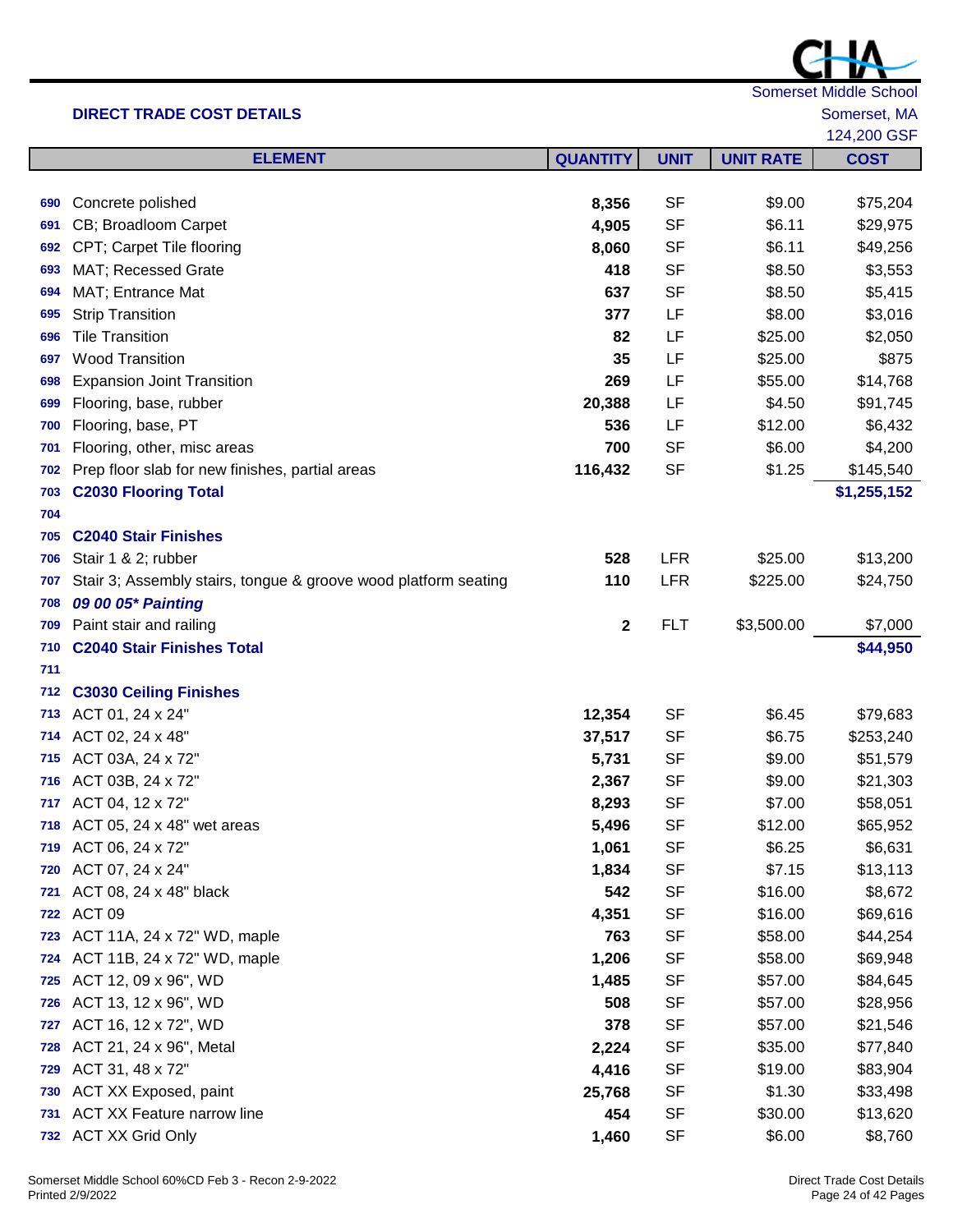|     |                                                                 |                 |             |                  | 124,200 GSF |
|-----|-----------------------------------------------------------------|-----------------|-------------|------------------|-------------|
|     | <b>ELEMENT</b>                                                  | <b>QUANTITY</b> | <b>UNIT</b> | <b>UNIT RATE</b> | <b>COST</b> |
|     |                                                                 |                 |             |                  |             |
| 690 | Concrete polished                                               | 8,356           | <b>SF</b>   | \$9.00           | \$75,204    |
| 691 | CB; Broadloom Carpet                                            | 4,905           | <b>SF</b>   | \$6.11           | \$29,975    |
| 692 | CPT; Carpet Tile flooring                                       | 8,060           | <b>SF</b>   | \$6.11           | \$49,256    |
| 693 | MAT; Recessed Grate                                             | 418             | <b>SF</b>   | \$8.50           | \$3,553     |
| 694 | MAT; Entrance Mat                                               | 637             | <b>SF</b>   | \$8.50           | \$5,415     |
| 695 | <b>Strip Transition</b>                                         | 377             | LF          | \$8.00           | \$3,016     |
| 696 | <b>Tile Transition</b>                                          | 82              | LF          | \$25.00          | \$2,050     |
| 697 | <b>Wood Transition</b>                                          | 35              | LF          | \$25.00          | \$875       |
| 698 | <b>Expansion Joint Transition</b>                               | 269             | LF          | \$55.00          | \$14,768    |
| 699 | Flooring, base, rubber                                          | 20,388          | LF          | \$4.50           | \$91,745    |
| 700 | Flooring, base, PT                                              | 536             | LF          | \$12.00          | \$6,432     |
| 701 | Flooring, other, misc areas                                     | 700             | <b>SF</b>   | \$6.00           | \$4,200     |
| 702 | Prep floor slab for new finishes, partial areas                 | 116,432         | <b>SF</b>   | \$1.25           | \$145,540   |
| 703 | <b>C2030 Flooring Total</b>                                     |                 |             |                  | \$1,255,152 |
| 704 |                                                                 |                 |             |                  |             |
| 705 | <b>C2040 Stair Finishes</b>                                     |                 |             |                  |             |
| 706 | Stair 1 & 2; rubber                                             | 528             | <b>LFR</b>  | \$25.00          | \$13,200    |
| 707 | Stair 3; Assembly stairs, tongue & groove wood platform seating | 110             | <b>LFR</b>  | \$225.00         | \$24,750    |
| 708 | 09 00 05* Painting                                              |                 |             |                  |             |
| 709 | Paint stair and railing                                         | 2               | <b>FLT</b>  | \$3,500.00       | \$7,000     |
| 710 | <b>C2040 Stair Finishes Total</b>                               |                 |             |                  | \$44,950    |
| 711 |                                                                 |                 |             |                  |             |
| 712 | <b>C3030 Ceiling Finishes</b>                                   |                 |             |                  |             |
| 713 | ACT 01, 24 x 24"                                                | 12,354          | <b>SF</b>   | \$6.45           | \$79,683    |
| 714 | ACT 02, 24 x 48"                                                | 37,517          | <b>SF</b>   | \$6.75           | \$253,240   |
| 715 | ACT 03A, 24 x 72"                                               | 5,731           | <b>SF</b>   | \$9.00           | \$51,579    |
| 716 | ACT 03B, 24 x 72"                                               | 2,367           | <b>SF</b>   | \$9.00           | \$21,303    |
|     | 717 ACT 04, 12 x 72"                                            | 8,293           | <b>SF</b>   | \$7.00           | \$58,051    |
| 718 | ACT 05, 24 x 48" wet areas                                      | 5,496           | <b>SF</b>   | \$12.00          | \$65,952    |
| 719 | ACT 06, 24 x 72"                                                | 1,061           | <b>SF</b>   | \$6.25           | \$6,631     |
| 720 | ACT 07, 24 x 24"                                                | 1,834           | <b>SF</b>   | \$7.15           | \$13,113    |
| 721 | ACT 08, 24 x 48" black                                          | 542             | <b>SF</b>   | \$16.00          | \$8,672     |
| 722 | ACT <sub>09</sub>                                               | 4,351           | <b>SF</b>   | \$16.00          | \$69,616    |
| 723 | ACT 11A, 24 x 72" WD, maple                                     | 763             | <b>SF</b>   | \$58.00          | \$44,254    |
| 724 | ACT 11B, 24 x 72" WD, maple                                     | 1,206           | <b>SF</b>   | \$58.00          | \$69,948    |
| 725 | ACT 12, 09 x 96", WD                                            | 1,485           | <b>SF</b>   | \$57.00          | \$84,645    |
| 726 | ACT 13, 12 x 96", WD                                            | 508             | <b>SF</b>   | \$57.00          | \$28,956    |
| 727 | ACT 16, 12 x 72", WD                                            | 378             | <b>SF</b>   | \$57.00          | \$21,546    |
| 728 | ACT 21, 24 x 96", Metal                                         | 2,224           | SF          | \$35.00          | \$77,840    |
| 729 | ACT 31, 48 x 72"                                                | 4,416           | SF          | \$19.00          | \$83,904    |
| 730 | ACT XX Exposed, paint                                           | 25,768          | <b>SF</b>   | \$1.30           | \$33,498    |
| 731 | <b>ACT XX Feature narrow line</b>                               | 454             | SF          | \$30.00          | \$13,620    |
|     | 732 ACT XX Grid Only                                            | 1,460           | SF          | \$6.00           | \$8,760     |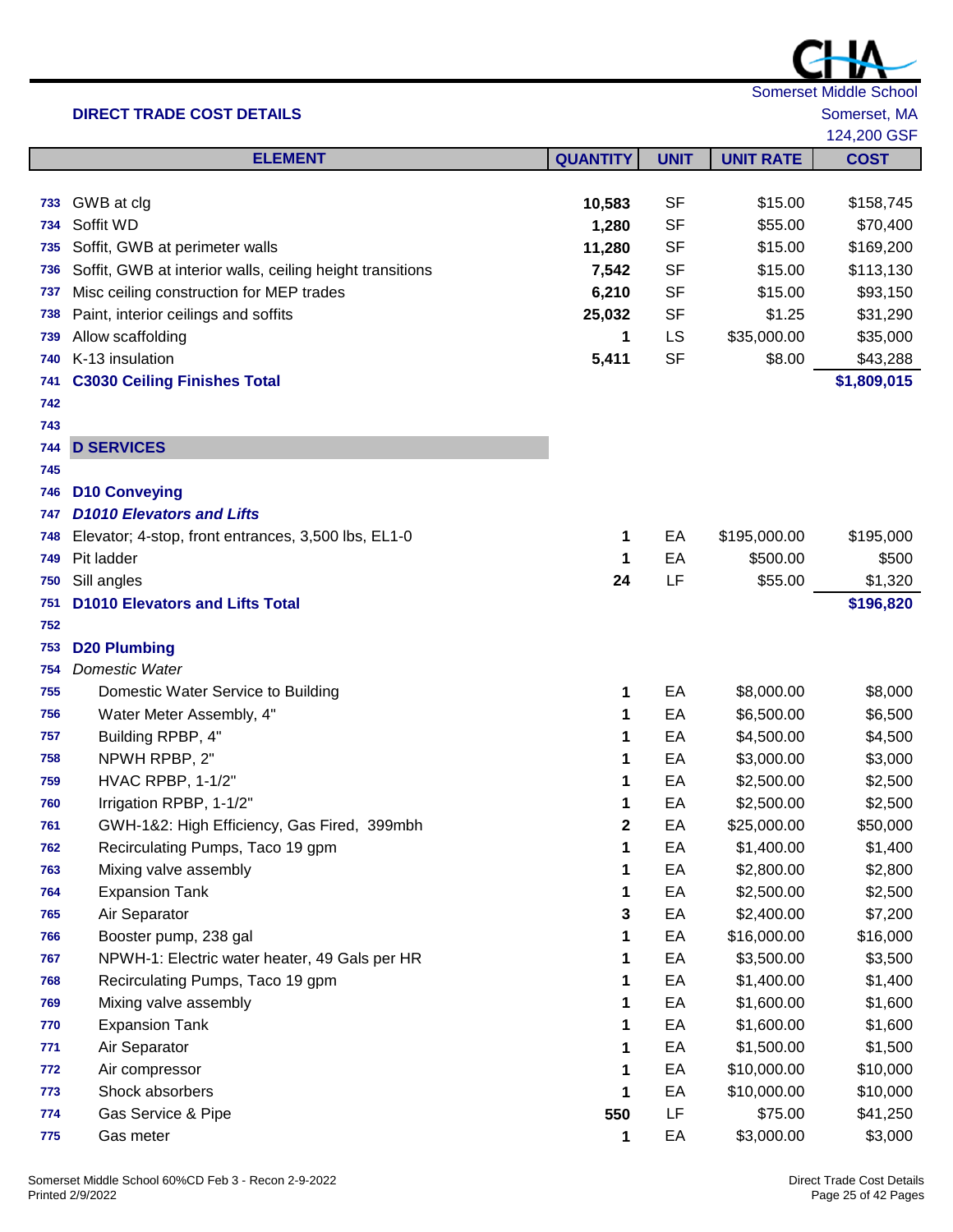

L

|     |                                                           |                 |             |                  | 124,200 GSF |
|-----|-----------------------------------------------------------|-----------------|-------------|------------------|-------------|
|     | <b>ELEMENT</b>                                            | <b>QUANTITY</b> | <b>UNIT</b> | <b>UNIT RATE</b> | <b>COST</b> |
|     |                                                           |                 |             |                  |             |
| 733 | GWB at clg                                                | 10,583          | <b>SF</b>   | \$15.00          | \$158,745   |
| 734 | Soffit WD                                                 | 1,280           | <b>SF</b>   | \$55.00          | \$70,400    |
| 735 | Soffit, GWB at perimeter walls                            | 11,280          | <b>SF</b>   | \$15.00          | \$169,200   |
| 736 | Soffit, GWB at interior walls, ceiling height transitions | 7,542           | <b>SF</b>   | \$15.00          | \$113,130   |
| 737 | Misc ceiling construction for MEP trades                  | 6,210           | <b>SF</b>   | \$15.00          | \$93,150    |
| 738 | Paint, interior ceilings and soffits                      | 25,032          | <b>SF</b>   | \$1.25           | \$31,290    |
| 739 | Allow scaffolding                                         | 1               | <b>LS</b>   | \$35,000.00      | \$35,000    |
| 740 | K-13 insulation                                           | 5,411           | <b>SF</b>   | \$8.00           | \$43,288    |
| 741 | <b>C3030 Ceiling Finishes Total</b>                       |                 |             |                  | \$1,809,015 |
| 742 |                                                           |                 |             |                  |             |
| 743 |                                                           |                 |             |                  |             |
| 744 | <b>D SERVICES</b>                                         |                 |             |                  |             |
| 745 |                                                           |                 |             |                  |             |
| 746 | <b>D10 Conveying</b>                                      |                 |             |                  |             |
| 747 | <b>D1010 Elevators and Lifts</b>                          |                 |             |                  |             |
| 748 | Elevator; 4-stop, front entrances, 3,500 lbs, EL1-0       | 1               | EA          | \$195,000.00     | \$195,000   |
| 749 | Pit ladder                                                | 1               | EA          | \$500.00         | \$500       |
| 750 | Sill angles                                               | 24              | LF          | \$55.00          | \$1,320     |
| 751 | <b>D1010 Elevators and Lifts Total</b>                    |                 |             |                  | \$196,820   |
| 752 |                                                           |                 |             |                  |             |
| 753 | <b>D20 Plumbing</b>                                       |                 |             |                  |             |
| 754 | <b>Domestic Water</b>                                     |                 |             |                  |             |
| 755 | Domestic Water Service to Building                        | 1               | EA          | \$8,000.00       | \$8,000     |
| 756 | Water Meter Assembly, 4"                                  | 1               | EA          | \$6,500.00       | \$6,500     |
| 757 | Building RPBP, 4"                                         | 1               | EA          | \$4,500.00       | \$4,500     |
| 758 | NPWH RPBP, 2"                                             | 1               | EA          | \$3,000.00       | \$3,000     |
| 759 | <b>HVAC RPBP, 1-1/2"</b>                                  | 1               | EA          | \$2,500.00       | \$2,500     |
| 760 | Irrigation RPBP, 1-1/2"                                   | 1               | EA          | \$2,500.00       | \$2,500     |
| 761 | GWH-1&2: High Efficiency, Gas Fired, 399mbh               | 2               | EA          | \$25,000.00      | \$50,000    |
| 762 | Recirculating Pumps, Taco 19 gpm                          | 1               | EA          | \$1,400.00       | \$1,400     |
| 763 | Mixing valve assembly                                     | 1               | EA          | \$2,800.00       | \$2,800     |
| 764 | <b>Expansion Tank</b>                                     | 1               | EA          | \$2,500.00       | \$2,500     |
| 765 | Air Separator                                             | 3               | EA          | \$2,400.00       | \$7,200     |
| 766 | Booster pump, 238 gal                                     | 1               | EA          | \$16,000.00      | \$16,000    |
| 767 | NPWH-1: Electric water heater, 49 Gals per HR             | 1               | EA          | \$3,500.00       | \$3,500     |
| 768 | Recirculating Pumps, Taco 19 gpm                          | 1               | EA          | \$1,400.00       | \$1,400     |
| 769 | Mixing valve assembly                                     | 1               | EA          | \$1,600.00       | \$1,600     |
| 770 | <b>Expansion Tank</b>                                     | 1               | EA          | \$1,600.00       | \$1,600     |
| 771 | Air Separator                                             | 1               | EA          | \$1,500.00       | \$1,500     |
| 772 | Air compressor                                            | 1               | EA          | \$10,000.00      | \$10,000    |
| 773 | Shock absorbers                                           | 1               | EA          | \$10,000.00      | \$10,000    |
| 774 | Gas Service & Pipe                                        | 550             | LF          | \$75.00          | \$41,250    |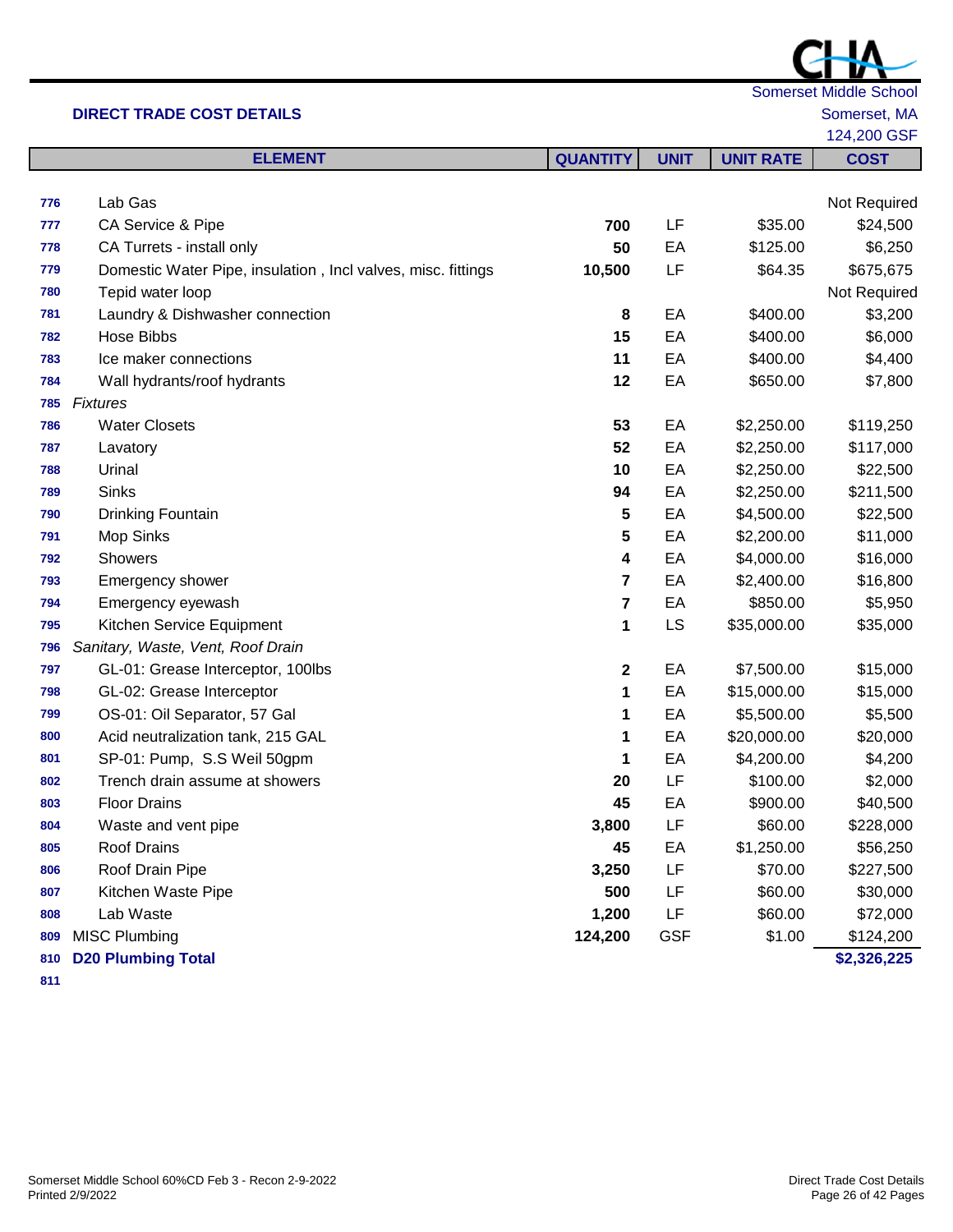|     |                                                              |                 |             |                  | 124,200 GSF  |
|-----|--------------------------------------------------------------|-----------------|-------------|------------------|--------------|
|     | <b>ELEMENT</b>                                               | <b>QUANTITY</b> | <b>UNIT</b> | <b>UNIT RATE</b> | <b>COST</b>  |
|     |                                                              |                 |             |                  |              |
| 776 | Lab Gas                                                      |                 |             |                  | Not Required |
| 777 | CA Service & Pipe                                            | 700             | LF          | \$35.00          | \$24,500     |
| 778 | CA Turrets - install only                                    | 50              | EA          | \$125.00         | \$6,250      |
| 779 | Domestic Water Pipe, insulation, Incl valves, misc. fittings | 10,500          | LF          | \$64.35          | \$675,675    |
| 780 | Tepid water loop                                             |                 |             |                  | Not Required |
| 781 | Laundry & Dishwasher connection                              | 8               | EA          | \$400.00         | \$3,200      |
| 782 | <b>Hose Bibbs</b>                                            | 15              | EA          | \$400.00         | \$6,000      |
| 783 | Ice maker connections                                        | 11              | EA          | \$400.00         | \$4,400      |
| 784 | Wall hydrants/roof hydrants                                  | 12              | EA          | \$650.00         | \$7,800      |
| 785 | <b>Fixtures</b>                                              |                 |             |                  |              |
| 786 | <b>Water Closets</b>                                         | 53              | EA          | \$2,250.00       | \$119,250    |
| 787 | Lavatory                                                     | 52              | EA          | \$2,250.00       | \$117,000    |
| 788 | Urinal                                                       | 10              | EA          | \$2,250.00       | \$22,500     |
| 789 | <b>Sinks</b>                                                 | 94              | EA          | \$2,250.00       | \$211,500    |
| 790 | Drinking Fountain                                            | 5               | EA          | \$4,500.00       | \$22,500     |
| 791 | Mop Sinks                                                    | 5               | EA          | \$2,200.00       | \$11,000     |
| 792 | Showers                                                      | 4               | EA          | \$4,000.00       | \$16,000     |
| 793 | <b>Emergency shower</b>                                      | 7               | EA          | \$2,400.00       | \$16,800     |
| 794 | Emergency eyewash                                            | 7               | EA          | \$850.00         | \$5,950      |
| 795 | Kitchen Service Equipment                                    | 1               | LS          | \$35,000.00      | \$35,000     |
| 796 | Sanitary, Waste, Vent, Roof Drain                            |                 |             |                  |              |
| 797 | GL-01: Grease Interceptor, 100lbs                            | 2               | EA          | \$7,500.00       | \$15,000     |
| 798 | GL-02: Grease Interceptor                                    | 1               | EA          | \$15,000.00      | \$15,000     |
| 799 | OS-01: Oil Separator, 57 Gal                                 | 1               | EA          | \$5,500.00       | \$5,500      |
| 800 | Acid neutralization tank, 215 GAL                            | 1               | EA          | \$20,000.00      | \$20,000     |
| 801 | SP-01: Pump, S.S Weil 50gpm                                  | 1               | EA          | \$4,200.00       | \$4,200      |
| 802 | Trench drain assume at showers                               | 20              | LF          | \$100.00         | \$2,000      |
| 803 | <b>Floor Drains</b>                                          | 45              | EA          | \$900.00         | \$40,500     |
| 804 | Waste and vent pipe                                          | 3,800           | LF          | \$60.00          | \$228,000    |
| 805 | Roof Drains                                                  | 45              | EA          | \$1,250.00       | \$56,250     |
| 806 | Roof Drain Pipe                                              | 3,250           | LF          | \$70.00          | \$227,500    |
| 807 | Kitchen Waste Pipe                                           | 500             | LF          | \$60.00          | \$30,000     |
| 808 | Lab Waste                                                    | 1,200           | LF          | \$60.00          | \$72,000     |
| 809 | <b>MISC Plumbing</b>                                         | 124,200         | <b>GSF</b>  | \$1.00           | \$124,200    |
| 810 | <b>D20 Plumbing Total</b>                                    |                 |             |                  | \$2,326,225  |

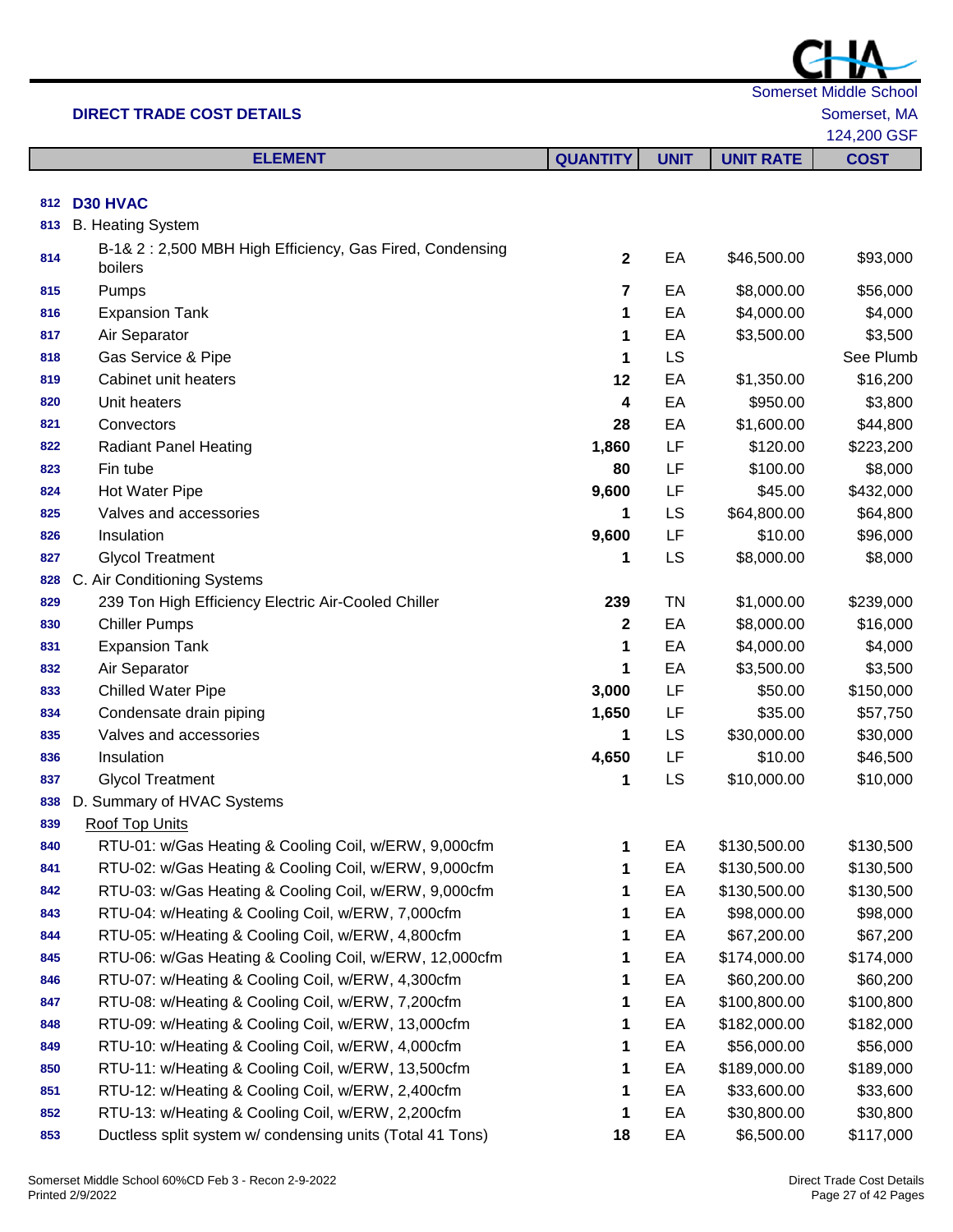|     | <b>DIRECT TRADE COST DETAILS</b>                                    |                 |             |                  | Somerset, MA |
|-----|---------------------------------------------------------------------|-----------------|-------------|------------------|--------------|
|     |                                                                     |                 |             |                  | 124,200 GSF  |
|     | <b>ELEMENT</b>                                                      | <b>QUANTITY</b> | <b>UNIT</b> | <b>UNIT RATE</b> | <b>COST</b>  |
|     |                                                                     |                 |             |                  |              |
|     | 812 D30 HVAC                                                        |                 |             |                  |              |
| 813 | <b>B. Heating System</b>                                            |                 |             |                  |              |
| 814 | B-1& 2: 2,500 MBH High Efficiency, Gas Fired, Condensing<br>boilers | $\mathbf{2}$    | EA          | \$46,500.00      | \$93,000     |
| 815 | Pumps                                                               | 7               | EA          | \$8,000.00       | \$56,000     |
| 816 | <b>Expansion Tank</b>                                               | 1               | EA          | \$4,000.00       | \$4,000      |
| 817 | Air Separator                                                       | 1               | EA          | \$3,500.00       | \$3,500      |
| 818 | Gas Service & Pipe                                                  | 1               | LS          |                  | See Plumb    |
| 819 | Cabinet unit heaters                                                | 12              | EA          | \$1,350.00       | \$16,200     |
| 820 | Unit heaters                                                        | 4               | EA          | \$950.00         | \$3,800      |
| 821 | Convectors                                                          | 28              | EA          | \$1,600.00       | \$44,800     |
| 822 | <b>Radiant Panel Heating</b>                                        | 1,860           | LF          | \$120.00         | \$223,200    |
| 823 | Fin tube                                                            | 80              | LF          | \$100.00         | \$8,000      |
| 824 | Hot Water Pipe                                                      | 9,600           | LF          | \$45.00          | \$432,000    |
| 825 | Valves and accessories                                              |                 | LS          | \$64,800.00      | \$64,800     |
| 826 | Insulation                                                          | 9,600           | LF          | \$10.00          | \$96,000     |
| 827 | <b>Glycol Treatment</b>                                             | 1               | <b>LS</b>   | \$8,000.00       | \$8,000      |
| 828 | C. Air Conditioning Systems                                         |                 |             |                  |              |
| 829 | 239 Ton High Efficiency Electric Air-Cooled Chiller                 | 239             | <b>TN</b>   | \$1,000.00       | \$239,000    |
| 830 | <b>Chiller Pumps</b>                                                | 2               | EA          | \$8,000.00       | \$16,000     |
| 831 | <b>Expansion Tank</b>                                               | 1               | EA          | \$4,000.00       | \$4,000      |
| 832 | Air Separator                                                       | 1               | EA          | \$3,500.00       | \$3,500      |
| 833 | <b>Chilled Water Pipe</b>                                           | 3,000           | LF          | \$50.00          | \$150,000    |
| 834 | Condensate drain piping                                             | 1,650           | LF          | \$35.00          | \$57,750     |
| 835 | Valves and accessories                                              | 1               | LS          | \$30,000.00      | \$30,000     |
| 836 | Insulation                                                          | 4,650           | LF          | \$10.00          | \$46,500     |
| 837 | <b>Glycol Treatment</b>                                             | 1               | LS          | \$10,000.00      | \$10,000     |
| 838 | D. Summary of HVAC Systems                                          |                 |             |                  |              |
| 839 | <b>Roof Top Units</b>                                               |                 |             |                  |              |
| 840 | RTU-01: w/Gas Heating & Cooling Coil, w/ERW, 9,000cfm               | 1               | EA          | \$130,500.00     | \$130,500    |
| 841 | RTU-02: w/Gas Heating & Cooling Coil, w/ERW, 9,000cfm               | 1               | EA          | \$130,500.00     | \$130,500    |
| 842 | RTU-03: w/Gas Heating & Cooling Coil, w/ERW, 9,000cfm               | 1               | EA          | \$130,500.00     | \$130,500    |
| 843 | RTU-04: w/Heating & Cooling Coil, w/ERW, 7,000cfm                   | 1               | EA          | \$98,000.00      | \$98,000     |
| 844 | RTU-05: w/Heating & Cooling Coil, w/ERW, 4,800cfm                   | 1               | EA          | \$67,200.00      | \$67,200     |
| 845 | RTU-06: w/Gas Heating & Cooling Coil, w/ERW, 12,000cfm              | 1               | EA          | \$174,000.00     | \$174,000    |
| 846 | RTU-07: w/Heating & Cooling Coil, w/ERW, 4,300cfm                   | 1               | EA          | \$60,200.00      | \$60,200     |
| 847 | RTU-08: w/Heating & Cooling Coil, w/ERW, 7,200cfm                   | 1               | EA          | \$100,800.00     | \$100,800    |
| 848 | RTU-09: w/Heating & Cooling Coil, w/ERW, 13,000cfm                  | 1               | EA          | \$182,000.00     | \$182,000    |
| 849 | RTU-10: w/Heating & Cooling Coil, w/ERW, 4,000cfm                   | 1               | EA          | \$56,000.00      | \$56,000     |
| 850 | RTU-11: w/Heating & Cooling Coil, w/ERW, 13,500cfm                  | 1               | EA          | \$189,000.00     | \$189,000    |
| 851 | RTU-12: w/Heating & Cooling Coil, w/ERW, 2,400cfm                   | 1               | EA          | \$33,600.00      | \$33,600     |
| 852 | RTU-13: w/Heating & Cooling Coil, w/ERW, 2,200cfm                   | 1               | EA          | \$30,800.00      | \$30,800     |

Ductless split system w/ condensing units (Total 41 Tons) **18** EA \$6,500.00 \$117,000

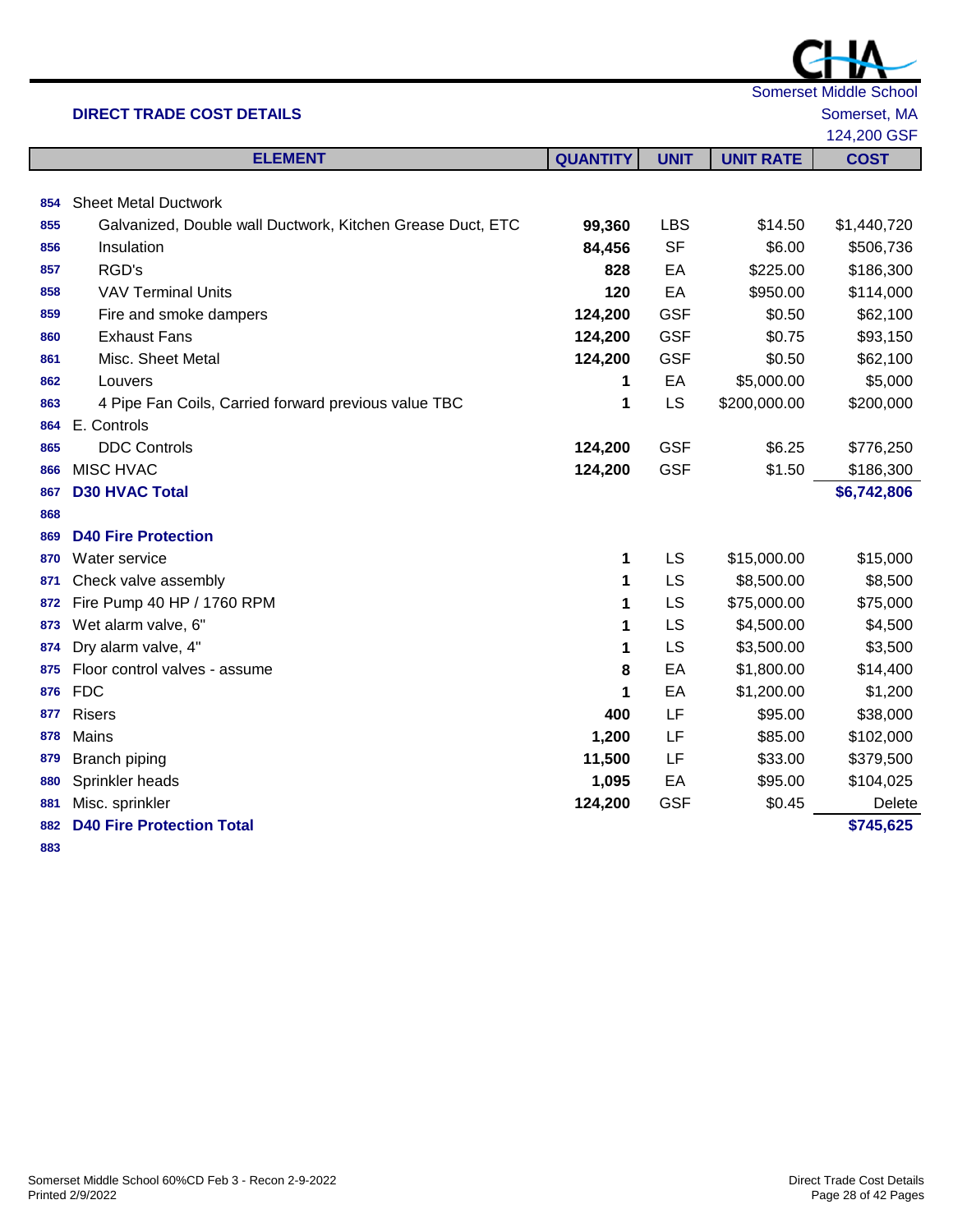L

|     |                                                            |                 |             |                  | 124,200 GSF   |
|-----|------------------------------------------------------------|-----------------|-------------|------------------|---------------|
|     | <b>ELEMENT</b>                                             | <b>QUANTITY</b> | <b>UNIT</b> | <b>UNIT RATE</b> | <b>COST</b>   |
|     |                                                            |                 |             |                  |               |
| 854 | <b>Sheet Metal Ductwork</b>                                |                 |             |                  |               |
| 855 | Galvanized, Double wall Ductwork, Kitchen Grease Duct, ETC | 99,360          | <b>LBS</b>  | \$14.50          | \$1,440,720   |
| 856 | Insulation                                                 | 84,456          | <b>SF</b>   | \$6.00           | \$506,736     |
| 857 | RGD's                                                      | 828             | EA          | \$225.00         | \$186,300     |
| 858 | <b>VAV Terminal Units</b>                                  | 120             | EA          | \$950.00         | \$114,000     |
| 859 | Fire and smoke dampers                                     | 124,200         | <b>GSF</b>  | \$0.50           | \$62,100      |
| 860 | <b>Exhaust Fans</b>                                        | 124,200         | <b>GSF</b>  | \$0.75           | \$93,150      |
| 861 | Misc. Sheet Metal                                          | 124,200         | <b>GSF</b>  | \$0.50           | \$62,100      |
| 862 | Louvers                                                    | 1               | EA          | \$5,000.00       | \$5,000       |
| 863 | 4 Pipe Fan Coils, Carried forward previous value TBC       | 1               | LS          | \$200,000.00     | \$200,000     |
| 864 | E. Controls                                                |                 |             |                  |               |
| 865 | <b>DDC Controls</b>                                        | 124,200         | <b>GSF</b>  | \$6.25           | \$776,250     |
| 866 | <b>MISC HVAC</b>                                           | 124,200         | <b>GSF</b>  | \$1.50           | \$186,300     |
| 867 | <b>D30 HVAC Total</b>                                      |                 |             |                  | \$6,742,806   |
| 868 |                                                            |                 |             |                  |               |
| 869 | <b>D40 Fire Protection</b>                                 |                 |             |                  |               |
| 870 | Water service                                              | 1               | LS          | \$15,000.00      | \$15,000      |
| 871 | Check valve assembly                                       | 1               | LS          | \$8,500.00       | \$8,500       |
| 872 | Fire Pump 40 HP / 1760 RPM                                 | 1               | LS          | \$75,000.00      | \$75,000      |
| 873 | Wet alarm valve, 6"                                        | 1               | LS          | \$4,500.00       | \$4,500       |
| 874 | Dry alarm valve, 4"                                        | 1               | LS          | \$3,500.00       | \$3,500       |
| 875 | Floor control valves - assume                              | 8               | EA          | \$1,800.00       | \$14,400      |
| 876 | <b>FDC</b>                                                 | 1               | EA          | \$1,200.00       | \$1,200       |
| 877 | <b>Risers</b>                                              | 400             | LF          | \$95.00          | \$38,000      |
| 878 | Mains                                                      | 1,200           | LF          | \$85.00          | \$102,000     |
| 879 | Branch piping                                              | 11,500          | LF          | \$33.00          | \$379,500     |
| 880 | Sprinkler heads                                            | 1,095           | EA          | \$95.00          | \$104,025     |
| 881 | Misc. sprinkler                                            | 124,200         | <b>GSF</b>  | \$0.45           | <b>Delete</b> |
| 882 | <b>D40 Fire Protection Total</b>                           |                 |             |                  | \$745,625     |
| 883 |                                                            |                 |             |                  |               |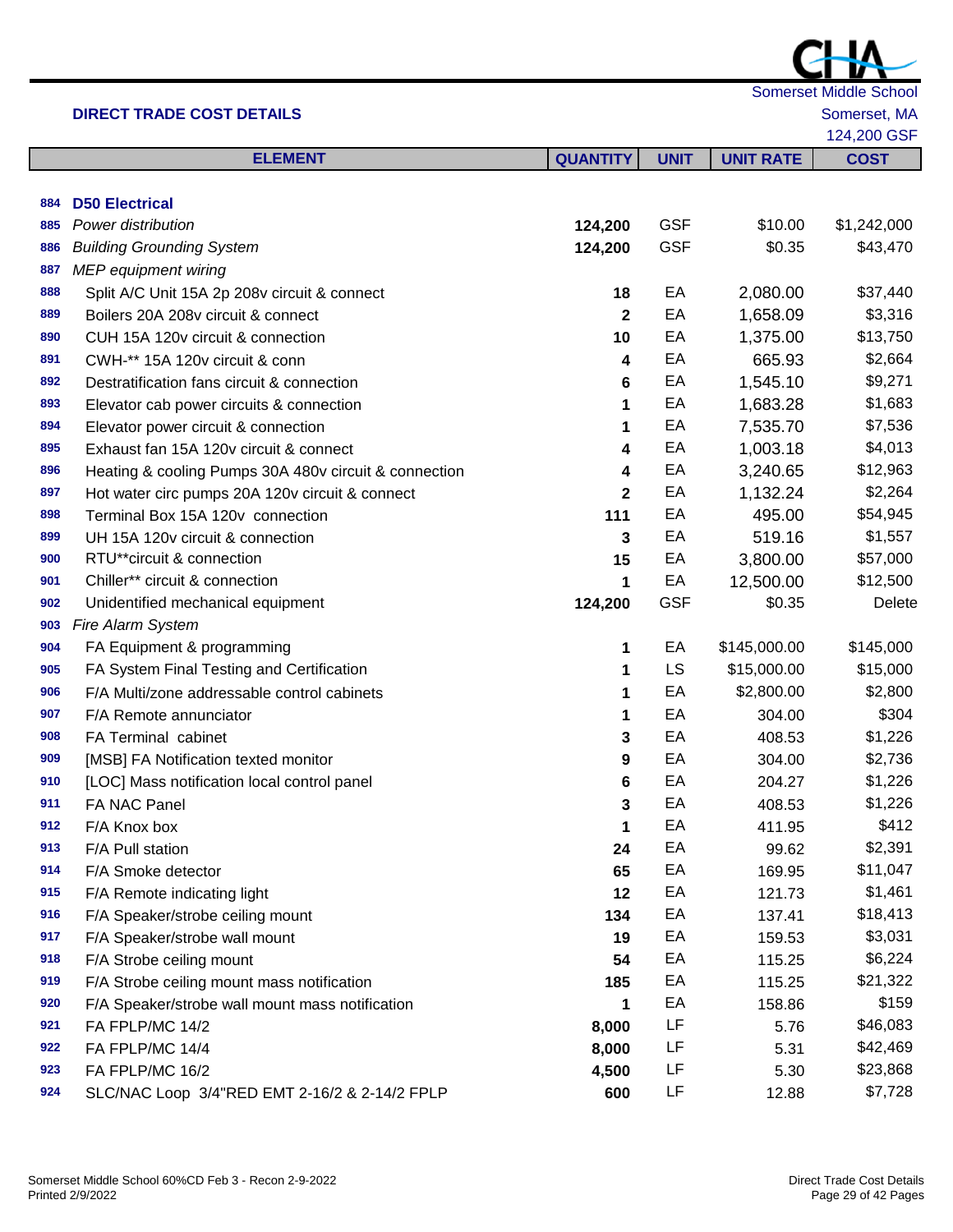|     |                                                       |                 |             |                  | 124,200 GSF |
|-----|-------------------------------------------------------|-----------------|-------------|------------------|-------------|
|     | <b>ELEMENT</b>                                        | <b>QUANTITY</b> | <b>UNIT</b> | <b>UNIT RATE</b> | <b>COST</b> |
|     |                                                       |                 |             |                  |             |
| 884 | <b>D50 Electrical</b>                                 |                 |             |                  |             |
| 885 | Power distribution                                    | 124,200         | <b>GSF</b>  | \$10.00          | \$1,242,000 |
| 886 | <b>Building Grounding System</b>                      | 124,200         | <b>GSF</b>  | \$0.35           | \$43,470    |
| 887 | <b>MEP</b> equipment wiring                           |                 |             |                  |             |
| 888 | Split A/C Unit 15A 2p 208v circuit & connect          | 18              | EA          | 2,080.00         | \$37,440    |
| 889 | Boilers 20A 208v circuit & connect                    | $\mathbf 2$     | EA          | 1,658.09         | \$3,316     |
| 890 | CUH 15A 120v circuit & connection                     | 10              | EA          | 1,375.00         | \$13,750    |
| 891 | CWH-** 15A 120v circuit & conn                        | 4               | EA          | 665.93           | \$2,664     |
| 892 | Destratification fans circuit & connection            | 6               | EA          | 1,545.10         | \$9,271     |
| 893 | Elevator cab power circuits & connection              | 1               | EA          | 1,683.28         | \$1,683     |
| 894 | Elevator power circuit & connection                   | 1               | EA          | 7,535.70         | \$7,536     |
| 895 | Exhaust fan 15A 120v circuit & connect                | 4               | EA          | 1,003.18         | \$4,013     |
| 896 | Heating & cooling Pumps 30A 480v circuit & connection | 4               | EA          | 3,240.65         | \$12,963    |
| 897 | Hot water circ pumps 20A 120v circuit & connect       | $\mathbf 2$     | EA          | 1,132.24         | \$2,264     |
| 898 | Terminal Box 15A 120v connection                      | 111             | EA          | 495.00           | \$54,945    |
| 899 | UH 15A 120v circuit & connection                      | 3               | EA          | 519.16           | \$1,557     |
| 900 | RTU**circuit & connection                             | 15              | EA          | 3,800.00         | \$57,000    |
| 901 | Chiller** circuit & connection                        | 1               | EA          | 12,500.00        | \$12,500    |
| 902 | Unidentified mechanical equipment                     | 124,200         | <b>GSF</b>  | \$0.35           | Delete      |
| 903 | Fire Alarm System                                     |                 |             |                  |             |
| 904 | FA Equipment & programming                            | 1               | EA          | \$145,000.00     | \$145,000   |
| 905 | FA System Final Testing and Certification             | 1               | LS          | \$15,000.00      | \$15,000    |
| 906 | F/A Multi/zone addressable control cabinets           | 1               | EA          | \$2,800.00       | \$2,800     |
| 907 | F/A Remote annunciator                                | 1               | EA          | 304.00           | \$304       |
| 908 | FA Terminal cabinet                                   | 3               | EA          | 408.53           | \$1,226     |
| 909 | [MSB] FA Notification texted monitor                  | 9               | EA          | 304.00           | \$2,736     |
| 910 | [LOC] Mass notification local control panel           | 6               | EA          | 204.27           | \$1,226     |
| 911 | FA NAC Panel                                          | 3               | EA          | 408.53           | \$1,226     |
| 912 | F/A Knox box                                          | 1               | EA          | 411.95           | \$412       |
| 913 | F/A Pull station                                      | 24              | EA          | 99.62            | \$2,391     |
| 914 | F/A Smoke detector                                    | 65              | EA          | 169.95           | \$11,047    |
| 915 | F/A Remote indicating light                           | 12              | EA          | 121.73           | \$1,461     |
| 916 | F/A Speaker/strobe ceiling mount                      | 134             | EA          | 137.41           | \$18,413    |
| 917 | F/A Speaker/strobe wall mount                         | 19              | EA          | 159.53           | \$3,031     |
| 918 | F/A Strobe ceiling mount                              | 54              | EA          | 115.25           | \$6,224     |
| 919 | F/A Strobe ceiling mount mass notification            | 185             | EA          | 115.25           | \$21,322    |
| 920 | F/A Speaker/strobe wall mount mass notification       | 1               | EA          | 158.86           | \$159       |
| 921 | FA FPLP/MC 14/2                                       | 8,000           | LF          | 5.76             | \$46,083    |
| 922 | FA FPLP/MC 14/4                                       | 8,000           | LF          | 5.31             | \$42,469    |
| 923 | FA FPLP/MC 16/2                                       | 4,500           | LF          | 5.30             | \$23,868    |
| 924 | SLC/NAC Loop 3/4"RED EMT 2-16/2 & 2-14/2 FPLP         | 600             | LF          | 12.88            | \$7,728     |

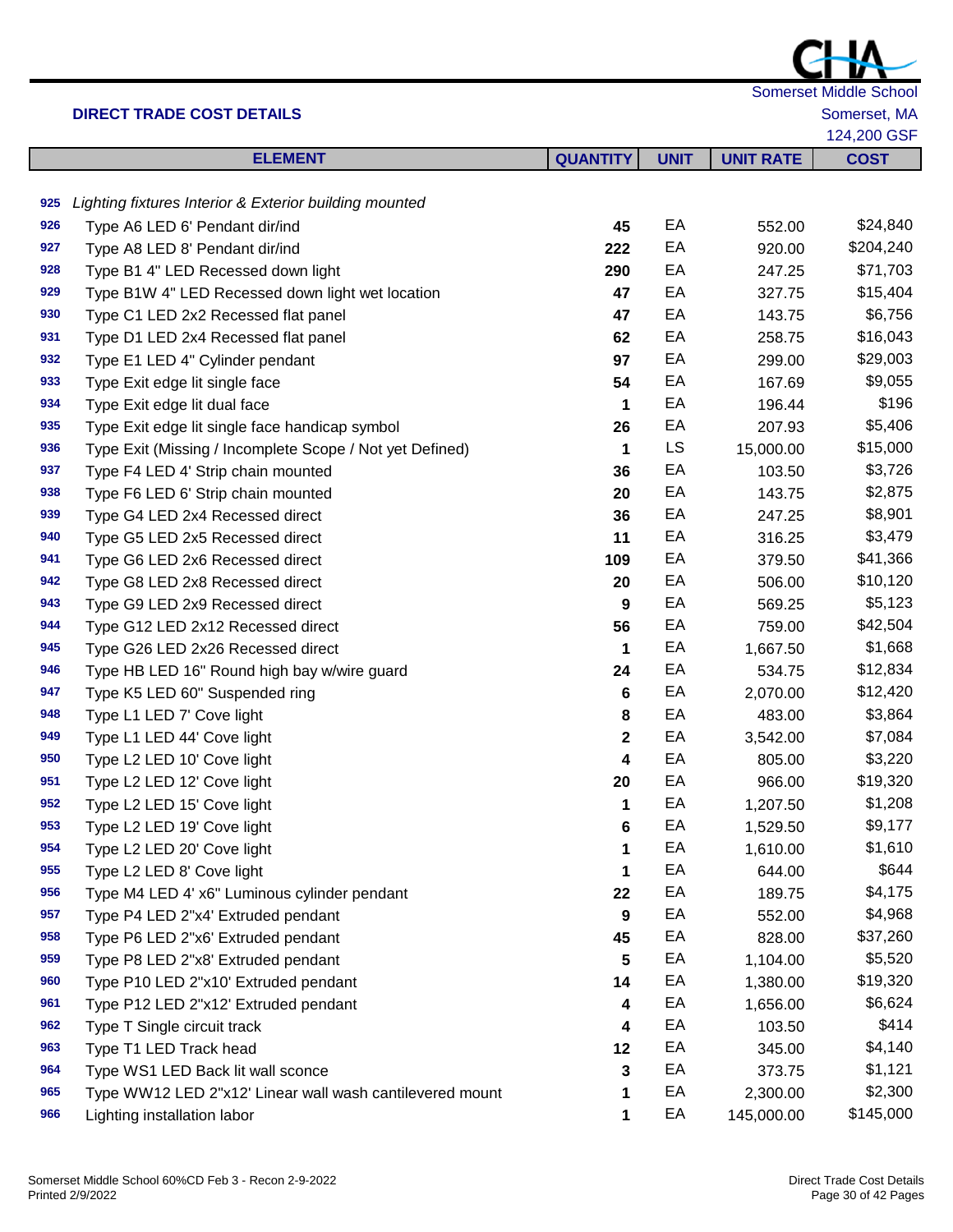|     | <b>DIRECT TRADE COST DETAILS</b>                         |                 |             |                  | Somerset, MA |
|-----|----------------------------------------------------------|-----------------|-------------|------------------|--------------|
|     |                                                          |                 |             |                  | 124,200 GSF  |
|     | <b>ELEMENT</b>                                           | <b>QUANTITY</b> | <b>UNIT</b> | <b>UNIT RATE</b> | <b>COST</b>  |
|     |                                                          |                 |             |                  |              |
| 925 | Lighting fixtures Interior & Exterior building mounted   |                 |             |                  |              |
| 926 | Type A6 LED 6' Pendant dir/ind                           | 45              | EA          | 552.00           | \$24,840     |
| 927 | Type A8 LED 8' Pendant dir/ind                           | 222             | EA          | 920.00           | \$204,240    |
| 928 | Type B1 4" LED Recessed down light                       | 290             | EA          | 247.25           | \$71,703     |
| 929 | Type B1W 4" LED Recessed down light wet location         | 47              | EA          | 327.75           | \$15,404     |
| 930 | Type C1 LED 2x2 Recessed flat panel                      | 47              | EA          | 143.75           | \$6,756      |
| 931 | Type D1 LED 2x4 Recessed flat panel                      | 62              | EA          | 258.75           | \$16,043     |
| 932 | Type E1 LED 4" Cylinder pendant                          | 97              | EA          | 299.00           | \$29,003     |
| 933 | Type Exit edge lit single face                           | 54              | EA          | 167.69           | \$9,055      |
| 934 | Type Exit edge lit dual face                             | 1               | EA          | 196.44           | \$196        |
| 935 | Type Exit edge lit single face handicap symbol           | 26              | EA          | 207.93           | \$5,406      |
| 936 | Type Exit (Missing / Incomplete Scope / Not yet Defined) | 1               | LS          | 15,000.00        | \$15,000     |
| 937 | Type F4 LED 4' Strip chain mounted                       | 36              | EA          | 103.50           | \$3,726      |
| 938 | Type F6 LED 6' Strip chain mounted                       | 20              | EA          | 143.75           | \$2,875      |
| 939 | Type G4 LED 2x4 Recessed direct                          | 36              | EA          | 247.25           | \$8,901      |
| 940 | Type G5 LED 2x5 Recessed direct                          | 11              | EA          | 316.25           | \$3,479      |
| 941 | Type G6 LED 2x6 Recessed direct                          | 109             | EA          | 379.50           | \$41,366     |
| 942 | Type G8 LED 2x8 Recessed direct                          | 20              | EA          | 506.00           | \$10,120     |
| 943 | Type G9 LED 2x9 Recessed direct                          | 9               | EA          | 569.25           | \$5,123      |
| 944 | Type G12 LED 2x12 Recessed direct                        | 56              | EA          | 759.00           | \$42,504     |
| 945 | Type G26 LED 2x26 Recessed direct                        | 1               | EA          | 1,667.50         | \$1,668      |
| 946 | Type HB LED 16" Round high bay w/wire guard              | 24              | EA          | 534.75           | \$12,834     |
| 947 | Type K5 LED 60" Suspended ring                           | 6               | EA          | 2,070.00         | \$12,420     |
| 948 | Type L1 LED 7' Cove light                                | 8               | EA          | 483.00           | \$3,864      |
| 949 | Type L1 LED 44' Cove light                               | $\mathbf{2}$    | EA          | 3,542.00         | \$7,084      |
| 950 | Type L2 LED 10' Cove light                               | 4               | EA          | 805.00           | \$3,220      |
| 951 | Type L2 LED 12' Cove light                               | 20              | EA          | 966.00           | \$19,320     |
| 952 | Type L2 LED 15' Cove light                               | 1               | EA          | 1,207.50         | \$1,208      |
| 953 | Type L2 LED 19' Cove light                               | 6               | EA          | 1,529.50         | \$9,177      |
| 954 | Type L2 LED 20' Cove light                               | 1               | EA          | 1,610.00         | \$1,610      |
| 955 | Type L2 LED 8' Cove light                                | 1               | EA          | 644.00           | \$644        |
| 956 | Type M4 LED 4' x6" Luminous cylinder pendant             | 22              | EA          | 189.75           | \$4,175      |
| 957 | Type P4 LED 2"x4' Extruded pendant                       | 9               | EA          | 552.00           | \$4,968      |
| 958 | Type P6 LED 2"x6' Extruded pendant                       | 45              | EA          | 828.00           | \$37,260     |
| 959 | Type P8 LED 2"x8' Extruded pendant                       | 5               | EA          | 1,104.00         | \$5,520      |
| 960 | Type P10 LED 2"x10' Extruded pendant                     | 14              | EA          | 1,380.00         | \$19,320     |
| 961 | Type P12 LED 2"x12' Extruded pendant                     | 4               | EA          | 1,656.00         | \$6,624      |
| 962 | Type T Single circuit track                              | 4               | EA          | 103.50           | \$414        |
| 963 | Type T1 LED Track head                                   | 12              | EA          | 345.00           | \$4,140      |
| 964 | Type WS1 LED Back lit wall sconce                        | 3               | EA          | 373.75           | \$1,121      |
| 965 | Type WW12 LED 2"x12' Linear wall wash cantilevered mount | 1               | EA          | 2,300.00         | \$2,300      |
| 966 | Lighting installation labor                              | 1               | EA          | 145,000.00       | \$145,000    |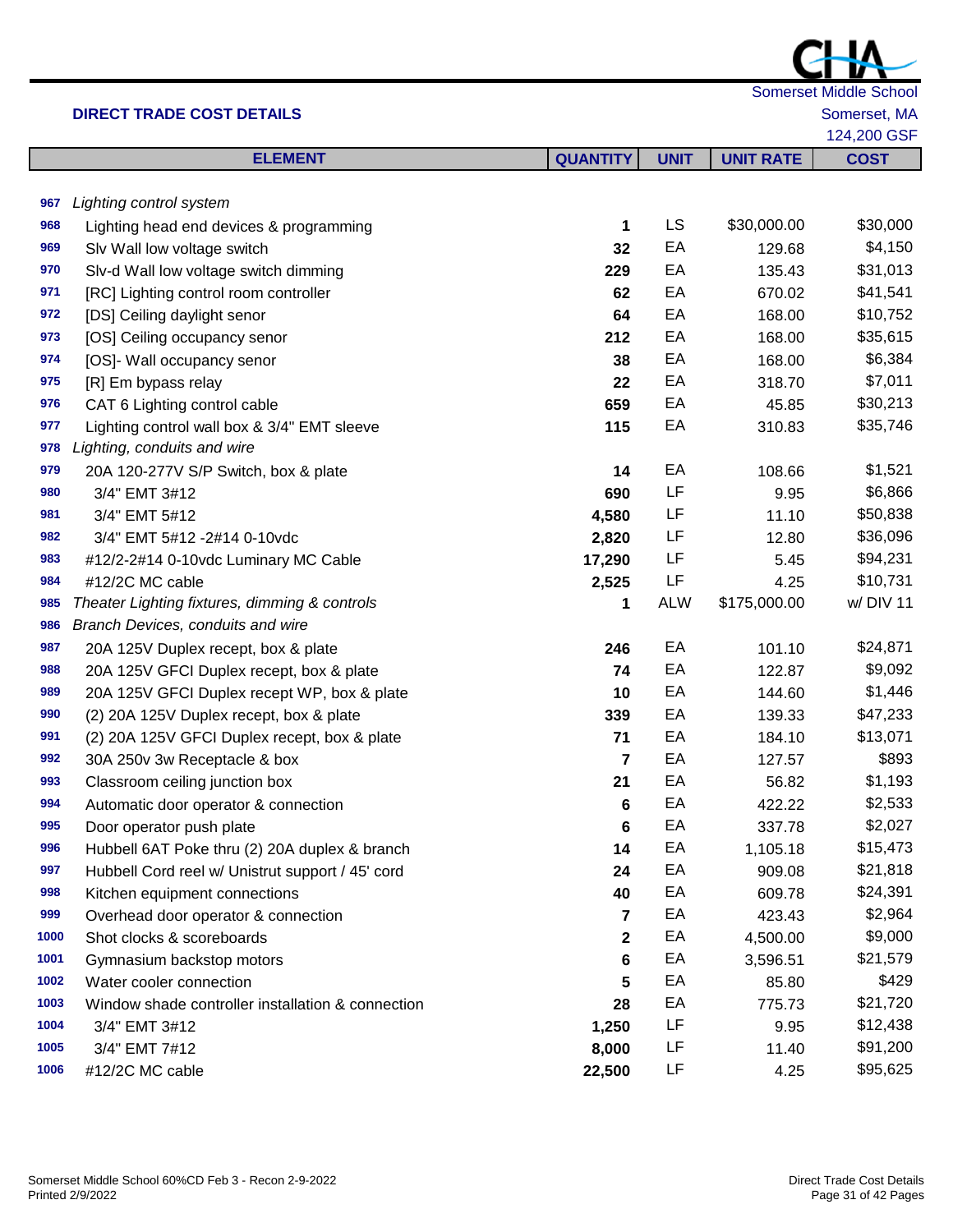|      |                                                   |                 |             |                  | 124,200 GSF |
|------|---------------------------------------------------|-----------------|-------------|------------------|-------------|
|      | <b>ELEMENT</b>                                    | <b>QUANTITY</b> | <b>UNIT</b> | <b>UNIT RATE</b> | <b>COST</b> |
|      |                                                   |                 |             |                  |             |
| 967  | Lighting control system                           |                 |             |                  |             |
| 968  | Lighting head end devices & programming           | 1               | LS          | \$30,000.00      | \$30,000    |
| 969  | Slv Wall low voltage switch                       | 32              | EA          | 129.68           | \$4,150     |
| 970  | Slv-d Wall low voltage switch dimming             | 229             | EA          | 135.43           | \$31,013    |
| 971  | [RC] Lighting control room controller             | 62              | EA          | 670.02           | \$41,541    |
| 972  | [DS] Ceiling daylight senor                       | 64              | EA          | 168.00           | \$10,752    |
| 973  | [OS] Ceiling occupancy senor                      | 212             | EA          | 168.00           | \$35,615    |
| 974  | [OS]- Wall occupancy senor                        | 38              | EA          | 168.00           | \$6,384     |
| 975  | [R] Em bypass relay                               | 22              | EA          | 318.70           | \$7,011     |
| 976  | CAT 6 Lighting control cable                      | 659             | EA          | 45.85            | \$30,213    |
| 977  | Lighting control wall box & 3/4" EMT sleeve       | 115             | EA          | 310.83           | \$35,746    |
| 978  | Lighting, conduits and wire                       |                 |             |                  |             |
| 979  | 20A 120-277V S/P Switch, box & plate              | 14              | EA          | 108.66           | \$1,521     |
| 980  | 3/4" EMT 3#12                                     | 690             | LF          | 9.95             | \$6,866     |
| 981  | 3/4" EMT 5#12                                     | 4,580           | LF          | 11.10            | \$50,838    |
| 982  | 3/4" EMT 5#12 -2#14 0-10vdc                       | 2,820           | LF          | 12.80            | \$36,096    |
| 983  | #12/2-2#14 0-10vdc Luminary MC Cable              | 17,290          | LF          | 5.45             | \$94,231    |
| 984  | #12/2C MC cable                                   | 2,525           | LF          | 4.25             | \$10,731    |
| 985  | Theater Lighting fixtures, dimming & controls     | 1               | <b>ALW</b>  | \$175,000.00     | w/DIV 11    |
| 986  | <b>Branch Devices, conduits and wire</b>          |                 |             |                  |             |
| 987  | 20A 125V Duplex recept, box & plate               | 246             | EA          | 101.10           | \$24,871    |
| 988  | 20A 125V GFCI Duplex recept, box & plate          | 74              | EA          | 122.87           | \$9,092     |
| 989  | 20A 125V GFCI Duplex recept WP, box & plate       | 10              | EA          | 144.60           | \$1,446     |
| 990  | (2) 20A 125V Duplex recept, box & plate           | 339             | EA          | 139.33           | \$47,233    |
| 991  | (2) 20A 125V GFCI Duplex recept, box & plate      | 71              | EA          | 184.10           | \$13,071    |
| 992  | 30A 250v 3w Receptacle & box                      | 7               | EA          | 127.57           | \$893       |
| 993  | Classroom ceiling junction box                    | 21              | EA          | 56.82            | \$1,193     |
| 994  | Automatic door operator & connection              | 6               | EA          | 422.22           | \$2,533     |
| 995  | Door operator push plate                          | 6               | EA          | 337.78           | \$2,027     |
| 996  | Hubbell 6AT Poke thru (2) 20A duplex & branch     | 14              | EA          | 1,105.18         | \$15,473    |
| 997  | Hubbell Cord reel w/ Unistrut support / 45' cord  | 24              | EA          | 909.08           | \$21,818    |
| 998  | Kitchen equipment connections                     | 40              | EA          | 609.78           | \$24,391    |
| 999  | Overhead door operator & connection               | 7               | EA          | 423.43           | \$2,964     |
| 1000 | Shot clocks & scoreboards                         | 2               | EA          | 4,500.00         | \$9,000     |
| 1001 | Gymnasium backstop motors                         | 6               | EA          | 3,596.51         | \$21,579    |
| 1002 | Water cooler connection                           | 5               | EA          | 85.80            | \$429       |
| 1003 | Window shade controller installation & connection | 28              | EA          | 775.73           | \$21,720    |
| 1004 | 3/4" EMT 3#12                                     | 1,250           | LF          | 9.95             | \$12,438    |
| 1005 | 3/4" EMT 7#12                                     | 8,000           | LF          | 11.40            | \$91,200    |
| 1006 | #12/2C MC cable                                   | 22,500          | LF          | 4.25             | \$95,625    |

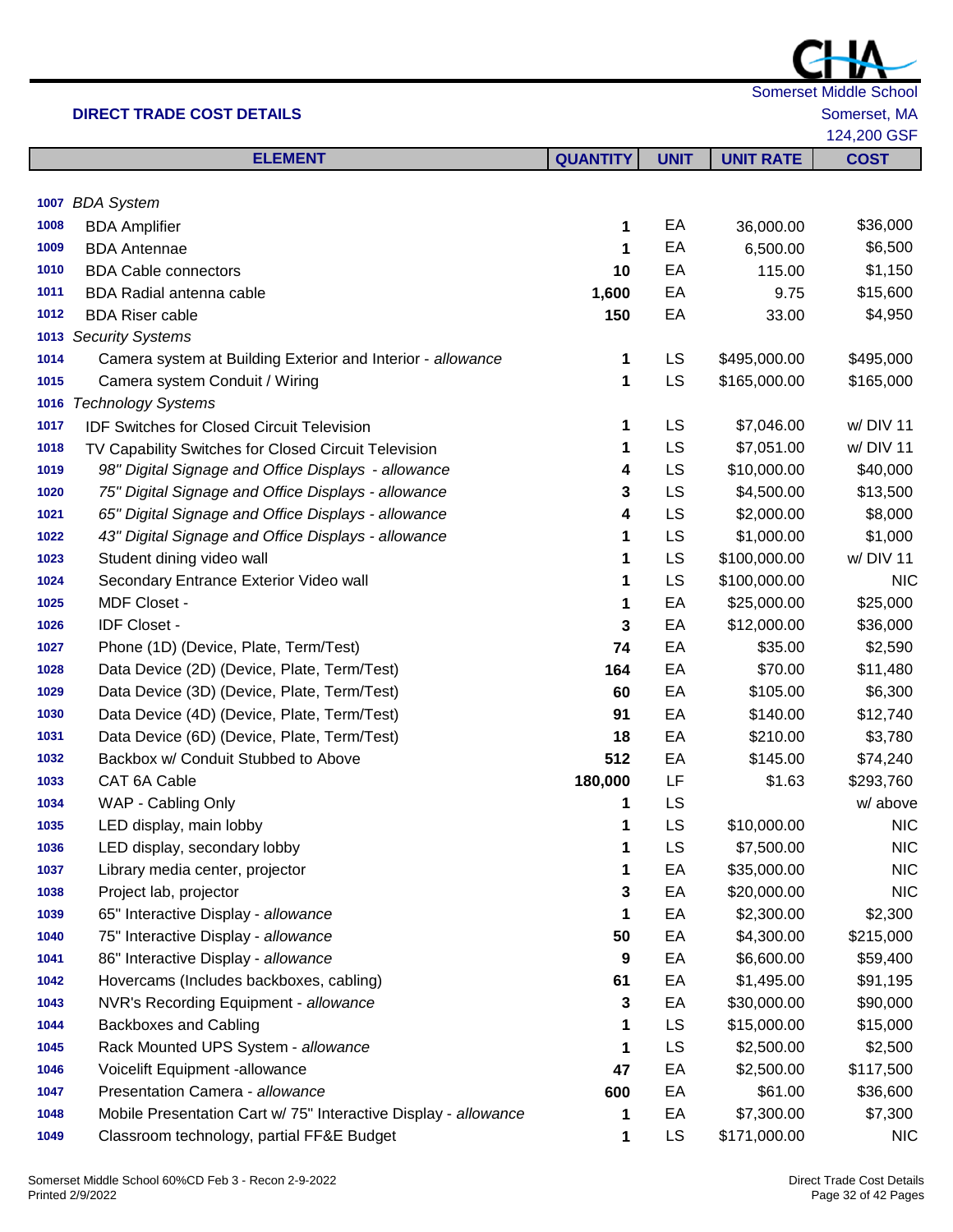|      |                                                                 |                 |             |                  | 124,200 GSF |
|------|-----------------------------------------------------------------|-----------------|-------------|------------------|-------------|
|      | <b>ELEMENT</b>                                                  | <b>QUANTITY</b> | <b>UNIT</b> | <b>UNIT RATE</b> | <b>COST</b> |
|      |                                                                 |                 |             |                  |             |
| 1007 | <b>BDA System</b>                                               |                 |             |                  |             |
| 1008 | <b>BDA Amplifier</b>                                            | 1               | EA          | 36,000.00        | \$36,000    |
| 1009 | <b>BDA Antennae</b>                                             | 1               | EA          | 6,500.00         | \$6,500     |
| 1010 | <b>BDA Cable connectors</b>                                     | 10              | EA          | 115.00           | \$1,150     |
| 1011 | <b>BDA Radial antenna cable</b>                                 | 1,600           | EA          | 9.75             | \$15,600    |
| 1012 | <b>BDA Riser cable</b>                                          | 150             | EA          | 33.00            | \$4,950     |
| 1013 | <b>Security Systems</b>                                         |                 |             |                  |             |
| 1014 | Camera system at Building Exterior and Interior - allowance     | 1               | <b>LS</b>   | \$495,000.00     | \$495,000   |
| 1015 | Camera system Conduit / Wiring                                  | 1               | LS          | \$165,000.00     | \$165,000   |
| 1016 | <b>Technology Systems</b>                                       |                 |             |                  |             |
| 1017 | IDF Switches for Closed Circuit Television                      | 1               | <b>LS</b>   | \$7,046.00       | w/ DIV 11   |
| 1018 | TV Capability Switches for Closed Circuit Television            | 1               | LS          | \$7,051.00       | w/DIV 11    |
| 1019 | 98" Digital Signage and Office Displays - allowance             | 4               | LS          | \$10,000.00      | \$40,000    |
| 1020 | 75" Digital Signage and Office Displays - allowance             | 3               | LS          | \$4,500.00       | \$13,500    |
| 1021 | 65" Digital Signage and Office Displays - allowance             | 4               | LS          | \$2,000.00       | \$8,000     |
| 1022 | 43" Digital Signage and Office Displays - allowance             | 1               | LS          | \$1,000.00       | \$1,000     |
| 1023 | Student dining video wall                                       | 1               | LS          | \$100,000.00     | w/DIV 11    |
| 1024 | Secondary Entrance Exterior Video wall                          | 1               | LS          | \$100,000.00     | <b>NIC</b>  |
| 1025 | MDF Closet -                                                    | 1               | EA          | \$25,000.00      | \$25,000    |
| 1026 | IDF Closet -                                                    | 3               | EA          | \$12,000.00      | \$36,000    |
| 1027 | Phone (1D) (Device, Plate, Term/Test)                           | 74              | EA          | \$35.00          | \$2,590     |
| 1028 | Data Device (2D) (Device, Plate, Term/Test)                     | 164             | EA          | \$70.00          | \$11,480    |
| 1029 | Data Device (3D) (Device, Plate, Term/Test)                     | 60              | EA          | \$105.00         | \$6,300     |
| 1030 | Data Device (4D) (Device, Plate, Term/Test)                     | 91              | EA          | \$140.00         | \$12,740    |
| 1031 | Data Device (6D) (Device, Plate, Term/Test)                     | 18              | EA          | \$210.00         | \$3,780     |
| 1032 | Backbox w/ Conduit Stubbed to Above                             | 512             | EA          | \$145.00         | \$74,240    |
| 1033 | CAT 6A Cable                                                    | 180,000         | LF          | \$1.63           | \$293,760   |
| 1034 | WAP - Cabling Only                                              | 1               | LS          |                  | w/ above    |
| 1035 | LED display, main lobby                                         | 1               | LS          | \$10,000.00      | <b>NIC</b>  |
| 1036 | LED display, secondary lobby                                    | 1               | LS          | \$7,500.00       | <b>NIC</b>  |
| 1037 | Library media center, projector                                 | 1               | EA          | \$35,000.00      | <b>NIC</b>  |
| 1038 | Project lab, projector                                          | 3               | EA          | \$20,000.00      | <b>NIC</b>  |
| 1039 | 65" Interactive Display - allowance                             | 1               | EA          | \$2,300.00       | \$2,300     |
| 1040 | 75" Interactive Display - allowance                             | 50              | EA          | \$4,300.00       | \$215,000   |
| 1041 | 86" Interactive Display - allowance                             | 9               | EA          | \$6,600.00       | \$59,400    |
| 1042 | Hovercams (Includes backboxes, cabling)                         | 61              | EA          | \$1,495.00       | \$91,195    |
| 1043 | NVR's Recording Equipment - allowance                           | 3               | EA          | \$30,000.00      | \$90,000    |
| 1044 | <b>Backboxes and Cabling</b>                                    | 1               | LS          | \$15,000.00      | \$15,000    |
| 1045 | Rack Mounted UPS System - allowance                             | 1               | LS          | \$2,500.00       | \$2,500     |
| 1046 | Voicelift Equipment -allowance                                  | 47              | EA          | \$2,500.00       | \$117,500   |
| 1047 | Presentation Camera - allowance                                 | 600             | EA          | \$61.00          | \$36,600    |
| 1048 | Mobile Presentation Cart w/ 75" Interactive Display - allowance | 1               | EA          | \$7,300.00       | \$7,300     |
| 1049 | Classroom technology, partial FF&E Budget                       | 1               | LS          | \$171,000.00     | <b>NIC</b>  |
|      |                                                                 |                 |             |                  |             |

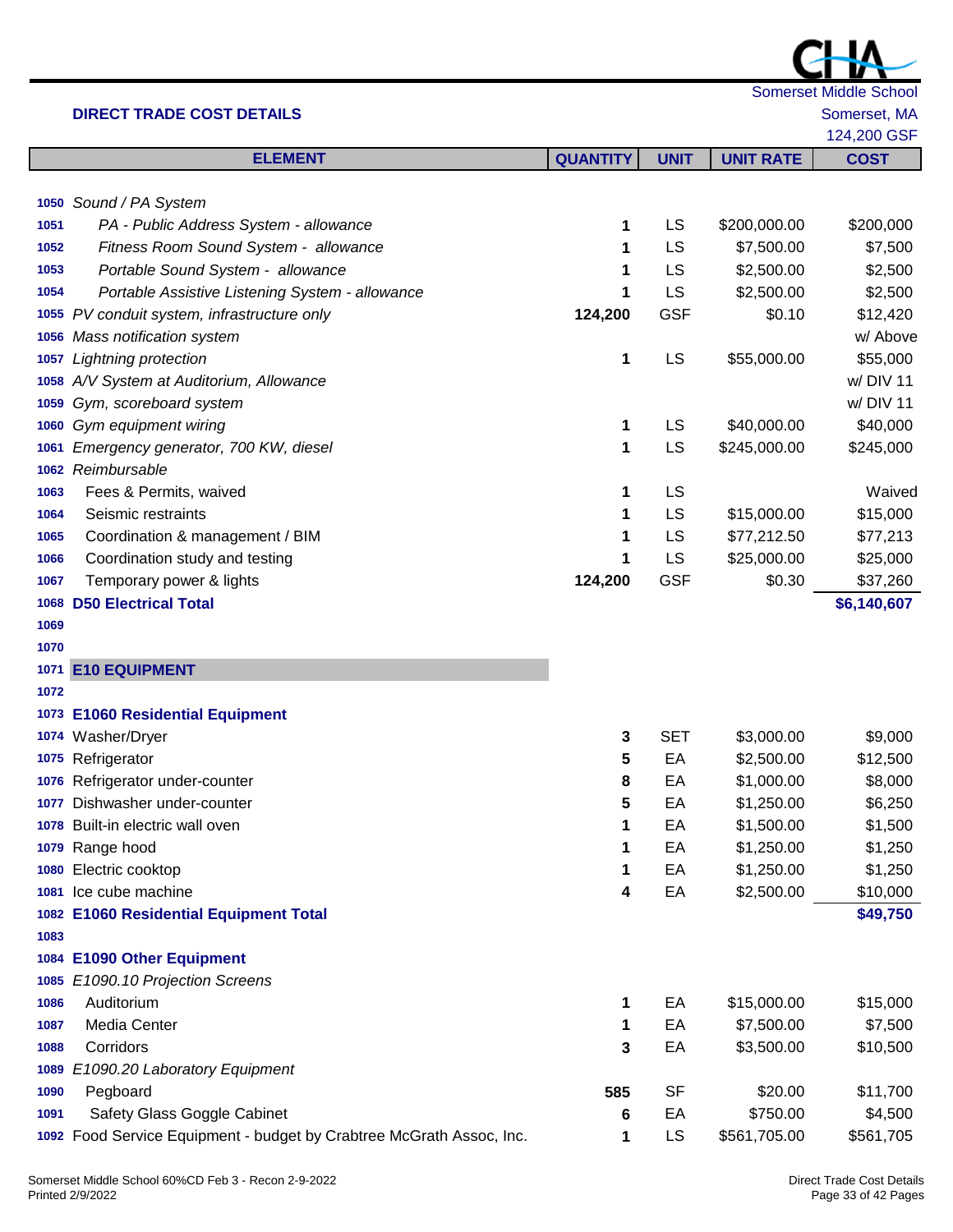| <b>DIRECT TRADE COST DETAILS</b> | Somerset, MA |
|----------------------------------|--------------|
|----------------------------------|--------------|

|      |                                                 |                 |             |                  | 124,200 GSF |
|------|-------------------------------------------------|-----------------|-------------|------------------|-------------|
|      | <b>ELEMENT</b>                                  | <b>QUANTITY</b> | <b>UNIT</b> | <b>UNIT RATE</b> | <b>COST</b> |
|      |                                                 |                 |             |                  |             |
|      | 1050 Sound / PA System                          |                 |             |                  |             |
| 1051 | PA - Public Address System - allowance          | 1               | <b>LS</b>   | \$200,000.00     | \$200,000   |
| 1052 | Fitness Room Sound System - allowance           | 1               | <b>LS</b>   | \$7,500.00       | \$7,500     |
| 1053 | Portable Sound System - allowance               | 1               | <b>LS</b>   | \$2,500.00       | \$2,500     |
| 1054 | Portable Assistive Listening System - allowance | 1               | LS          | \$2,500.00       | \$2,500     |
|      | 1055 PV conduit system, infrastructure only     | 124,200         | <b>GSF</b>  | \$0.10           | \$12,420    |
|      | 1056 Mass notification system                   |                 |             |                  | w/ Above    |
|      | 1057 Lightning protection                       | 1               | LS          | \$55,000.00      | \$55,000    |
|      | 1058 A/V System at Auditorium, Allowance        |                 |             |                  | w/DIV 11    |
|      | 1059 Gym, scoreboard system                     |                 |             |                  | w/DIV 11    |
|      | 1060 Gym equipment wiring                       | 1               | <b>LS</b>   | \$40,000.00      | \$40,000    |
|      | 1061 Emergency generator, 700 KW, diesel        | 1               | LS          | \$245,000.00     | \$245,000   |
|      | 1062 Reimbursable                               |                 |             |                  |             |
| 1063 | Fees & Permits, waived                          | 1               | LS          |                  | Waived      |
| 1064 | Seismic restraints                              | 1               | LS          | \$15,000.00      | \$15,000    |
| 1065 | Coordination & management / BIM                 | 1               | LS          | \$77,212.50      | \$77,213    |
| 1066 | Coordination study and testing                  | 1               | LS          | \$25,000.00      | \$25,000    |
| 1067 | Temporary power & lights                        | 124,200         | <b>GSF</b>  | \$0.30           | \$37,260    |
| 1068 | <b>D50 Electrical Total</b>                     |                 |             |                  | \$6,140,607 |
| 1069 |                                                 |                 |             |                  |             |
| 1070 |                                                 |                 |             |                  |             |
|      | 1071 E10 EQUIPMENT                              |                 |             |                  |             |
| 1072 |                                                 |                 |             |                  |             |
|      | 1073 E1060 Residential Equipment                |                 |             |                  |             |
|      | 1074 Washer/Dryer                               | 3               | <b>SET</b>  | \$3,000.00       | \$9,000     |
|      | 1075 Refrigerator                               | 5               | EA          | \$2,500.00       | \$12,500    |
|      | 1076 Refrigerator under-counter                 | 8               | EA          | \$1,000.00       | \$8,000     |
|      | 1077 Dishwasher under-counter                   | 5               | EA          | \$1,250.00       | \$6,250     |
|      | 1078 Built-in electric wall oven                | 1               | EA          | \$1,500.00       | \$1,500     |
|      | 1079 Range hood                                 | 1               | EA          | \$1,250.00       | \$1,250     |
|      | 1080 Electric cooktop                           | 1               | EA          | \$1,250.00       | \$1,250     |
|      | 1081 Ice cube machine                           | 4               | EA          | \$2,500.00       | \$10,000    |
|      | 1082 E1060 Residential Equipment Total          |                 |             |                  | \$49,750    |
| 1083 |                                                 |                 |             |                  |             |
|      | 1084 E1090 Other Equipment                      |                 |             |                  |             |
|      | 1085 E1090.10 Projection Screens                |                 |             |                  |             |
| 1086 | Auditorium                                      | 1               | EA          | \$15,000.00      | \$15,000    |
| 1087 | Media Center                                    | 1               | EA          | \$7,500.00       | \$7,500     |
| 1088 | Corridors                                       | 3               | EA          | \$3,500.00       | \$10,500    |
| 1089 | E1090.20 Laboratory Equipment                   |                 |             |                  |             |
| 1090 | Pegboard                                        | 585             | <b>SF</b>   | \$20.00          | \$11,700    |
| 1091 | Safety Glass Goggle Cabinet                     | 6               | EA          | \$750.00         | \$4,500     |

1092 Food Service Equipment - budget by Crabtree McGrath Assoc, Inc. **1 1 LS** \$561,705.00 \$561,705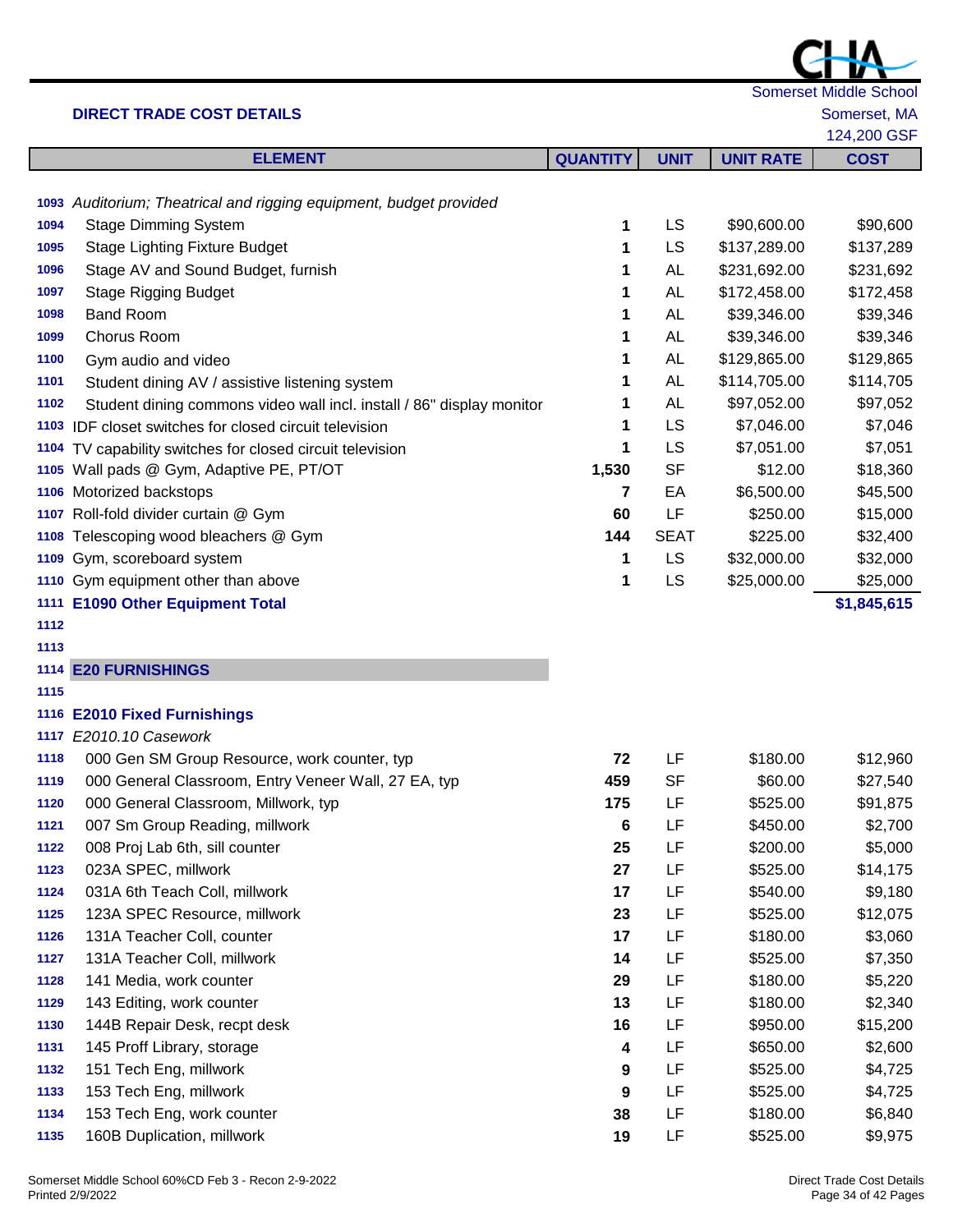| <b>DIRECT TRADE COST DETAILS</b><br><b>ELEMENT</b><br><b>QUANTITY</b><br><b>UNIT RATE</b><br><b>UNIT</b><br>1093 Auditorium; Theatrical and rigging equipment, budget provided<br><b>LS</b><br>1<br>\$90,600.00<br><b>Stage Dimming System</b><br>1094<br><b>Stage Lighting Fixture Budget</b><br>LS<br>\$137,289.00<br>1<br>1095<br>Stage AV and Sound Budget, furnish<br>AL<br>\$231,692.00<br>1<br>1096<br>AL<br>1097<br><b>Stage Rigging Budget</b><br>\$172,458.00<br>1<br><b>Band Room</b><br>AL<br>\$39,346.00<br>1<br>1098<br>Chorus Room<br><b>AL</b><br>\$39,346.00<br>1099<br>1<br>AL<br>\$129,865.00<br>1<br>1100<br>Gym audio and video<br><b>AL</b><br>\$114,705.00<br>1101<br>1<br>Student dining AV / assistive listening system<br>AL<br>\$97,052.00<br>1102<br>Student dining commons video wall incl. install / 86" display monitor<br>1<br>LS<br>\$7,046.00<br>1<br>IDF closet switches for closed circuit television<br>1103<br>LS<br>1<br>\$7,051.00<br>TV capability switches for closed circuit television<br>1104<br><b>SF</b><br>\$12.00<br>1105 Wall pads @ Gym, Adaptive PE, PT/OT<br>1,530<br>\$6,500.00<br>Motorized backstops<br>EA<br>7<br>1106<br>LF<br>1107 Roll-fold divider curtain @ Gym<br>60<br>\$250.00<br>1108 Telescoping wood bleachers @ Gym<br>144<br><b>SEAT</b><br>\$225.00<br>Gym, scoreboard system<br><b>LS</b><br>\$32,000.00<br>1<br>1109<br>LS<br>Gym equipment other than above<br>\$25,000.00<br>1<br>1110<br>1111 E1090 Other Equipment Total<br>1112<br>1113<br><b>E20 FURNISHINGS</b><br>1114<br>1115<br><b>E2010 Fixed Furnishings</b><br>1116<br>E2010.10 Casework<br>1117<br>LF<br>72<br>\$180.00<br>1118<br>000 Gen SM Group Resource, work counter, typ<br>459<br><b>SF</b><br>\$60.00<br>000 General Classroom, Entry Veneer Wall, 27 EA, typ<br>1119<br>175<br>LF<br>\$525.00<br>000 General Classroom, Millwork, typ<br>1120<br>LF<br>007 Sm Group Reading, millwork<br>\$450.00<br>1121<br>6<br>LF<br>25<br>1122<br>008 Proj Lab 6th, sill counter<br>\$200.00<br>LF<br>023A SPEC, millwork<br>27<br>1123<br>\$525.00<br>031A 6th Teach Coll, millwork<br>17<br>LF<br>\$540.00<br>1124 | <b>Somerset Middle School</b> |
|-----------------------------------------------------------------------------------------------------------------------------------------------------------------------------------------------------------------------------------------------------------------------------------------------------------------------------------------------------------------------------------------------------------------------------------------------------------------------------------------------------------------------------------------------------------------------------------------------------------------------------------------------------------------------------------------------------------------------------------------------------------------------------------------------------------------------------------------------------------------------------------------------------------------------------------------------------------------------------------------------------------------------------------------------------------------------------------------------------------------------------------------------------------------------------------------------------------------------------------------------------------------------------------------------------------------------------------------------------------------------------------------------------------------------------------------------------------------------------------------------------------------------------------------------------------------------------------------------------------------------------------------------------------------------------------------------------------------------------------------------------------------------------------------------------------------------------------------------------------------------------------------------------------------------------------------------------------------------------------------------------------------------------------------------------------------------------------------------------------------------------------------------------------|-------------------------------|
|                                                                                                                                                                                                                                                                                                                                                                                                                                                                                                                                                                                                                                                                                                                                                                                                                                                                                                                                                                                                                                                                                                                                                                                                                                                                                                                                                                                                                                                                                                                                                                                                                                                                                                                                                                                                                                                                                                                                                                                                                                                                                                                                                           | Somerset, MA                  |
|                                                                                                                                                                                                                                                                                                                                                                                                                                                                                                                                                                                                                                                                                                                                                                                                                                                                                                                                                                                                                                                                                                                                                                                                                                                                                                                                                                                                                                                                                                                                                                                                                                                                                                                                                                                                                                                                                                                                                                                                                                                                                                                                                           | 124,200 GSF                   |
|                                                                                                                                                                                                                                                                                                                                                                                                                                                                                                                                                                                                                                                                                                                                                                                                                                                                                                                                                                                                                                                                                                                                                                                                                                                                                                                                                                                                                                                                                                                                                                                                                                                                                                                                                                                                                                                                                                                                                                                                                                                                                                                                                           | <b>COST</b>                   |
|                                                                                                                                                                                                                                                                                                                                                                                                                                                                                                                                                                                                                                                                                                                                                                                                                                                                                                                                                                                                                                                                                                                                                                                                                                                                                                                                                                                                                                                                                                                                                                                                                                                                                                                                                                                                                                                                                                                                                                                                                                                                                                                                                           |                               |
|                                                                                                                                                                                                                                                                                                                                                                                                                                                                                                                                                                                                                                                                                                                                                                                                                                                                                                                                                                                                                                                                                                                                                                                                                                                                                                                                                                                                                                                                                                                                                                                                                                                                                                                                                                                                                                                                                                                                                                                                                                                                                                                                                           |                               |
|                                                                                                                                                                                                                                                                                                                                                                                                                                                                                                                                                                                                                                                                                                                                                                                                                                                                                                                                                                                                                                                                                                                                                                                                                                                                                                                                                                                                                                                                                                                                                                                                                                                                                                                                                                                                                                                                                                                                                                                                                                                                                                                                                           | \$90,600                      |
|                                                                                                                                                                                                                                                                                                                                                                                                                                                                                                                                                                                                                                                                                                                                                                                                                                                                                                                                                                                                                                                                                                                                                                                                                                                                                                                                                                                                                                                                                                                                                                                                                                                                                                                                                                                                                                                                                                                                                                                                                                                                                                                                                           | \$137,289                     |
|                                                                                                                                                                                                                                                                                                                                                                                                                                                                                                                                                                                                                                                                                                                                                                                                                                                                                                                                                                                                                                                                                                                                                                                                                                                                                                                                                                                                                                                                                                                                                                                                                                                                                                                                                                                                                                                                                                                                                                                                                                                                                                                                                           | \$231,692                     |
|                                                                                                                                                                                                                                                                                                                                                                                                                                                                                                                                                                                                                                                                                                                                                                                                                                                                                                                                                                                                                                                                                                                                                                                                                                                                                                                                                                                                                                                                                                                                                                                                                                                                                                                                                                                                                                                                                                                                                                                                                                                                                                                                                           | \$172,458                     |
|                                                                                                                                                                                                                                                                                                                                                                                                                                                                                                                                                                                                                                                                                                                                                                                                                                                                                                                                                                                                                                                                                                                                                                                                                                                                                                                                                                                                                                                                                                                                                                                                                                                                                                                                                                                                                                                                                                                                                                                                                                                                                                                                                           | \$39,346                      |
|                                                                                                                                                                                                                                                                                                                                                                                                                                                                                                                                                                                                                                                                                                                                                                                                                                                                                                                                                                                                                                                                                                                                                                                                                                                                                                                                                                                                                                                                                                                                                                                                                                                                                                                                                                                                                                                                                                                                                                                                                                                                                                                                                           | \$39,346                      |
|                                                                                                                                                                                                                                                                                                                                                                                                                                                                                                                                                                                                                                                                                                                                                                                                                                                                                                                                                                                                                                                                                                                                                                                                                                                                                                                                                                                                                                                                                                                                                                                                                                                                                                                                                                                                                                                                                                                                                                                                                                                                                                                                                           | \$129,865                     |
|                                                                                                                                                                                                                                                                                                                                                                                                                                                                                                                                                                                                                                                                                                                                                                                                                                                                                                                                                                                                                                                                                                                                                                                                                                                                                                                                                                                                                                                                                                                                                                                                                                                                                                                                                                                                                                                                                                                                                                                                                                                                                                                                                           | \$114,705                     |
|                                                                                                                                                                                                                                                                                                                                                                                                                                                                                                                                                                                                                                                                                                                                                                                                                                                                                                                                                                                                                                                                                                                                                                                                                                                                                                                                                                                                                                                                                                                                                                                                                                                                                                                                                                                                                                                                                                                                                                                                                                                                                                                                                           | \$97,052                      |
|                                                                                                                                                                                                                                                                                                                                                                                                                                                                                                                                                                                                                                                                                                                                                                                                                                                                                                                                                                                                                                                                                                                                                                                                                                                                                                                                                                                                                                                                                                                                                                                                                                                                                                                                                                                                                                                                                                                                                                                                                                                                                                                                                           | \$7,046                       |
|                                                                                                                                                                                                                                                                                                                                                                                                                                                                                                                                                                                                                                                                                                                                                                                                                                                                                                                                                                                                                                                                                                                                                                                                                                                                                                                                                                                                                                                                                                                                                                                                                                                                                                                                                                                                                                                                                                                                                                                                                                                                                                                                                           | \$7,051                       |
|                                                                                                                                                                                                                                                                                                                                                                                                                                                                                                                                                                                                                                                                                                                                                                                                                                                                                                                                                                                                                                                                                                                                                                                                                                                                                                                                                                                                                                                                                                                                                                                                                                                                                                                                                                                                                                                                                                                                                                                                                                                                                                                                                           | \$18,360                      |
|                                                                                                                                                                                                                                                                                                                                                                                                                                                                                                                                                                                                                                                                                                                                                                                                                                                                                                                                                                                                                                                                                                                                                                                                                                                                                                                                                                                                                                                                                                                                                                                                                                                                                                                                                                                                                                                                                                                                                                                                                                                                                                                                                           | \$45,500                      |
|                                                                                                                                                                                                                                                                                                                                                                                                                                                                                                                                                                                                                                                                                                                                                                                                                                                                                                                                                                                                                                                                                                                                                                                                                                                                                                                                                                                                                                                                                                                                                                                                                                                                                                                                                                                                                                                                                                                                                                                                                                                                                                                                                           | \$15,000                      |
|                                                                                                                                                                                                                                                                                                                                                                                                                                                                                                                                                                                                                                                                                                                                                                                                                                                                                                                                                                                                                                                                                                                                                                                                                                                                                                                                                                                                                                                                                                                                                                                                                                                                                                                                                                                                                                                                                                                                                                                                                                                                                                                                                           | \$32,400                      |
|                                                                                                                                                                                                                                                                                                                                                                                                                                                                                                                                                                                                                                                                                                                                                                                                                                                                                                                                                                                                                                                                                                                                                                                                                                                                                                                                                                                                                                                                                                                                                                                                                                                                                                                                                                                                                                                                                                                                                                                                                                                                                                                                                           | \$32,000                      |
|                                                                                                                                                                                                                                                                                                                                                                                                                                                                                                                                                                                                                                                                                                                                                                                                                                                                                                                                                                                                                                                                                                                                                                                                                                                                                                                                                                                                                                                                                                                                                                                                                                                                                                                                                                                                                                                                                                                                                                                                                                                                                                                                                           | \$25,000                      |
|                                                                                                                                                                                                                                                                                                                                                                                                                                                                                                                                                                                                                                                                                                                                                                                                                                                                                                                                                                                                                                                                                                                                                                                                                                                                                                                                                                                                                                                                                                                                                                                                                                                                                                                                                                                                                                                                                                                                                                                                                                                                                                                                                           | \$1,845,615                   |
|                                                                                                                                                                                                                                                                                                                                                                                                                                                                                                                                                                                                                                                                                                                                                                                                                                                                                                                                                                                                                                                                                                                                                                                                                                                                                                                                                                                                                                                                                                                                                                                                                                                                                                                                                                                                                                                                                                                                                                                                                                                                                                                                                           |                               |
|                                                                                                                                                                                                                                                                                                                                                                                                                                                                                                                                                                                                                                                                                                                                                                                                                                                                                                                                                                                                                                                                                                                                                                                                                                                                                                                                                                                                                                                                                                                                                                                                                                                                                                                                                                                                                                                                                                                                                                                                                                                                                                                                                           |                               |
|                                                                                                                                                                                                                                                                                                                                                                                                                                                                                                                                                                                                                                                                                                                                                                                                                                                                                                                                                                                                                                                                                                                                                                                                                                                                                                                                                                                                                                                                                                                                                                                                                                                                                                                                                                                                                                                                                                                                                                                                                                                                                                                                                           |                               |
|                                                                                                                                                                                                                                                                                                                                                                                                                                                                                                                                                                                                                                                                                                                                                                                                                                                                                                                                                                                                                                                                                                                                                                                                                                                                                                                                                                                                                                                                                                                                                                                                                                                                                                                                                                                                                                                                                                                                                                                                                                                                                                                                                           |                               |
|                                                                                                                                                                                                                                                                                                                                                                                                                                                                                                                                                                                                                                                                                                                                                                                                                                                                                                                                                                                                                                                                                                                                                                                                                                                                                                                                                                                                                                                                                                                                                                                                                                                                                                                                                                                                                                                                                                                                                                                                                                                                                                                                                           |                               |
|                                                                                                                                                                                                                                                                                                                                                                                                                                                                                                                                                                                                                                                                                                                                                                                                                                                                                                                                                                                                                                                                                                                                                                                                                                                                                                                                                                                                                                                                                                                                                                                                                                                                                                                                                                                                                                                                                                                                                                                                                                                                                                                                                           |                               |
|                                                                                                                                                                                                                                                                                                                                                                                                                                                                                                                                                                                                                                                                                                                                                                                                                                                                                                                                                                                                                                                                                                                                                                                                                                                                                                                                                                                                                                                                                                                                                                                                                                                                                                                                                                                                                                                                                                                                                                                                                                                                                                                                                           | \$12,960                      |
|                                                                                                                                                                                                                                                                                                                                                                                                                                                                                                                                                                                                                                                                                                                                                                                                                                                                                                                                                                                                                                                                                                                                                                                                                                                                                                                                                                                                                                                                                                                                                                                                                                                                                                                                                                                                                                                                                                                                                                                                                                                                                                                                                           | \$27,540                      |
|                                                                                                                                                                                                                                                                                                                                                                                                                                                                                                                                                                                                                                                                                                                                                                                                                                                                                                                                                                                                                                                                                                                                                                                                                                                                                                                                                                                                                                                                                                                                                                                                                                                                                                                                                                                                                                                                                                                                                                                                                                                                                                                                                           | \$91,875                      |
|                                                                                                                                                                                                                                                                                                                                                                                                                                                                                                                                                                                                                                                                                                                                                                                                                                                                                                                                                                                                                                                                                                                                                                                                                                                                                                                                                                                                                                                                                                                                                                                                                                                                                                                                                                                                                                                                                                                                                                                                                                                                                                                                                           | \$2,700                       |
|                                                                                                                                                                                                                                                                                                                                                                                                                                                                                                                                                                                                                                                                                                                                                                                                                                                                                                                                                                                                                                                                                                                                                                                                                                                                                                                                                                                                                                                                                                                                                                                                                                                                                                                                                                                                                                                                                                                                                                                                                                                                                                                                                           | \$5,000                       |
|                                                                                                                                                                                                                                                                                                                                                                                                                                                                                                                                                                                                                                                                                                                                                                                                                                                                                                                                                                                                                                                                                                                                                                                                                                                                                                                                                                                                                                                                                                                                                                                                                                                                                                                                                                                                                                                                                                                                                                                                                                                                                                                                                           | \$14,175                      |
|                                                                                                                                                                                                                                                                                                                                                                                                                                                                                                                                                                                                                                                                                                                                                                                                                                                                                                                                                                                                                                                                                                                                                                                                                                                                                                                                                                                                                                                                                                                                                                                                                                                                                                                                                                                                                                                                                                                                                                                                                                                                                                                                                           | \$9,180                       |
| LF<br>123A SPEC Resource, millwork<br>\$525.00<br>23<br>1125                                                                                                                                                                                                                                                                                                                                                                                                                                                                                                                                                                                                                                                                                                                                                                                                                                                                                                                                                                                                                                                                                                                                                                                                                                                                                                                                                                                                                                                                                                                                                                                                                                                                                                                                                                                                                                                                                                                                                                                                                                                                                              | \$12,075                      |
| LF<br>131A Teacher Coll, counter<br>17<br>\$180.00<br>1126                                                                                                                                                                                                                                                                                                                                                                                                                                                                                                                                                                                                                                                                                                                                                                                                                                                                                                                                                                                                                                                                                                                                                                                                                                                                                                                                                                                                                                                                                                                                                                                                                                                                                                                                                                                                                                                                                                                                                                                                                                                                                                | \$3,060                       |
| LF<br>14<br>\$525.00<br>131A Teacher Coll, millwork<br>1127                                                                                                                                                                                                                                                                                                                                                                                                                                                                                                                                                                                                                                                                                                                                                                                                                                                                                                                                                                                                                                                                                                                                                                                                                                                                                                                                                                                                                                                                                                                                                                                                                                                                                                                                                                                                                                                                                                                                                                                                                                                                                               | \$7,350                       |
| LF<br>141 Media, work counter<br>29<br>\$180.00<br>1128                                                                                                                                                                                                                                                                                                                                                                                                                                                                                                                                                                                                                                                                                                                                                                                                                                                                                                                                                                                                                                                                                                                                                                                                                                                                                                                                                                                                                                                                                                                                                                                                                                                                                                                                                                                                                                                                                                                                                                                                                                                                                                   | \$5,220                       |
| LF<br>143 Editing, work counter<br>13<br>\$180.00<br>1129                                                                                                                                                                                                                                                                                                                                                                                                                                                                                                                                                                                                                                                                                                                                                                                                                                                                                                                                                                                                                                                                                                                                                                                                                                                                                                                                                                                                                                                                                                                                                                                                                                                                                                                                                                                                                                                                                                                                                                                                                                                                                                 | \$2,340                       |
| LF<br>144B Repair Desk, recpt desk<br>16<br>\$950.00<br>1130                                                                                                                                                                                                                                                                                                                                                                                                                                                                                                                                                                                                                                                                                                                                                                                                                                                                                                                                                                                                                                                                                                                                                                                                                                                                                                                                                                                                                                                                                                                                                                                                                                                                                                                                                                                                                                                                                                                                                                                                                                                                                              | \$15,200                      |
| LF<br>4<br>145 Proff Library, storage<br>\$650.00<br>1131                                                                                                                                                                                                                                                                                                                                                                                                                                                                                                                                                                                                                                                                                                                                                                                                                                                                                                                                                                                                                                                                                                                                                                                                                                                                                                                                                                                                                                                                                                                                                                                                                                                                                                                                                                                                                                                                                                                                                                                                                                                                                                 | \$2,600                       |
| LF<br>151 Tech Eng, millwork<br>9<br>\$525.00<br>1132                                                                                                                                                                                                                                                                                                                                                                                                                                                                                                                                                                                                                                                                                                                                                                                                                                                                                                                                                                                                                                                                                                                                                                                                                                                                                                                                                                                                                                                                                                                                                                                                                                                                                                                                                                                                                                                                                                                                                                                                                                                                                                     | \$4,725                       |
| 9<br>LF<br>153 Tech Eng, millwork<br>\$525.00<br>1133                                                                                                                                                                                                                                                                                                                                                                                                                                                                                                                                                                                                                                                                                                                                                                                                                                                                                                                                                                                                                                                                                                                                                                                                                                                                                                                                                                                                                                                                                                                                                                                                                                                                                                                                                                                                                                                                                                                                                                                                                                                                                                     | \$4,725                       |
| 153 Tech Eng, work counter<br>38<br>LF<br>1134<br>\$180.00                                                                                                                                                                                                                                                                                                                                                                                                                                                                                                                                                                                                                                                                                                                                                                                                                                                                                                                                                                                                                                                                                                                                                                                                                                                                                                                                                                                                                                                                                                                                                                                                                                                                                                                                                                                                                                                                                                                                                                                                                                                                                                | \$6,840                       |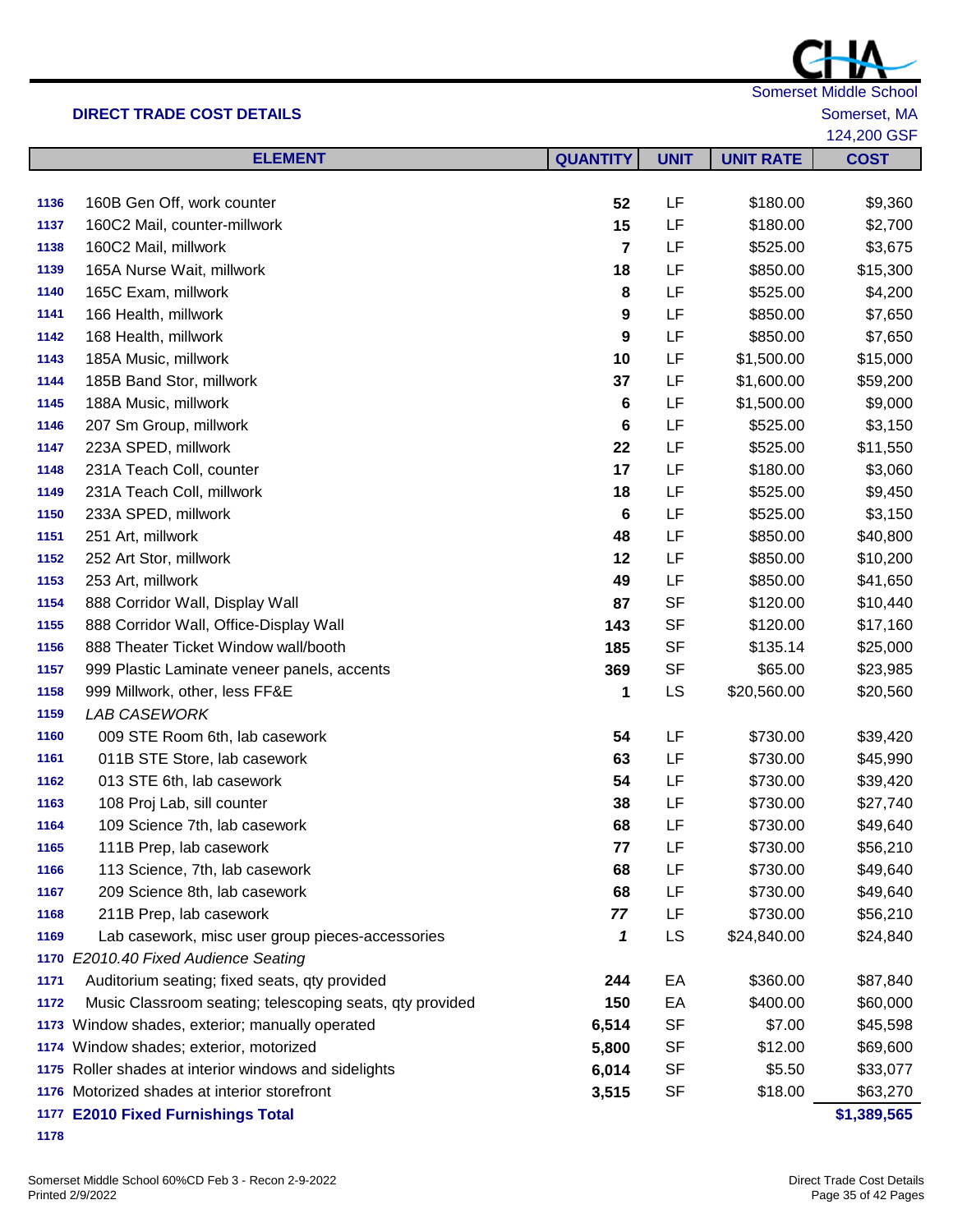Somerset Middle School

124,200 GSF

|      | <b>ELEMENT</b>                                           | <b>QUANTITY</b> | <b>UNIT</b> | <b>UNIT RATE</b> | וטט טטובא<br><b>COST</b> |
|------|----------------------------------------------------------|-----------------|-------------|------------------|--------------------------|
|      |                                                          |                 |             |                  |                          |
| 1136 | 160B Gen Off, work counter                               | 52              | LF          | \$180.00         | \$9,360                  |
| 1137 | 160C2 Mail, counter-millwork                             | 15              | LF          | \$180.00         | \$2,700                  |
| 1138 | 160C2 Mail, millwork                                     | 7               | LF          | \$525.00         | \$3,675                  |
| 1139 | 165A Nurse Wait, millwork                                | 18              | LF          | \$850.00         | \$15,300                 |
| 1140 | 165C Exam, millwork                                      | 8               | LF          | \$525.00         | \$4,200                  |
| 1141 | 166 Health, millwork                                     | 9               | LF          | \$850.00         | \$7,650                  |
| 1142 | 168 Health, millwork                                     | 9               | LF          | \$850.00         | \$7,650                  |
| 1143 | 185A Music, millwork                                     | 10              | LF          | \$1,500.00       | \$15,000                 |
| 1144 | 185B Band Stor, millwork                                 | 37              | LF          | \$1,600.00       | \$59,200                 |
| 1145 | 188A Music, millwork                                     | 6               | LF          | \$1,500.00       | \$9,000                  |
| 1146 | 207 Sm Group, millwork                                   | 6               | LF          | \$525.00         | \$3,150                  |
| 1147 | 223A SPED, millwork                                      | 22              | LF          | \$525.00         | \$11,550                 |
| 1148 | 231A Teach Coll, counter                                 | 17              | LF          | \$180.00         | \$3,060                  |
| 1149 | 231A Teach Coll, millwork                                | 18              | LF          | \$525.00         | \$9,450                  |
| 1150 | 233A SPED, millwork                                      | 6               | LF          | \$525.00         | \$3,150                  |
| 1151 | 251 Art, millwork                                        | 48              | LF          | \$850.00         | \$40,800                 |
| 1152 | 252 Art Stor, millwork                                   | 12              | LF          | \$850.00         | \$10,200                 |
| 1153 | 253 Art, millwork                                        | 49              | LF          | \$850.00         | \$41,650                 |
| 1154 | 888 Corridor Wall, Display Wall                          | 87              | <b>SF</b>   | \$120.00         | \$10,440                 |
| 1155 | 888 Corridor Wall, Office-Display Wall                   | 143             | <b>SF</b>   | \$120.00         | \$17,160                 |
| 1156 | 888 Theater Ticket Window wall/booth                     | 185             | <b>SF</b>   | \$135.14         | \$25,000                 |
| 1157 | 999 Plastic Laminate veneer panels, accents              | 369             | <b>SF</b>   | \$65.00          | \$23,985                 |
| 1158 | 999 Millwork, other, less FF&E                           | 1               | LS          | \$20,560.00      | \$20,560                 |
| 1159 | LAB CASEWORK                                             |                 |             |                  |                          |
| 1160 | 009 STE Room 6th, lab casework                           | 54              | LF          | \$730.00         | \$39,420                 |
| 1161 | 011B STE Store, lab casework                             | 63              | LF          | \$730.00         | \$45,990                 |
| 1162 | 013 STE 6th, lab casework                                | 54              | LF          | \$730.00         | \$39,420                 |
| 1163 | 108 Proj Lab, sill counter                               | 38              | LF          | \$730.00         | \$27,740                 |
| 1164 | 109 Science 7th, lab casework                            | 68              | LF          | \$730.00         | \$49,640                 |
| 1165 | 111B Prep, lab casework                                  | 77              | LF          | \$730.00         | \$56,210                 |
| 1166 | 113 Science, 7th, lab casework                           | 68              | LF          | \$730.00         | \$49,640                 |
| 1167 | 209 Science 8th, lab casework                            | 68              | LF          | \$730.00         | \$49,640                 |
| 1168 | 211B Prep, lab casework                                  | 77              | LF          | \$730.00         | \$56,210                 |
| 1169 | Lab casework, misc user group pieces-accessories         | 1               | LS          | \$24,840.00      | \$24,840                 |
| 1170 | E2010.40 Fixed Audience Seating                          |                 |             |                  |                          |
| 1171 | Auditorium seating; fixed seats, qty provided            | 244             | EA          | \$360.00         | \$87,840                 |
| 1172 | Music Classroom seating; telescoping seats, qty provided | 150             | EA          | \$400.00         | \$60,000                 |
|      | 1173 Window shades, exterior; manually operated          | 6,514           | <b>SF</b>   | \$7.00           | \$45,598                 |
|      | 1174 Window shades; exterior, motorized                  | 5,800           | <b>SF</b>   | \$12.00          | \$69,600                 |
|      | 1175 Roller shades at interior windows and sidelights    | 6,014           | <b>SF</b>   | \$5.50           | \$33,077                 |
| 1176 | Motorized shades at interior storefront                  | 3,515           | <b>SF</b>   | \$18.00          | \$63,270                 |
|      | 1177 E2010 Fixed Furnishings Total                       |                 |             |                  | \$1,389,565              |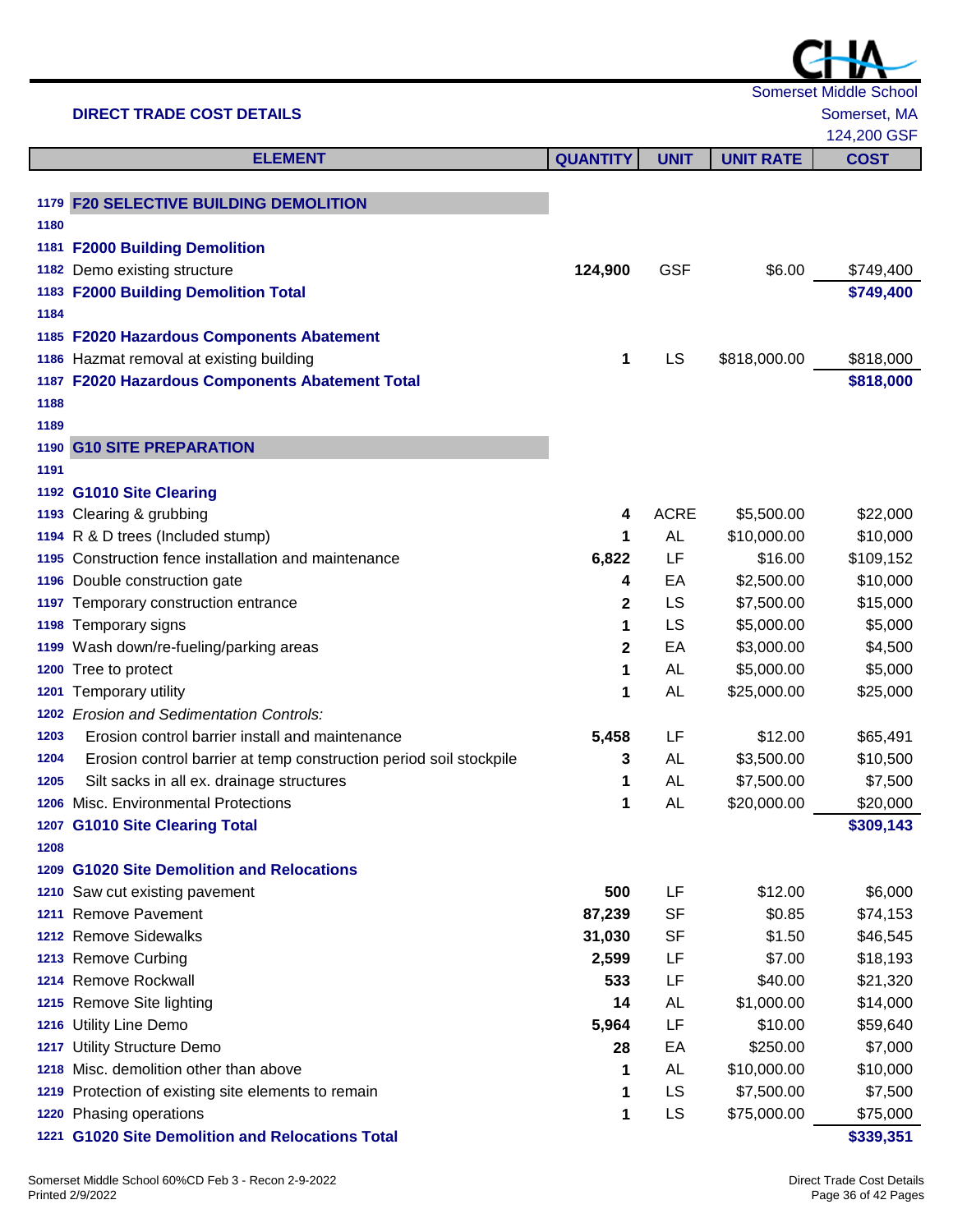|      |                                                                    |                 |             |                  | <b>Somerset Middle School</b> |
|------|--------------------------------------------------------------------|-----------------|-------------|------------------|-------------------------------|
|      | <b>DIRECT TRADE COST DETAILS</b>                                   |                 |             |                  | Somerset, MA                  |
|      |                                                                    |                 |             |                  | 124,200 GSF                   |
|      | <b>ELEMENT</b>                                                     | <b>QUANTITY</b> | <b>UNIT</b> | <b>UNIT RATE</b> | <b>COST</b>                   |
|      |                                                                    |                 |             |                  |                               |
| 1179 | <b>F20 SELECTIVE BUILDING DEMOLITION</b>                           |                 |             |                  |                               |
| 1180 |                                                                    |                 |             |                  |                               |
| 1181 | <b>F2000 Building Demolition</b>                                   |                 |             |                  |                               |
|      | 1182 Demo existing structure                                       | 124,900         | <b>GSF</b>  | \$6.00           | \$749,400<br>\$749,400        |
| 1184 | 1183 F2000 Building Demolition Total                               |                 |             |                  |                               |
|      | 1185 F2020 Hazardous Components Abatement                          |                 |             |                  |                               |
|      | 1186 Hazmat removal at existing building                           | 1               | LS          | \$818,000.00     | \$818,000                     |
|      | 1187 F2020 Hazardous Components Abatement Total                    |                 |             |                  | \$818,000                     |
| 1188 |                                                                    |                 |             |                  |                               |
| 1189 |                                                                    |                 |             |                  |                               |
| 1190 | <b>G10 SITE PREPARATION</b>                                        |                 |             |                  |                               |
| 1191 |                                                                    |                 |             |                  |                               |
|      | 1192 G1010 Site Clearing                                           |                 |             |                  |                               |
|      | 1193 Clearing & grubbing                                           | 4               | <b>ACRE</b> | \$5,500.00       | \$22,000                      |
|      | 1194 R & D trees (Included stump)                                  | 1               | <b>AL</b>   | \$10,000.00      | \$10,000                      |
|      | 1195 Construction fence installation and maintenance               | 6,822           | LF          | \$16.00          | \$109,152                     |
|      | 1196 Double construction gate                                      | 4               | EA          | \$2,500.00       | \$10,000                      |
|      | 1197 Temporary construction entrance                               | 2               | LS          | \$7,500.00       | \$15,000                      |
|      | 1198 Temporary signs                                               | 1               | <b>LS</b>   | \$5,000.00       | \$5,000                       |
|      | 1199 Wash down/re-fueling/parking areas                            | 2               | EA          | \$3,000.00       | \$4,500                       |
|      | 1200 Tree to protect                                               | 1               | AL          | \$5,000.00       | \$5,000                       |
|      | 1201 Temporary utility                                             | 1               | AL          | \$25,000.00      | \$25,000                      |
|      | 1202 Erosion and Sedimentation Controls:                           |                 |             |                  |                               |
| 1203 | Erosion control barrier install and maintenance                    | 5,458           | LF          | \$12.00          | \$65,491                      |
| 1204 | Erosion control barrier at temp construction period soil stockpile | 3               | AL          | \$3,500.00       | \$10,500                      |
| 1205 | Silt sacks in all ex. drainage structures                          | 1               | <b>AL</b>   | \$7,500.00       | \$7,500                       |
| 1206 | Misc. Environmental Protections                                    | 1               | AL          | \$20,000.00      | \$20,000                      |
| 1207 | <b>G1010 Site Clearing Total</b>                                   |                 |             |                  | \$309,143                     |
| 1208 |                                                                    |                 |             |                  |                               |
| 1209 | <b>G1020 Site Demolition and Relocations</b>                       |                 |             |                  |                               |
| 1210 | Saw cut existing pavement                                          | 500             | LF          | \$12.00          | \$6,000                       |
|      | 1211 Remove Pavement                                               | 87,239          | <b>SF</b>   | \$0.85           | \$74,153                      |
|      | 1212 Remove Sidewalks                                              | 31,030          | <b>SF</b>   | \$1.50           | \$46,545                      |
|      | 1213 Remove Curbing                                                | 2,599           | LF          | \$7.00           | \$18,193                      |
|      | 1214 Remove Rockwall                                               | 533             | LF          | \$40.00          | \$21,320                      |
|      | 1215 Remove Site lighting                                          | 14              | <b>AL</b>   | \$1,000.00       | \$14,000                      |
|      | 1216 Utility Line Demo                                             | 5,964           | LF          | \$10.00          | \$59,640                      |
|      | 1217 Utility Structure Demo                                        | 28              | EA          | \$250.00         | \$7,000                       |
| 1218 | Misc. demolition other than above                                  | 1               | AL          | \$10,000.00      | \$10,000                      |
|      | 1219 Protection of existing site elements to remain                | 1               | LS          | \$7,500.00       | \$7,500                       |
|      | 1220 Phasing operations                                            | 1               | LS          | \$75,000.00      | \$75,000                      |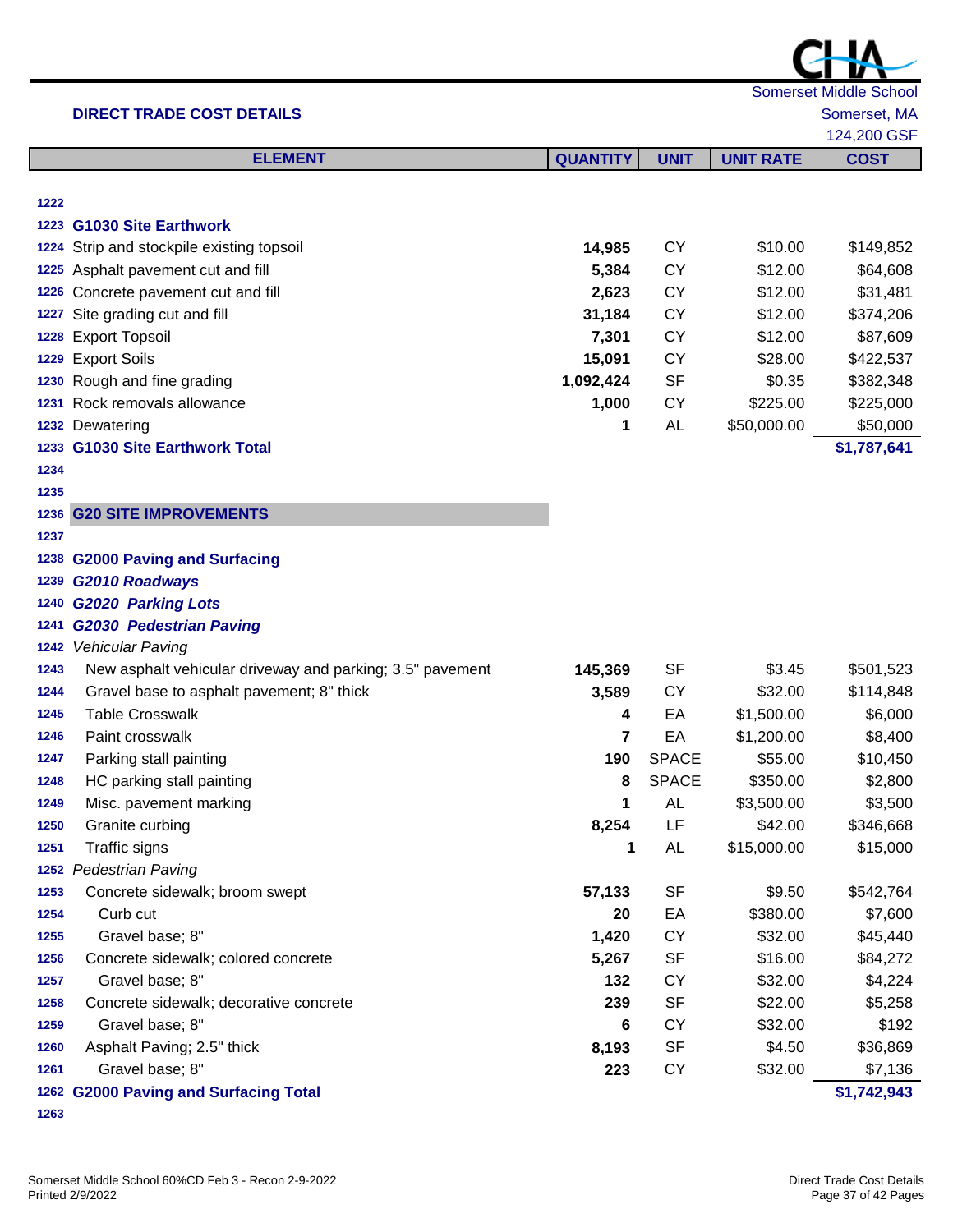| <b>DIRECT TRADE COST DETAILS</b> |  |  |
|----------------------------------|--|--|
|----------------------------------|--|--|

|                                  | $\sqrt{2}$             |
|----------------------------------|------------------------|
|                                  | Somerset Middle School |
| <b>DIRECT TRADE COST DETAILS</b> | Somerset, MA           |
|                                  | 124,200 GSF            |

או וי

|      | <b>ELEMENT</b>                                            | <b>QUANTITY</b> | <b>UNIT</b>  | <b>UNIT RATE</b> | <b>COST</b> |
|------|-----------------------------------------------------------|-----------------|--------------|------------------|-------------|
|      |                                                           |                 |              |                  |             |
| 1222 |                                                           |                 |              |                  |             |
|      | 1223 G1030 Site Earthwork                                 |                 |              |                  |             |
|      | 1224 Strip and stockpile existing topsoil                 | 14,985          | <b>CY</b>    | \$10.00          | \$149,852   |
|      | 1225 Asphalt pavement cut and fill                        | 5,384           | <b>CY</b>    | \$12.00          | \$64,608    |
|      | 1226 Concrete pavement cut and fill                       | 2,623           | <b>CY</b>    | \$12.00          | \$31,481    |
| 1227 | Site grading cut and fill                                 | 31,184          | <b>CY</b>    | \$12.00          | \$374,206   |
| 1228 | <b>Export Topsoil</b>                                     | 7,301           | <b>CY</b>    | \$12.00          | \$87,609    |
|      | 1229 Export Soils                                         | 15,091          | <b>CY</b>    | \$28.00          | \$422,537   |
|      | 1230 Rough and fine grading                               | 1,092,424       | <b>SF</b>    | \$0.35           | \$382,348   |
| 1231 | Rock removals allowance                                   | 1,000           | CY           | \$225.00         | \$225,000   |
|      | 1232 Dewatering                                           | 1               | <b>AL</b>    | \$50,000.00      | \$50,000    |
|      | 1233 G1030 Site Earthwork Total                           |                 |              |                  | \$1,787,641 |
| 1234 |                                                           |                 |              |                  |             |
| 1235 |                                                           |                 |              |                  |             |
| 1236 | <b>G20 SITE IMPROVEMENTS</b>                              |                 |              |                  |             |
| 1237 |                                                           |                 |              |                  |             |
| 1238 | <b>G2000 Paving and Surfacing</b>                         |                 |              |                  |             |
| 1239 | <b>G2010 Roadways</b>                                     |                 |              |                  |             |
| 1240 | <b>G2020 Parking Lots</b>                                 |                 |              |                  |             |
| 1241 | <b>G2030 Pedestrian Paving</b>                            |                 |              |                  |             |
| 1242 | <b>Vehicular Paving</b>                                   |                 |              |                  |             |
| 1243 | New asphalt vehicular driveway and parking; 3.5" pavement | 145,369         | <b>SF</b>    | \$3.45           | \$501,523   |
| 1244 | Gravel base to asphalt pavement; 8" thick                 | 3,589           | CY           | \$32.00          | \$114,848   |
| 1245 | <b>Table Crosswalk</b>                                    | 4               | EA           | \$1,500.00       | \$6,000     |
| 1246 | Paint crosswalk                                           | 7               | EA           | \$1,200.00       | \$8,400     |
| 1247 | Parking stall painting                                    | 190             | <b>SPACE</b> | \$55.00          | \$10,450    |
| 1248 | HC parking stall painting                                 | 8               | <b>SPACE</b> | \$350.00         | \$2,800     |
| 1249 | Misc. pavement marking                                    | 1               | <b>AL</b>    | \$3,500.00       | \$3,500     |
| 1250 | Granite curbing                                           | 8,254           | LF           | \$42.00          | \$346,668   |
| 1251 | Traffic signs                                             | 1               | AL           | \$15,000.00      | \$15,000    |
|      | 1252 Pedestrian Paving                                    |                 |              |                  |             |
| 1253 | Concrete sidewalk; broom swept                            | 57,133          | <b>SF</b>    | \$9.50           | \$542,764   |
| 1254 | Curb cut                                                  | 20              | EA           | \$380.00         | \$7,600     |
| 1255 | Gravel base; 8"                                           | 1,420           | <b>CY</b>    | \$32.00          | \$45,440    |
| 1256 | Concrete sidewalk; colored concrete                       | 5,267           | <b>SF</b>    | \$16.00          | \$84,272    |
| 1257 | Gravel base; 8"                                           | 132             | <b>CY</b>    | \$32.00          | \$4,224     |
| 1258 | Concrete sidewalk; decorative concrete                    | 239             | <b>SF</b>    | \$22.00          | \$5,258     |
| 1259 | Gravel base; 8"                                           | 6               | CY           | \$32.00          | \$192       |
| 1260 | Asphalt Paving; 2.5" thick                                | 8,193           | <b>SF</b>    | \$4.50           | \$36,869    |
| 1261 | Gravel base; 8"                                           | 223             | <b>CY</b>    | \$32.00          | \$7,136     |
|      | 1262 G2000 Paving and Surfacing Total                     |                 |              |                  | \$1,742,943 |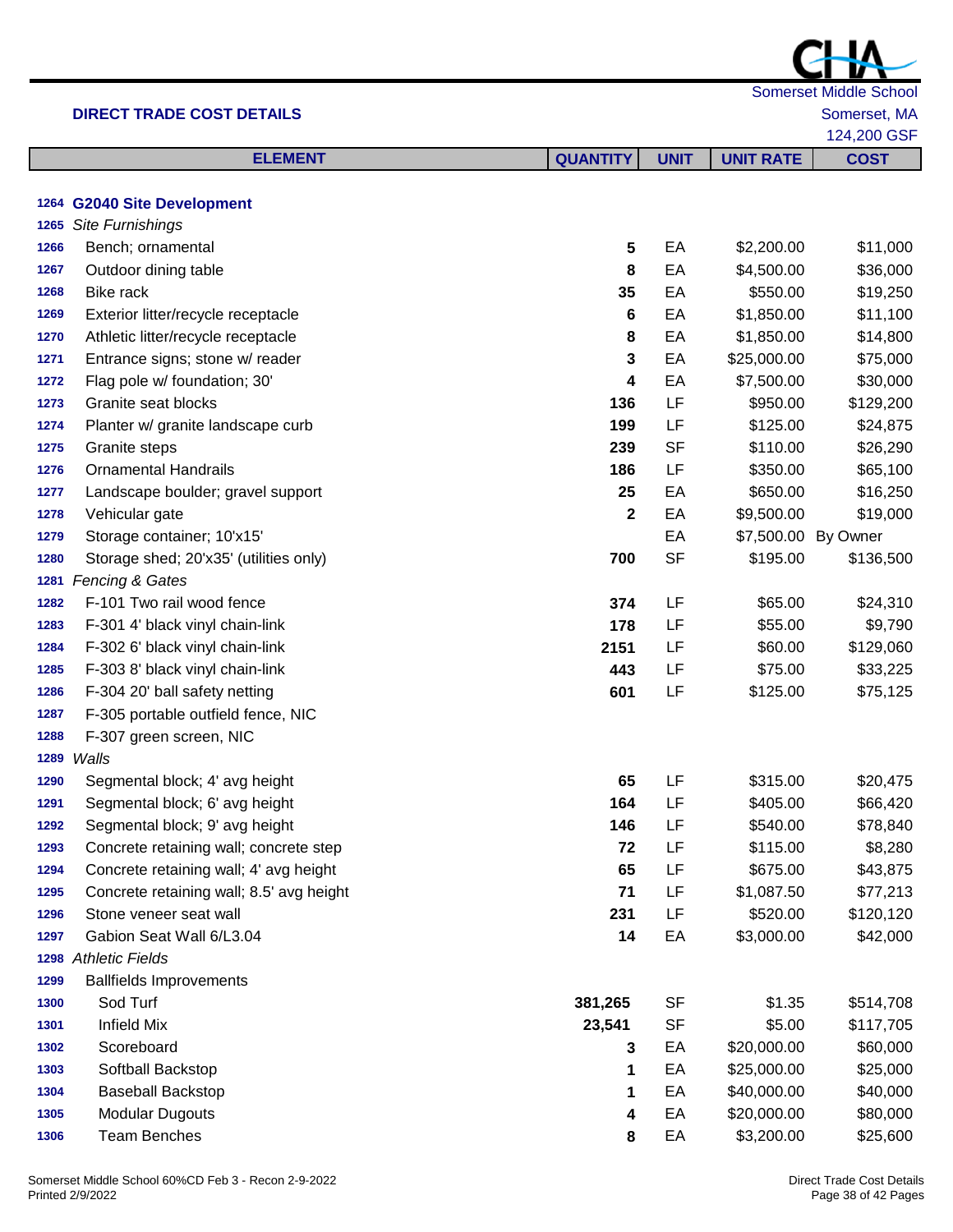|      | <b>DIRECT TRADE COST DETAILS</b>         |                 |             |                  | Somerset, MA        |
|------|------------------------------------------|-----------------|-------------|------------------|---------------------|
|      |                                          |                 |             |                  | 124,200 GSF         |
|      | <b>ELEMENT</b>                           | <b>QUANTITY</b> | <b>UNIT</b> | <b>UNIT RATE</b> | <b>COST</b>         |
|      |                                          |                 |             |                  |                     |
|      | 1264 G2040 Site Development              |                 |             |                  |                     |
| 1265 | <b>Site Furnishings</b>                  |                 |             |                  |                     |
| 1266 | Bench; ornamental                        | 5               | EA          | \$2,200.00       | \$11,000            |
| 1267 | Outdoor dining table                     | 8               | EA          | \$4,500.00       | \$36,000            |
| 1268 | <b>Bike rack</b>                         | 35              | EA          | \$550.00         | \$19,250            |
| 1269 | Exterior litter/recycle receptacle       | 6               | EA          | \$1,850.00       | \$11,100            |
| 1270 | Athletic litter/recycle receptacle       | 8               | EA          | \$1,850.00       | \$14,800            |
| 1271 | Entrance signs; stone w/ reader          | 3               | EA          | \$25,000.00      | \$75,000            |
| 1272 | Flag pole w/ foundation; 30'             | 4               | EA          | \$7,500.00       | \$30,000            |
| 1273 | Granite seat blocks                      | 136             | LF          | \$950.00         | \$129,200           |
| 1274 | Planter w/ granite landscape curb        | 199             | LF          | \$125.00         | \$24,875            |
| 1275 | Granite steps                            | 239             | <b>SF</b>   | \$110.00         | \$26,290            |
| 1276 | <b>Ornamental Handrails</b>              | 186             | LF          | \$350.00         | \$65,100            |
| 1277 | Landscape boulder; gravel support        | 25              | EA          | \$650.00         | \$16,250            |
| 1278 | Vehicular gate                           | $\mathbf{2}$    | EA          | \$9,500.00       | \$19,000            |
| 1279 | Storage container; 10'x15'               |                 | EA          |                  | \$7,500.00 By Owner |
| 1280 | Storage shed; 20'x35' (utilities only)   | 700             | <b>SF</b>   | \$195.00         | \$136,500           |
| 1281 | <b>Fencing &amp; Gates</b>               |                 |             |                  |                     |
| 1282 | F-101 Two rail wood fence                | 374             | LF          | \$65.00          | \$24,310            |
| 1283 | F-301 4' black vinyl chain-link          | 178             | LF          | \$55.00          | \$9,790             |
| 1284 | F-302 6' black vinyl chain-link          | 2151            | LF          | \$60.00          | \$129,060           |
| 1285 | F-303 8' black vinyl chain-link          | 443             | LF          | \$75.00          | \$33,225            |
| 1286 | F-304 20' ball safety netting            | 601             | LF          | \$125.00         | \$75,125            |
| 1287 | F-305 portable outfield fence, NIC       |                 |             |                  |                     |
| 1288 | F-307 green screen, NIC                  |                 |             |                  |                     |
| 1289 | Walls                                    |                 |             |                  |                     |
| 1290 | Segmental block; 4' avg height           | 65              | LF          | \$315.00         | \$20,475            |
| 1291 | Segmental block; 6' avg height           | 164             | LF          | \$405.00         | \$66,420            |
| 1292 | Segmental block; 9' avg height           | 146             | LF          | \$540.00         | \$78,840            |
| 1293 | Concrete retaining wall; concrete step   | 72              | LF          | \$115.00         | \$8,280             |
| 1294 | Concrete retaining wall; 4' avg height   | 65              | LF          | \$675.00         | \$43,875            |
| 1295 | Concrete retaining wall; 8.5' avg height | 71              | LF          | \$1,087.50       | \$77,213            |
| 1296 | Stone veneer seat wall                   | 231             | LF          | \$520.00         | \$120,120           |
| 1297 | Gabion Seat Wall 6/L3.04                 | 14              | EA          | \$3,000.00       | \$42,000            |
|      | 1298 Athletic Fields                     |                 |             |                  |                     |
| 1299 | <b>Ballfields Improvements</b>           |                 |             |                  |                     |
| 1300 | Sod Turf                                 | 381,265         | <b>SF</b>   | \$1.35           | \$514,708           |
| 1301 | <b>Infield Mix</b>                       | 23,541          | SF          | \$5.00           | \$117,705           |
| 1302 | Scoreboard                               | 3               | EA          | \$20,000.00      | \$60,000            |
| 1303 | Softball Backstop                        | 1               | EA          | \$25,000.00      | \$25,000            |
| 1304 | <b>Baseball Backstop</b>                 | 1               | EA          | \$40,000.00      | \$40,000            |
| 1305 | <b>Modular Dugouts</b>                   | 4               | EA          | \$20,000.00      | \$80,000            |
| 1306 | <b>Team Benches</b>                      | 8               | EA          | \$3,200.00       | \$25,600            |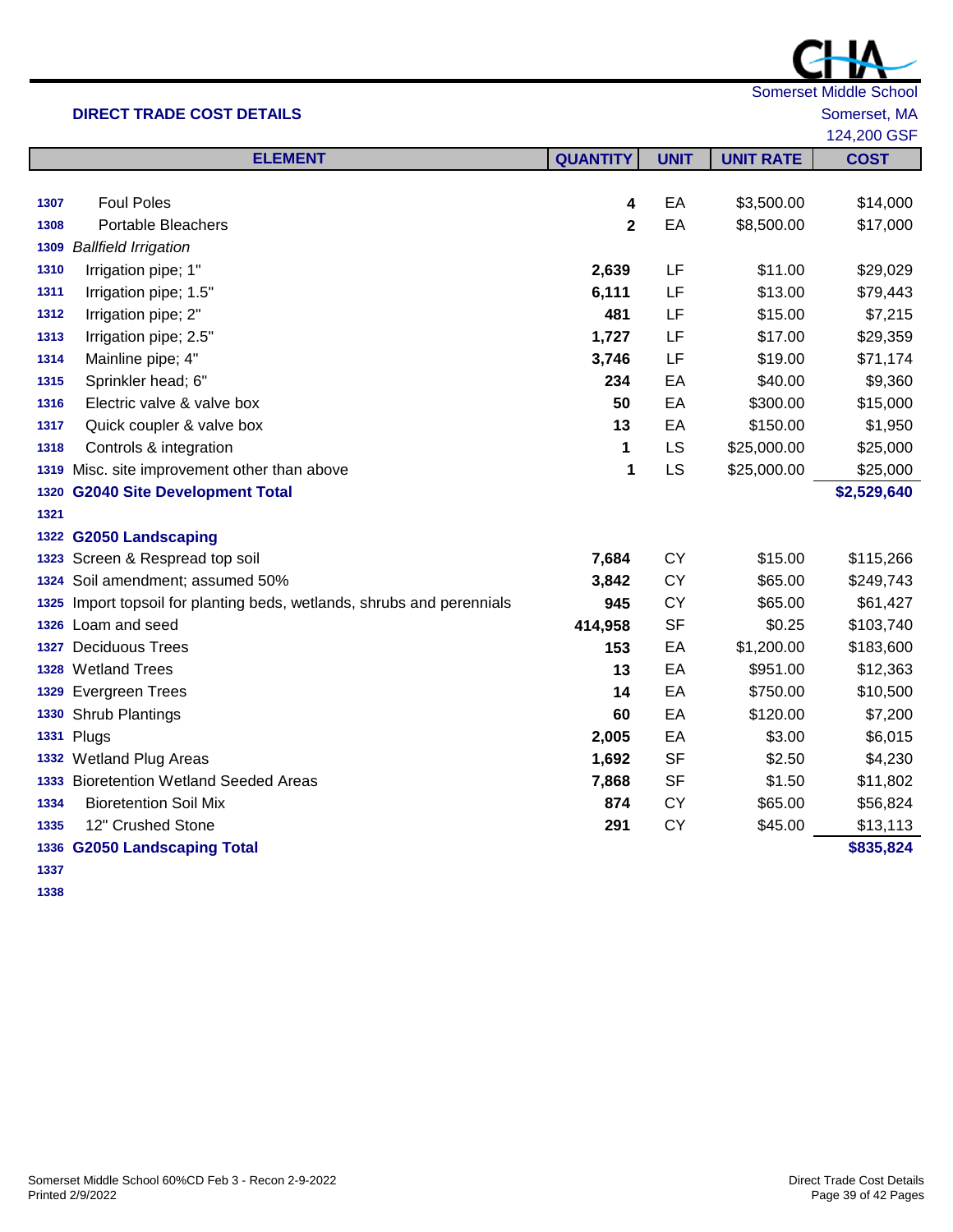**ELEMENT**

| 1308 | <b>Portable Bleachers</b>                                              | $\mathbf 2$ | EA        | \$8,500.00  | \$17,000    |
|------|------------------------------------------------------------------------|-------------|-----------|-------------|-------------|
| 1309 | <b>Ballfield Irrigation</b>                                            |             |           |             |             |
| 1310 | Irrigation pipe; 1"                                                    | 2,639       | LF        | \$11.00     | \$29,029    |
| 1311 | Irrigation pipe; 1.5"                                                  | 6,111       | LF        | \$13.00     | \$79,443    |
| 1312 | Irrigation pipe; 2"                                                    | 481         | LF        | \$15.00     | \$7,215     |
| 1313 | Irrigation pipe; 2.5"                                                  | 1,727       | LF        | \$17.00     | \$29,359    |
| 1314 | Mainline pipe; 4"                                                      | 3,746       | LF        | \$19.00     | \$71,174    |
| 1315 | Sprinkler head; 6"                                                     | 234         | EA        | \$40.00     | \$9,360     |
| 1316 | Electric valve & valve box                                             | 50          | EA        | \$300.00    | \$15,000    |
| 1317 | Quick coupler & valve box                                              | 13          | EA        | \$150.00    | \$1,950     |
| 1318 | Controls & integration                                                 | 1           | LS        | \$25,000.00 | \$25,000    |
| 1319 | Misc. site improvement other than above                                | 1           | LS        | \$25,000.00 | \$25,000    |
|      | 1320 G2040 Site Development Total                                      |             |           |             | \$2,529,640 |
| 1321 |                                                                        |             |           |             |             |
|      | 1322 G2050 Landscaping                                                 |             |           |             |             |
|      | 1323 Screen & Respread top soil                                        | 7,684       | <b>CY</b> | \$15.00     | \$115,266   |
|      | 1324 Soil amendment; assumed 50%                                       | 3,842       | <b>CY</b> | \$65.00     | \$249,743   |
|      | 1325 Import topsoil for planting beds, wetlands, shrubs and perennials | 945         | CY        | \$65.00     | \$61,427    |
|      | 1326 Loam and seed                                                     | 414,958     | <b>SF</b> | \$0.25      | \$103,740   |
|      | 1327 Deciduous Trees                                                   | 153         | EA        | \$1,200.00  | \$183,600   |
|      | 1328 Wetland Trees                                                     | 13          | EA        | \$951.00    | \$12,363    |
|      | 1329 Evergreen Trees                                                   | 14          | EA        | \$750.00    | \$10,500    |
|      | 1330 Shrub Plantings                                                   | 60          | EA        | \$120.00    | \$7,200     |
|      | 1331 Plugs                                                             | 2,005       | EA        | \$3.00      | \$6,015     |
|      | 1332 Wetland Plug Areas                                                | 1,692       | <b>SF</b> | \$2.50      | \$4,230     |
|      | 1333 Bioretention Wetland Seeded Areas                                 | 7,868       | <b>SF</b> | \$1.50      | \$11,802    |
| 1334 | <b>Bioretention Soil Mix</b>                                           | 874         | <b>CY</b> | \$65.00     | \$56,824    |
| 1335 | 12" Crushed Stone                                                      | 291         | CY        | \$45.00     | \$13,113    |
|      | 1336 G2050 Landscaping Total                                           |             |           |             | \$835,824   |
| 1337 |                                                                        |             |           |             |             |
| 1338 |                                                                        |             |           |             |             |
|      |                                                                        |             |           |             |             |
|      |                                                                        |             |           |             |             |
|      |                                                                        |             |           |             |             |

Foul Poles **4** EA \$3,500.00 \$14,000



124,200 GSF

**QUANTITY UNIT UNIT RATE COST**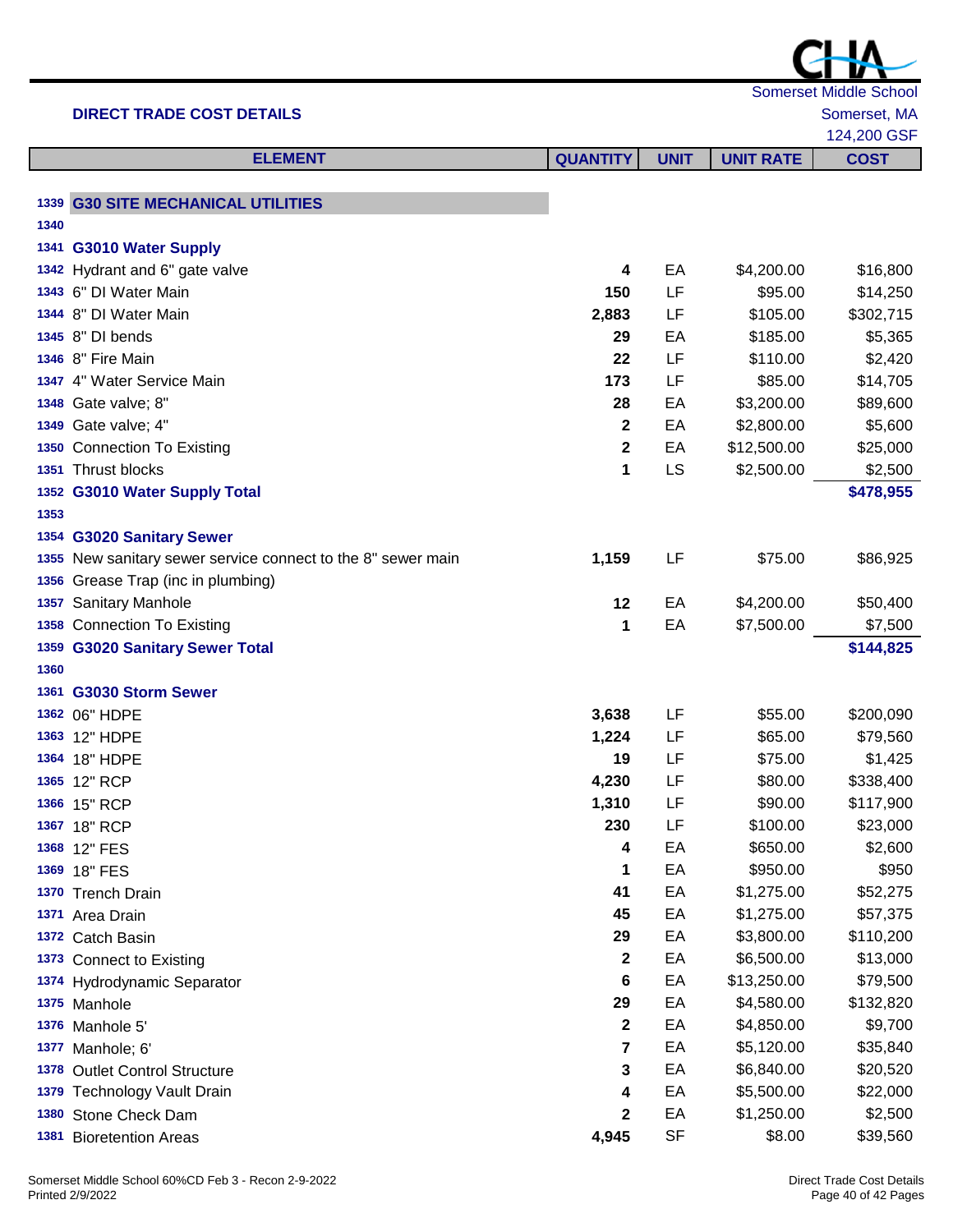|      |                                                              |                 |             |                  | <b>Somerset Middle School</b> |
|------|--------------------------------------------------------------|-----------------|-------------|------------------|-------------------------------|
|      | <b>DIRECT TRADE COST DETAILS</b>                             |                 |             |                  | Somerset, MA                  |
|      |                                                              |                 |             |                  | 124,200 GSF                   |
|      | <b>ELEMENT</b>                                               | <b>QUANTITY</b> | <b>UNIT</b> | <b>UNIT RATE</b> | <b>COST</b>                   |
| 1339 | <b>G30 SITE MECHANICAL UTILITIES</b>                         |                 |             |                  |                               |
| 1340 |                                                              |                 |             |                  |                               |
|      | 1341 G3010 Water Supply                                      |                 |             |                  |                               |
|      | 1342 Hydrant and 6" gate valve                               | 4               | EA          | \$4,200.00       | \$16,800                      |
|      | 1343 6" DI Water Main                                        | 150             | LF          | \$95.00          | \$14,250                      |
|      | 1344 8" DI Water Main                                        | 2,883           | LF          | \$105.00         | \$302,715                     |
|      | 1345 8" DI bends                                             | 29              | EA          | \$185.00         | \$5,365                       |
|      | 1346 8" Fire Main                                            | 22              | LF          | \$110.00         | \$2,420                       |
|      | 1347 4" Water Service Main                                   | 173             | LF          | \$85.00          | \$14,705                      |
|      | 1348 Gate valve; 8"                                          | 28              | EA          | \$3,200.00       | \$89,600                      |
|      | 1349 Gate valve; 4"                                          | $\mathbf{2}$    | EA          | \$2,800.00       | \$5,600                       |
|      | 1350 Connection To Existing                                  | 2               | EA          | \$12,500.00      | \$25,000                      |
|      | 1351 Thrust blocks                                           | 1               | LS          | \$2,500.00       | \$2,500                       |
|      | 1352 G3010 Water Supply Total                                |                 |             |                  | \$478,955                     |
| 1353 |                                                              |                 |             |                  |                               |
|      | 1354 G3020 Sanitary Sewer                                    |                 |             |                  |                               |
|      | 1355 New sanitary sewer service connect to the 8" sewer main | 1,159           | LF          | \$75.00          | \$86,925                      |
|      | 1356 Grease Trap (inc in plumbing)                           |                 |             |                  |                               |
|      | 1357 Sanitary Manhole                                        | 12              | EA          | \$4,200.00       | \$50,400                      |
|      | 1358 Connection To Existing                                  | 1               | EA          | \$7,500.00       | \$7,500                       |
|      | 1359 G3020 Sanitary Sewer Total                              |                 |             |                  | \$144,825                     |
| 1360 |                                                              |                 |             |                  |                               |
|      | 1361 G3030 Storm Sewer                                       |                 |             |                  |                               |
|      | 1362 06" HDPE                                                | 3,638           | LF          | \$55.00          | \$200,090                     |
|      | 1363 12" HDPE                                                | 1,224           | LF          | \$65.00          | \$79,560                      |
|      | 1364 18" HDPE                                                | 19              | LF          | \$75.00          | \$1,425                       |
|      | 1365 12" RCP                                                 | 4,230           | LF          | \$80.00          | \$338,400                     |
|      | 1366 15" RCP                                                 | 1,310           | LF          | \$90.00          | \$117,900                     |
|      | 1367 18" RCP                                                 | 230             | LF          | \$100.00         | \$23,000                      |
|      | 1368 12" FES                                                 | 4               | EA          | \$650.00         | \$2,600                       |
|      | 1369 18" FES                                                 | 1               | EA          | \$950.00         | \$950                         |
|      | 1370 Trench Drain                                            | 41              | EA          | \$1,275.00       | \$52,275                      |
|      | 1371 Area Drain                                              | 45              | EA          | \$1,275.00       | \$57,375                      |
|      | 1372 Catch Basin                                             | 29              | EA          | \$3,800.00       | \$110,200                     |
|      | 1373 Connect to Existing                                     | $\mathbf 2$     | EA          | \$6,500.00       | \$13,000                      |
|      | 1374 Hydrodynamic Separator                                  | 6               | EA          | \$13,250.00      | \$79,500                      |
|      | 1375 Manhole                                                 | 29              | EA          | \$4,580.00       | \$132,820                     |
| 1376 | Manhole 5'                                                   | $\mathbf 2$     | EA          | \$4,850.00       | \$9,700                       |
| 1377 | Manhole; 6'                                                  | 7               | EA          | \$5,120.00       | \$35,840                      |
| 1378 | <b>Outlet Control Structure</b>                              | 3               | EA          | \$6,840.00       | \$20,520                      |
| 1379 | <b>Technology Vault Drain</b>                                | 4               | EA          | \$5,500.00       | \$22,000                      |
| 1380 | Stone Check Dam                                              | 2               | EA          | \$1,250.00       | \$2,500                       |
|      | 1381 Bioretention Areas                                      | 4,945           | <b>SF</b>   | \$8.00           | \$39,560                      |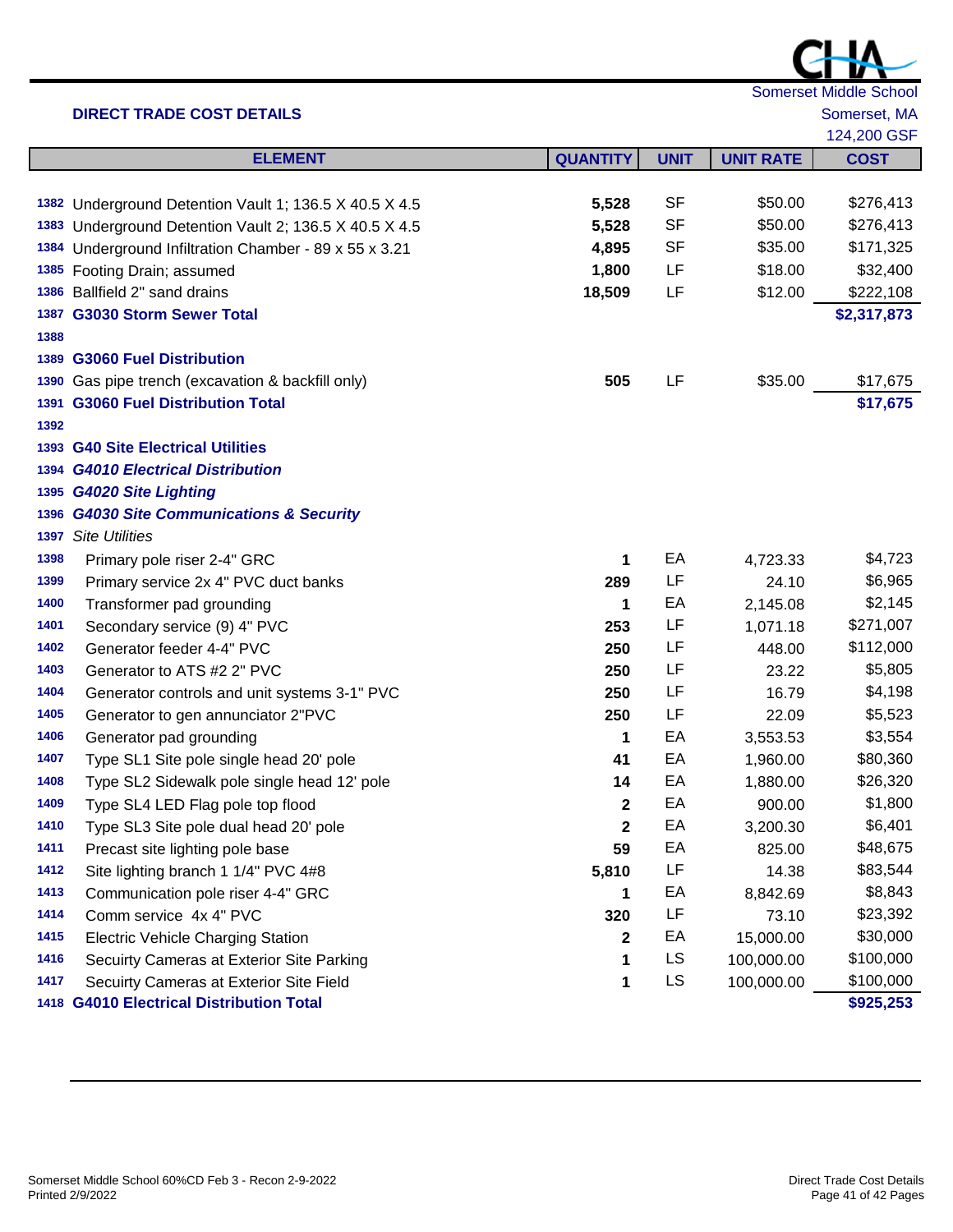

| <b>DIRECT TRADE COST DETAILS</b>                        |                 |             |                  | Somerset, MA |
|---------------------------------------------------------|-----------------|-------------|------------------|--------------|
|                                                         |                 |             |                  | 124,200 GSF  |
| <b>ELEMENT</b>                                          | <b>QUANTITY</b> | <b>UNIT</b> | <b>UNIT RATE</b> | <b>COST</b>  |
|                                                         |                 |             |                  |              |
| 1382 Underground Detention Vault 1; 136.5 X 40.5 X 4.5  | 5,528           | <b>SF</b>   | \$50.00          | \$276,413    |
| 1383 Underground Detention Vault 2; 136.5 X 40.5 X 4.5  | 5,528           | <b>SF</b>   | \$50.00          | \$276,413    |
| 1384 Underground Infiltration Chamber - 89 x 55 x 3.21  | 4,895           | <b>SF</b>   | \$35.00          | \$171,325    |
| 1385 Footing Drain; assumed                             | 1,800           | LF          | \$18.00          | \$32,400     |
| 1386 Ballfield 2" sand drains                           | 18,509          | LF          | \$12.00          | \$222,108    |
| 1387 G3030 Storm Sewer Total                            |                 |             |                  | \$2,317,873  |
| 1388                                                    |                 |             |                  |              |
| 1389 G3060 Fuel Distribution                            |                 |             |                  |              |
| 1390 Gas pipe trench (excavation & backfill only)       | 505             | LF          | \$35.00          | \$17,675     |
| 1391 G3060 Fuel Distribution Total                      |                 |             |                  | \$17,675     |
| 1392                                                    |                 |             |                  |              |
| 1393 G40 Site Electrical Utilities                      |                 |             |                  |              |
| 1394 G4010 Electrical Distribution                      |                 |             |                  |              |
| 1395 G4020 Site Lighting                                |                 |             |                  |              |
| <b>G4030 Site Communications &amp; Security</b><br>1396 |                 |             |                  |              |
| <b>Site Utilities</b><br>1397                           |                 |             |                  |              |
| 1398<br>Primary pole riser 2-4" GRC                     | 1               | EA          | 4,723.33         | \$4,723      |
| 1399<br>Primary service 2x 4" PVC duct banks            | 289             | LF          | 24.10            | \$6,965      |
| 1400<br>Transformer pad grounding                       | 1               | EA          | 2,145.08         | \$2,145      |
| 1401<br>Secondary service (9) 4" PVC                    | 253             | LF          | 1,071.18         | \$271,007    |

| 1397 | <b>Site Utilities</b>                        |              |           |            |           |
|------|----------------------------------------------|--------------|-----------|------------|-----------|
| 1398 | Primary pole riser 2-4" GRC                  | 1            | EA        | 4,723.33   | \$4,723   |
| 1399 | Primary service 2x 4" PVC duct banks         | 289          | LF        | 24.10      | \$6,965   |
| 1400 | Transformer pad grounding                    | 1            | EA        | 2,145.08   | \$2,145   |
| 1401 | Secondary service (9) 4" PVC                 | 253          | LF        | 1,071.18   | \$271,007 |
| 1402 | Generator feeder 4-4" PVC                    | 250          | LF        | 448.00     | \$112,000 |
| 1403 | Generator to ATS #2 2" PVC                   | 250          | LF        | 23.22      | \$5,805   |
| 1404 | Generator controls and unit systems 3-1" PVC | 250          | LF        | 16.79      | \$4,198   |
| 1405 | Generator to gen annunciator 2"PVC           | 250          | LF        | 22.09      | \$5,523   |
| 1406 | Generator pad grounding                      | 1            | EA        | 3,553.53   | \$3,554   |
| 1407 | Type SL1 Site pole single head 20' pole      | 41           | EA        | 1,960.00   | \$80,360  |
| 1408 | Type SL2 Sidewalk pole single head 12' pole  | 14           | EA        | 1,880.00   | \$26,320  |
| 1409 | Type SL4 LED Flag pole top flood             | $\mathbf{2}$ | EA        | 900.00     | \$1,800   |
| 1410 | Type SL3 Site pole dual head 20' pole        | $\mathbf{2}$ | EA        | 3,200.30   | \$6,401   |
| 1411 | Precast site lighting pole base              | 59           | EA        | 825.00     | \$48,675  |
| 1412 | Site lighting branch 1 1/4" PVC 4#8          | 5,810        | LF        | 14.38      | \$83,544  |
| 1413 | Communication pole riser 4-4" GRC            | 1            | EA        | 8,842.69   | \$8,843   |
| 1414 | Comm service 4x 4" PVC                       | 320          | LF        | 73.10      | \$23,392  |
| 1415 | <b>Electric Vehicle Charging Station</b>     | 2            | EA        | 15,000.00  | \$30,000  |
| 1416 | Secuirty Cameras at Exterior Site Parking    | 1            | <b>LS</b> | 100,000.00 | \$100,000 |
| 1417 | Secuirty Cameras at Exterior Site Field      | 1            | LS        | 100,000.00 | \$100,000 |
|      | 1418 G4010 Electrical Distribution Total     |              |           |            | \$925,253 |